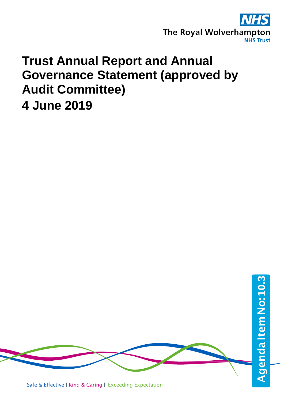

## **Trust Annual Report and Annual Governance Statement (approved by Audit Committee) 4 June 2019**

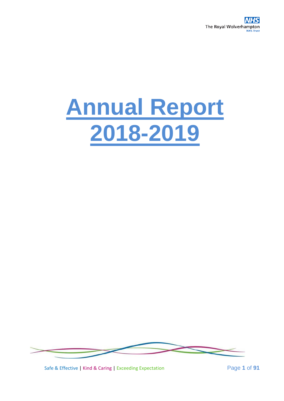

# **Annual Report 2018-2019**



Safe & Effective | Kind & Caring | Exceeding Expectation Page **1** of **91**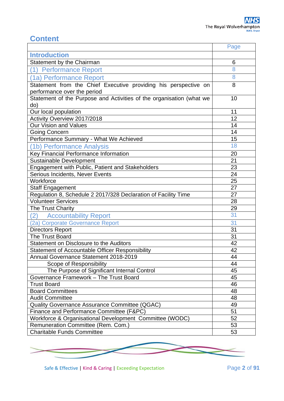## **Content**

|                                                                      | Page |
|----------------------------------------------------------------------|------|
| <b>Introduction</b>                                                  |      |
| Statement by the Chairman                                            | 6    |
| (1) Performance Report                                               | 8    |
| (1a) Performance Report                                              | 8    |
| Statement from the Chief Executive providing his perspective on      | 8    |
| performance over the period                                          |      |
| Statement of the Purpose and Activities of the organisation (what we | 10   |
| do)                                                                  |      |
| Our local population                                                 | 11   |
| Activity Overview 2017/2018                                          | 12   |
| Our Vision and Values                                                | 14   |
| <b>Going Concern</b>                                                 | 14   |
| Performance Summary - What We Achieved                               | 15   |
| (1b) Performance Analysis                                            | 18   |
| Key Financial Performance Information                                | 20   |
| Sustainable Development                                              | 21   |
| Engagement with Public, Patient and Stakeholders                     | 23   |
| Serious Incidents, Never Events                                      | 24   |
| Workforce                                                            | 25   |
| <b>Staff Engagement</b>                                              | 27   |
| Regulation 8, Schedule 2 2017/328 Declaration of Facility Time       | 27   |
| <b>Volunteer Services</b>                                            | 28   |
| The Trust Charity                                                    | 29   |
| (2)<br><b>Accountability Report</b>                                  | 31   |
| (2a) Corporate Governance Report                                     | 31   |
| <b>Directors Report</b>                                              | 31   |
| The Trust Board                                                      | 31   |
| Statement on Disclosure to the Auditors                              | 42   |
| <b>Statement of Accountable Officer Responsibility</b>               | 42   |
| Annual Governance Statement 2018-2019                                | 44   |
| Scope of Responsibility                                              | 44   |
| The Purpose of Significant Internal Control                          | 45   |
| Governance Framework - The Trust Board                               | 45   |
| <b>Trust Board</b>                                                   | 46   |
| <b>Board Committees</b>                                              | 48   |
| <b>Audit Committee</b>                                               | 48   |
| Quality Governance Assurance Committee (QGAC)                        | 49   |
| Finance and Performance Committee (F&PC)                             | 51   |
| Workforce & Organisational Development Committee (WODC)              | 52   |
| Remuneration Committee (Rem. Com.)                                   | 53   |
| <b>Charitable Funds Committee</b>                                    | 53   |



Safe & Effective | Kind & Caring | Exceeding Expectation Page 2 of 91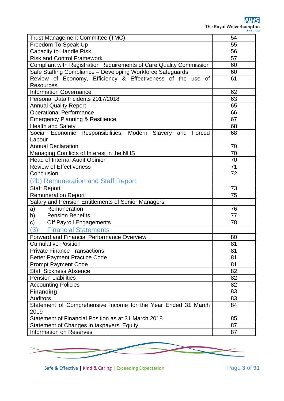| Trust Management Committee (TMC)                                    | 54 |
|---------------------------------------------------------------------|----|
| Freedom To Speak Up                                                 | 55 |
| <b>Capacity to Handle Risk</b>                                      | 56 |
| <b>Risk and Control Framework</b>                                   | 57 |
| Compliant with Registration Requirements of Care Quality Commission | 60 |
| Safe Staffing Compliance - Developing Workforce Safeguards          | 60 |
| Review of Economy, Efficiency & Effectiveness of the use of         | 61 |
| <b>Resources</b>                                                    |    |
| <b>Information Governance</b>                                       | 62 |
| Personal Data Incidents 2017/2018                                   | 63 |
| <b>Annual Quality Report</b>                                        | 65 |
| <b>Operational Performance</b>                                      | 66 |
| <b>Emergency Planning &amp; Resilience</b>                          | 67 |
| <b>Health and Safety</b>                                            | 68 |
| Social Economic Responsibilities: Modern Slavery and Forced         | 68 |
| Labour                                                              |    |
| <b>Annual Declaration</b>                                           | 70 |
| Managing Conflicts of Interest in the NHS                           | 70 |
| <b>Head of Internal Audit Opinion</b>                               | 70 |
| <b>Review of Effectiveness</b>                                      | 71 |
| Conclusion                                                          | 72 |
| (2b) Remuneration and Staff Report                                  |    |
| <b>Staff Report</b>                                                 | 73 |
| Remuneration Report                                                 | 75 |
| Salary and Pension Entitlements of Senior Managers                  |    |
| Remuneration<br>a)                                                  | 76 |
| <b>Pension Benefits</b><br>b)                                       | 77 |
| Off Payroll Engagements<br>C)                                       | 78 |
| (3)<br><b>Financial Statements</b>                                  |    |
| <b>Forward and Financial Performance Overview</b>                   | 80 |
| <b>Cumulative Position</b>                                          | 81 |
| <b>Private Finance Transactions</b>                                 | 81 |
| <b>Better Payment Practice Code</b>                                 | 81 |
| <b>Prompt Payment Code</b>                                          | 81 |
| <b>Staff Sickness Absence</b>                                       | 82 |
| <b>Pension Liabilities</b>                                          | 82 |
| <b>Accounting Policies</b>                                          | 82 |
| <b>Financing</b>                                                    | 83 |
| <b>Auditors</b>                                                     | 83 |
| Statement of Comprehensive Income for the Year Ended 31 March       | 84 |
| 2019                                                                |    |
| Statement of Financial Position as at 31 March 2018                 | 85 |
| Statement of Changes in taxpayers' Equity                           | 87 |
| <b>Information on Reserves</b>                                      | 87 |

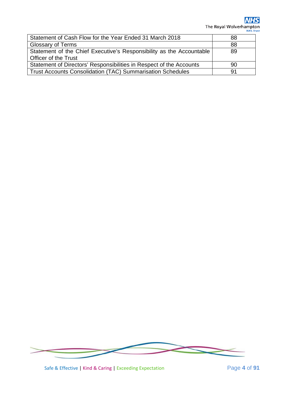**NHS** The Royal Wolverhampton

| Statement of Cash Flow for the Year Ended 31 March 2018              | 88 |
|----------------------------------------------------------------------|----|
| <b>Glossary of Terms</b>                                             | 88 |
| Statement of the Chief Executive's Responsibility as the Accountable | 89 |
| <b>Officer of the Trust</b>                                          |    |
| Statement of Directors' Responsibilities in Respect of the Accounts  | 90 |
| <b>Trust Accounts Consolidation (TAC) Summarisation Schedules</b>    | 91 |



Safe & Effective | Kind & Caring | Exceeding Expectation Page 4 of 91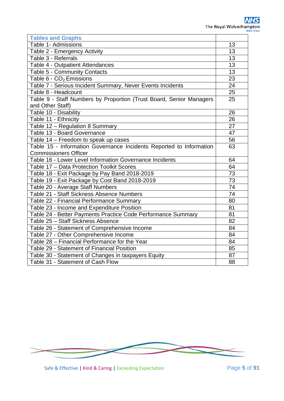| <b>Tables and Graphs</b>                                            |                 |  |  |  |  |  |
|---------------------------------------------------------------------|-----------------|--|--|--|--|--|
| Table 1- Admissions                                                 |                 |  |  |  |  |  |
| Table 2 - Emergency Activity                                        |                 |  |  |  |  |  |
| Table 3 - Referrals                                                 | 13              |  |  |  |  |  |
| Table 4 - Outpatient Attendances                                    | 13              |  |  |  |  |  |
| Table 5 - Community Contacts                                        | 13              |  |  |  |  |  |
| Table 6 - CO <sub>2</sub> Emissions                                 | 23              |  |  |  |  |  |
| Table 7 - Serious Incident Summary, Never Events Incidents          | 24              |  |  |  |  |  |
| Table 8 - Headcount                                                 | 25              |  |  |  |  |  |
| Table 9 - Staff Numbers by Proportion (Trust Board, Senior Managers | 25              |  |  |  |  |  |
| and Other Staff)                                                    |                 |  |  |  |  |  |
| Table 10 - Disability                                               | 26              |  |  |  |  |  |
| Table 11 - Ethnicity                                                | 26              |  |  |  |  |  |
| Table 12 - Regulation 8 Summary                                     | 27              |  |  |  |  |  |
| Table 13 - Board Governance                                         | 47              |  |  |  |  |  |
| Table 14 - Freedom to speak up cases                                | 56              |  |  |  |  |  |
| Table 15 - Information Governance Incidents Reported to Information |                 |  |  |  |  |  |
| <b>Commissioners Officer</b>                                        |                 |  |  |  |  |  |
| Table 16 - Lower Level Information Governance Incidents             | 64              |  |  |  |  |  |
| Table 17 - Data Protection Toolkit Scores                           | 64              |  |  |  |  |  |
| Table 18 - Exit Package by Pay Band 2018-2019                       | 73              |  |  |  |  |  |
| Table 19 - Exit Package by Cost Band 2018-2019                      | $\overline{73}$ |  |  |  |  |  |
| Table 20 - Average Staff Numbers                                    | 74              |  |  |  |  |  |
| Table 21 - Staff Sickness Absence Numbers                           | 74              |  |  |  |  |  |
| Table 22 - Financial Performance Summary                            | 80              |  |  |  |  |  |
| Table 23 - Income and Expenditure Position                          | 81              |  |  |  |  |  |
| Table 24 - Better Payments Practice Code Performance Summary        | 81<br>82        |  |  |  |  |  |
| Table 25 - Staff Sickness Absence                                   |                 |  |  |  |  |  |
| Table 26 - Statement of Comprehensive Income                        |                 |  |  |  |  |  |
| Table 27 - Other Comprehensive Income                               |                 |  |  |  |  |  |
| Table 28 - Financial Performance for the Year                       |                 |  |  |  |  |  |
| Table 29 - Statement of Financial Position                          | 85              |  |  |  |  |  |
| Table 30 - Statement of Changes in taxpayers Equity                 | 87              |  |  |  |  |  |
| Table 31 - Statement of Cash Flow                                   | 88              |  |  |  |  |  |



Safe & Effective | Kind & Caring | Exceeding Expectation Page 5 of 91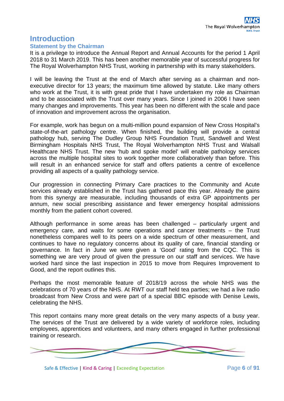## **Introduction**

#### **Statement by the Chairman**

It is a privilege to introduce the Annual Report and Annual Accounts for the period 1 April 2018 to 31 March 2019. This has been another memorable year of successful progress for The Royal Wolverhampton NHS Trust, working in partnership with its many stakeholders.

I will be leaving the Trust at the end of March after serving as a chairman and nonexecutive director for 13 years; the maximum time allowed by statute. Like many others who work at the Trust, it is with great pride that I have undertaken my role as Chairman and to be associated with the Trust over many years. Since I joined in 2006 I have seen many changes and improvements. This year has been no different with the scale and pace of innovation and improvement across the organisation.

For example, work has begun on a multi-million pound expansion of New Cross Hospital's state-of-the-art pathology centre. When finished, the building will provide a central pathology hub, serving The Dudley Group NHS Foundation Trust, Sandwell and West Birmingham Hospitals NHS Trust, The Royal Wolverhampton NHS Trust and Walsall Healthcare NHS Trust. The new 'hub and spoke model' will enable pathology services across the multiple hospital sites to work together more collaboratively than before. This will result in an enhanced service for staff and offers patients a centre of excellence providing all aspects of a quality pathology service.

Our progression in connecting Primary Care practices to the Community and Acute services already established in the Trust has gathered pace this year. Already the gains from this synergy are measurable, including thousands of extra GP appointments per annum, new social prescribing assistance and fewer emergency hospital admissions monthly from the patient cohort covered.

Although performance in some areas has been challenged – particularly urgent and emergency care, and waits for some operations and cancer treatments – the Trust nonetheless compares well to its peers on a wide spectrum of other measurement, and continues to have no regulatory concerns about its quality of care, financial standing or governance. In fact in June we were given a 'Good' rating from the CQC. This is something we are very proud of given the pressure on our staff and services. We have worked hard since the last inspection in 2015 to move from Requires Improvement to Good, and the report outlines this.

Perhaps the most memorable feature of 2018/19 across the whole NHS was the celebrations of 70 years of the NHS. At RWT our staff held tea parties; we had a live radio broadcast from New Cross and were part of a special BBC episode with Denise Lewis, celebrating the NHS.

This report contains many more great details on the very many aspects of a busy year. The services of the Trust are delivered by a wide variety of workforce roles, including employees, apprentices and volunteers, and many others engaged in further professional training or research.



Safe & Effective | Kind & Caring | Exceeding Expectation Page **6** of **91**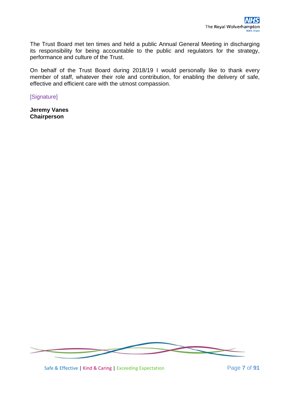The Trust Board met ten times and held a public Annual General Meeting in discharging its responsibility for being accountable to the public and regulators for the strategy, performance and culture of the Trust.

On behalf of the Trust Board during 2018/19 I would personally like to thank every member of staff, whatever their role and contribution, for enabling the delivery of safe, effective and efficient care with the utmost compassion.

[Signature]

**Jeremy Vanes Chairperson**



Safe & Effective | Kind & Caring | Exceeding Expectation Page **7** of **91**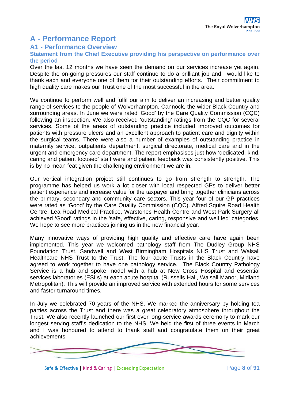## **A - Performance Report**

#### **A1 - Performance Overview**

#### **Statement from the Chief Executive providing his perspective on performance over the period**

Over the last 12 months we have seen the demand on our services increase yet again. Despite the on-going pressures our staff continue to do a brilliant job and I would like to thank each and everyone one of them for their outstanding efforts. Their commitment to high quality care makes our Trust one of the most successful in the area.

We continue to perform well and fulfil our aim to deliver an increasing and better quality range of services to the people of Wolverhampton, Cannock, the wider Black Country and surrounding areas. In June we were rated 'Good' by the Care Quality Commission (CQC) following an inspection. We also received 'outstanding' ratings from the CQC for several services. Some of the areas of outstanding practice included improved outcomes for patients with pressure ulcers and an excellent approach to patient care and dignity within the surgical teams. There were also a number of examples of outstanding practice in maternity service, outpatients department, surgical directorate, medical care and in the urgent and emergency care department. The report emphasises just how 'dedicated, kind, caring and patient focused' staff were and patient feedback was consistently positive. This is by no mean feat given the challenging environment we are in.

Our vertical integration project still continues to go from strength to strength. The programme has helped us work a lot closer with local respected GPs to deliver better patient experience and increase value for the taxpayer and bring together clinicians across the primary, secondary and community care sectors. This year four of our GP practices were rated as 'Good' by the Care Quality Commission (CQC). Alfred Squire Road Health Centre, Lea Road Medical Practice, Warstones Health Centre and West Park Surgery all achieved 'Good' ratings in the 'safe, effective, caring, responsive and well led' categories. We hope to see more practices joining us in the new financial year.

Many innovative ways of providing high quality and effective care have again been implemented. This year we welcomed pathology staff from The Dudley Group NHS Foundation Trust, Sandwell and West Birmingham Hospitals NHS Trust and Walsall Healthcare NHS Trust to the Trust. The four acute Trusts in the Black Country have agreed to work together to have one pathology service. The Black Country Pathology Service is a hub and spoke model with a hub at New Cross Hospital and essential services laboratories (ESLs) at each acute hospital (Russells Hall, Walsall Manor, Midland Metropolitan). This will provide an improved service with extended hours for some services and faster turnaround times.

In July we celebrated 70 years of the NHS. We marked the anniversary by holding tea parties across the Trust and there was a great celebratory atmosphere throughout the Trust. We also recently launched our first ever long-service awards ceremony to mark our longest serving staff's dedication to the NHS. We held the first of three events in March and I was honoured to attend to thank staff and congratulate them on their great achievements.



Safe & Effective | Kind & Caring | Exceeding Expectation Page **8** of **91**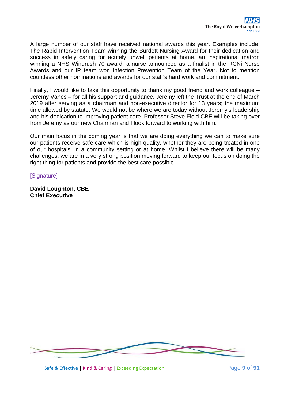A large number of our staff have received national awards this year. Examples include; The Rapid Intervention Team winning the Burdett Nursing Award for their dedication and success in safely caring for acutely unwell patients at home, an inspirational matron winning a NHS Windrush 70 award, a nurse announced as a finalist in the RCNi Nurse Awards and our IP team won Infection Prevention Team of the Year. Not to mention countless other nominations and awards for our staff's hard work and commitment.

Finally, I would like to take this opportunity to thank my good friend and work colleague – Jeremy Vanes – for all his support and guidance. Jeremy left the Trust at the end of March 2019 after serving as a chairman and non-executive director for 13 years; the maximum time allowed by statute. We would not be where we are today without Jeremy's leadership and his dedication to improving patient care. Professor Steve Field CBE will be taking over from Jeremy as our new Chairman and I look forward to working with him.

Our main focus in the coming year is that we are doing everything we can to make sure our patients receive safe care which is high quality, whether they are being treated in one of our hospitals, in a community setting or at home. Whilst I believe there will be many challenges, we are in a very strong position moving forward to keep our focus on doing the right thing for patients and provide the best care possible.

**[Signature]** 

**David Loughton, CBE Chief Executive**

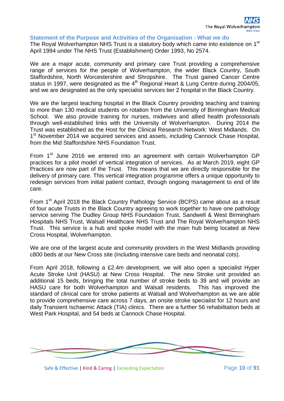#### **Statement of the Purpose and Activities of the Organisation - What we do**

The Royal Wolverhampton NHS Trust is a statutory body which came into existence on 1<sup>st</sup> April 1994 under The NHS Trust (Establishment) Order 1993, No 2574.

We are a major acute, community and primary care Trust providing a comprehensive range of services for the people of Wolverhampton, the wider Black Country, South Staffordshire, North Worcestershire and Shropshire. The Trust gained Cancer Centre status in 1997, were designated as the 4<sup>th</sup> Regional Heart & Lung Centre during 2004/05, and we are designated as the only specialist services tier 2 hospital in the Black Country.

We are the largest teaching hospital in the Black Country providing teaching and training to more than 130 medical students on rotation from the University of Birmingham Medical School. We also provide training for nurses, midwives and allied health professionals through well-established links with the University of Wolverhampton. During 2014 the Trust was established as the Host for the Clinical Research Network: West Midlands. On 1<sup>st</sup> November 2014 we acquired services and assets, including Cannock Chase Hospital, from the Mid Staffordshire NHS Foundation Trust.

From 1<sup>st</sup> June 2016 we entered into an agreement with certain Wolverhampton GP practices for a pilot model of vertical integration of services. As at March 2019, eight GP Practices are now part of the Trust. This means that we are directly responsible for the delivery of primary care. This vertical integration programme offers a unique opportunity to redesign services from initial patient contact, through ongoing management to end of life care.

From 1<sup>st</sup> April 2018 the Black Country Pathology Service (BCPS) came about as a result of four acute Trusts in the Black Country agreeing to work together to have one pathology service serving The Dudley Group NHS Foundation Trust, Sandwell & West Birmingham Hospitals NHS Trust, Walsall Healthcare NHS Trust and The Royal Wolverhampton NHS Trust. This service is a hub and spoke model with the main hub being located at New Cross Hospital, Wolverhampton.

We are one of the largest acute and community providers in the West Midlands providing c800 beds at our New Cross site (including intensive care beds and neonatal cots).

From April 2018, following a £2.4m development, we will also open a specialist Hyper Acute Stroke Unit (HASU) at New Cross Hospital. The new Stroke unit provided an additional 15 beds, bringing the total number of stroke beds to 39 and will provide an HASU care for both Wolverhampton and Walsall residents. This has improved the standard of clinical care for stroke patients at Walsall and Wolverhampton as we are able to provide comprehensive care across 7 days, an onsite stroke specialist for 12 hours and daily Transient Ischaemic Attack (TIA) clinics. There are a further 56 rehabilitation beds at West Park Hospital, and 54 beds at Cannock Chase Hospital.



Safe & Effective | Kind & Caring | Exceeding Expectation Page 10 of 91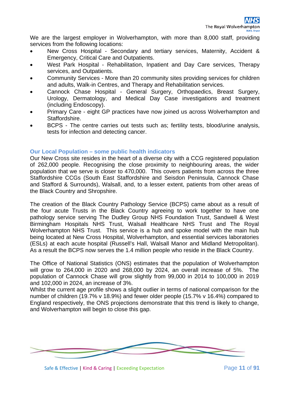We are the largest employer in Wolverhampton, with more than 8,000 staff, providing services from the following locations:

- New Cross Hospital Secondary and tertiary services, Maternity, Accident & Emergency, Critical Care and Outpatients.
- West Park Hospital Rehabilitation, Inpatient and Day Care services, Therapy services, and Outpatients.
- Community Services More than 20 community sites providing services for children and adults, Walk-in Centres, and Therapy and Rehabilitation services.
- Cannock Chase Hospital General Surgery, Orthopaedics, Breast Surgery, Urology, Dermatology, and Medical Day Case investigations and treatment (including Endoscopy).
- Primary Care eight GP practices have now joined us across Wolverhampton and Staffordshire.
- BCPS The centre carries out tests such as; fertility tests, blood/urine analysis, tests for infection and detecting cancer.

#### **Our Local Population – some public health indicators**

Our New Cross site resides in the heart of a diverse city with a CCG registered population of 262,000 people. Recognising the close proximity to neighbouring areas, the wider population that we serve is closer to 470,000. This covers patients from across the three Staffordshire CCGs (South East Staffordshire and Seisdon Peninsula, Cannock Chase and Stafford & Surrounds), Walsall, and, to a lesser extent, patients from other areas of the Black Country and Shropshire.

The creation of the Black Country Pathology Service (BCPS) came about as a result of the four acute Trusts in the Black Country agreeing to work together to have one pathology service serving The Dudley Group NHS Foundation Trust, Sandwell & West Birmingham Hospitals NHS Trust, Walsall Healthcare NHS Trust and The Royal Wolverhampton NHS Trust. This service is a hub and spoke model with the main hub being located at New Cross Hospital, Wolverhampton, and essential services laboratories (ESLs) at each acute hospital (Russell's Hall, Walsall Manor and Midland Metropolitan). As a result the BCPS now serves the 1.4 million people who reside in the Black Country.

The Office of National Statistics (ONS) estimates that the population of Wolverhampton will grow to 264,000 in 2020 and 268,000 by 2024, an overall increase of 5%. The population of Cannock Chase will grow slightly from 99,000 in 2014 to 100,000 in 2019 and 102,000 in 2024, an increase of 3%.

Whilst the current age profile shows a slight outlier in terms of national comparison for the number of children (19.7% v 18.9%) and fewer older people (15.7% v 16.4%) compared to England respectively, the ONS projections demonstrate that this trend is likely to change, and Wolverhampton will begin to close this gap.



Safe & Effective | Kind & Caring | Exceeding Expectation Page 11 of 91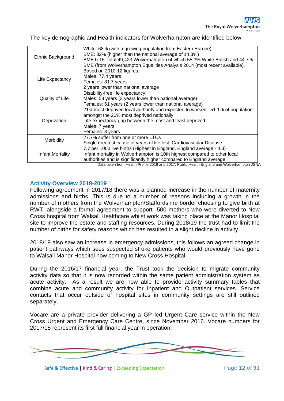The key demographic and Health indicators for Wolverhampton are identified below:

| White: 68% (with a growing population from Eastern Europe)<br>BME: 32% (higher than the national average of 14.3%)<br>BME 0-15: total 49,423 Wolverhampton of which 55.3% White British and 44.7%<br>BME (from Wolverhampton Equalities Analysis 2014 (most recent available).                                         |
|------------------------------------------------------------------------------------------------------------------------------------------------------------------------------------------------------------------------------------------------------------------------------------------------------------------------|
| Based on 2010-12 figures:<br>Males: 77.4 years                                                                                                                                                                                                                                                                         |
| Females: 81.7 years<br>2 years lower than national average                                                                                                                                                                                                                                                             |
| Disability-free life expectancy:<br>Males: 58 years (3 years lower than national average)<br>Females: 61 years (2 years lower than national average)                                                                                                                                                                   |
| 21st most deprived local authority and expected to worsen. 51.1% of population<br>amongst the 20% most deprived nationally<br>Life expectancy gap between the most and least deprived:<br>Males: 7 years<br>Females: 3 years                                                                                           |
| 27.7% suffer from one or more LTCs<br>Single greatest cause of years of life lost: Cardiovascular Disease                                                                                                                                                                                                              |
| 7.7 per 1000 live births (Highest in England. England average - 4.3)<br>Infant mortality in Wolverhampton is 10th highest compared to other local<br>authorities and is significantly higher compared to England average<br>Data taken from Health Profile 2016 and 2017, Public Health England and Wolverhampton JSNA |
|                                                                                                                                                                                                                                                                                                                        |

#### **Activity Overview 2018-2019**

Following agreement in 2017/18 there was a planned increase in the number of maternity admissions and births. This is due to a number of reasons including a growth in the number of mothers from the Wolverhampton/Staffordshire border choosing to give birth at RWT, alongside a formal agreement to support 500 mothers who were diverted to New Cross hospital from Walsall Healthcare whilst work was taking place at the Manor Hospital site to improve the estate and staffing resources. During 2018/19 the trust had to limit the number of births for safety reasons which has resulted in a slight decline in activity.

2018/19 also saw an increase in emergency admissions, this follows an agreed change in patient pathways which sees suspected stroke patients who would previously have gone to Walsall Manor Hospital now coming to New Cross Hospital.

During the 2016/17 financial year, the Trust took the decision to migrate community activity data so that it is now recorded within the same patient administration system as acute activity. As a result we are now able to provide activity summary tables that combine acute and community activity for Inpatient and Outpatient services. Service contacts that occur outside of hospital sites in community settings are still outlined separately.

Vocare are a private provider delivering a GP led Urgent Care service within the New Cross Urgent and Emergency Care Centre, since November 2016. Vocare numbers for 2017/18 represent its first full financial year in operation.



Safe & Effective | Kind & Caring | Exceeding Expectation Page 12 of 91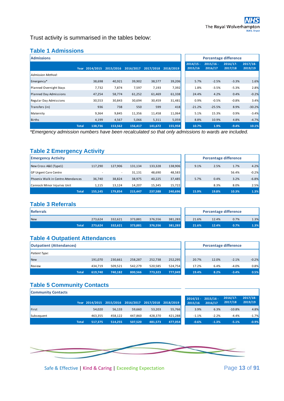Trust activity is summarised in the tables below:

#### **Table 1 Admissions**

| <b>Admissions</b>       |              |                |           |           |           |           |                        | Percentage difference  |                        |                       |
|-------------------------|--------------|----------------|-----------|-----------|-----------|-----------|------------------------|------------------------|------------------------|-----------------------|
|                         |              | Year 2014/2015 | 2015/2016 | 2016/2017 | 2017/2018 | 2018/2019 | $2014/15 -$<br>2015/16 | $2015/16 -$<br>2016/17 | $2016/17 -$<br>2017/18 | $2017/18-$<br>2019/19 |
| Admission Method:       |              |                |           |           |           |           |                        |                        |                        |                       |
| Emergency*              |              | 38,698         | 40,921    | 39,902    | 38,577    | 39,206    | 5.7%                   | $-2.5%$                | $-3.3%$                | 1.6%                  |
| Planned Overnight Stays |              | 7,732          | 7,874     | 7,597     | 7,193     | 7,392     | 1.8%                   | $-3.5%$                | $-5.3%$                | 2.8%                  |
| Planned Day Admissions  |              | 47,254         | 58,774    | 61,252    | 61,469    | 61,338    | 24.4%                  | 4.2%                   | 0.4%                   | $-0.2%$               |
| Regular Day Admissions  |              | 30,553         | 30,843    | 30,694    | 30,459    | 31,481    | 0.9%                   | $-0.5%$                | $-0.8%$                | 3.4%                  |
| Transfers (in)          |              | 936            | 738       | 550       | 599       | 418       | $-21.2%$               | $-25.5%$               | 8.9%                   | $-30.2%$              |
| Maternity               |              | 9,364          | 9,845     | 11,356    | 11,458    | 11,064    | 5.1%                   | 15.3%                  | 0.9%                   | $-3.4%$               |
| <b>Births</b>           |              | 4,199          | 4,567     | 5,066     | 5,311     | 5,059     | 8.8%                   | 10.9%                  | 4.8%                   | $-4.7%$               |
|                         | <b>Total</b> | 138,736        | 153,562   | 156,417   | 141,672   | 155,958   | 10.7%                  | 1.9%                   | $-9.4%$                | 10.1%                 |

*\*Emergency admission numbers have been recalculated so that only admissions to wards are included.* 

#### **Table 2 Emergency Activity**

| <b>Emergency Activity</b>          |         |                          |         |         |         |       | <b>Percentage difference</b> |       |         |
|------------------------------------|---------|--------------------------|---------|---------|---------|-------|------------------------------|-------|---------|
| New Cross A&E (Type1)              | 117,290 | 127.906                  | 131,134 | 133,328 | 138,906 | 9.1%  | 2.5%                         | 1.7%  | 4.2%    |
| <b>GP Urgent Care Centre</b>       |         | $\overline{\phantom{a}}$ | 31,131  | 48,690  | 48,583  |       |                              | 56.4% | $-0.2%$ |
| Phoenix Walk in Centre Attendances | 36,740  | 38,824                   | 38,975  | 40,225  | 37,485  | 5.7%  | 0.4%                         | 3.2%  | $-6.8%$ |
| Cannock Minor Injuries Unit        | 1.115   | 13.124                   | 14.207  | 15.345  | 15,722  |       | 8.3%                         | 8.0%  | 2.5%    |
| <b>Total</b>                       | 155.145 | 179.854                  | 215,447 | 237,588 | 240,696 | 15.9% | 19.8%                        | 10.3% | 1.3%    |

#### **Table 3 Referrals**

| Referrals  |       |         |         |         |         |         | <b>Percentage difference</b> |       |      |      |
|------------|-------|---------|---------|---------|---------|---------|------------------------------|-------|------|------|
| <b>New</b> |       | 273,624 | 332.621 | 373.881 | 376.556 | 381,283 | 21.6%                        | 12.4% | 0.7% | 1.3% |
|            | Total | 273.624 | 332,621 | 373,881 | 376.556 | 381,283 | 21.6%                        | 12.4% | 0.7% | 1.3% |

#### **Table 4 Outpatient Attendances**

| <b>Outpatient (Attendances)</b> |              |         |         |         |         |         |       | <b>Percentage difference</b> |         |         |
|---------------------------------|--------------|---------|---------|---------|---------|---------|-------|------------------------------|---------|---------|
| <b>Patient Type:</b>            |              |         |         |         |         |         |       |                              |         |         |
| New                             |              | 191,070 | 230,661 | 258,287 | 252,738 | 252,295 | 20.7% | 12.0%                        | $-2.1%$ | $-0.2%$ |
| Review                          |              | 434.719 | 509,521 | 542,279 | 520,585 | 524,754 | 17.2% | 6.4%                         | $-4.0%$ | 0.8%    |
|                                 | <b>Total</b> | 619,740 | 740,182 | 800,566 | 773.323 | 777,049 | 19.4% | 8.2%                         | $-3.4%$ | 0.5%    |

|       | <b>Percentage difference</b> |         |         |
|-------|------------------------------|---------|---------|
|       |                              |         |         |
| 20.7% | 12.0%                        | $-2.1%$ | $-0.2%$ |
| 17.2% | 6.4%                         | $-4.0%$ | 0.8%    |
| 19 4% | 8.2%                         | $-3.4%$ | በ 5%    |

#### **Table 5 Community Contacts Community Contacts**

| <b>COMMITTED CONTRACTS</b> |              |         |         |                                                        |         |         |                                  |         |                        |                       |
|----------------------------|--------------|---------|---------|--------------------------------------------------------|---------|---------|----------------------------------|---------|------------------------|-----------------------|
|                            |              |         |         | Year 2014/2015 2015/2016 2016/2017 2017/2018 2018/2019 |         |         | $2014/15 - 2015/16 -$<br>2015/16 | 2016/17 | $2016/17 -$<br>2017/18 | $2017/18-$<br>2019/19 |
| First                      |              | 54,020  | 56,133  | 59,660                                                 | 53,203  | 55,766  | 3.9%                             | 6.3%    | $-10.8%$               | 4.8%                  |
| Subsequent                 |              | 463.355 | 458.122 | 447.860                                                | 428.370 | 421,288 | $-1.1%$                          | $-2.2%$ | $-4.4%$                | $-1.7%$               |
|                            | <b>Total</b> | 517,375 | 514,255 | 507.520                                                | 481.573 | 477,054 | $-0.6%$                          | $-1.3%$ | $-5.1%$                | $-0.9%$               |

| $2014/15 -$<br>2015/16 | $2015/16 -$<br>2016/17 | 2016/17-<br>2017/18 | $2017/18-$<br>2019/19 |
|------------------------|------------------------|---------------------|-----------------------|
| 3.9%                   | 6.3%                   | $-10.8%$            | 4.8%                  |
| $-1.1%$                | $-2.2%$                | $-4.4%$             | $-1.7%$               |
| $-0.6%$                | $-1.3%$                | $-5.1%$             | $-0.9%$               |



Safe & Effective | Kind & Caring | Exceeding Expectation Page 13 of 91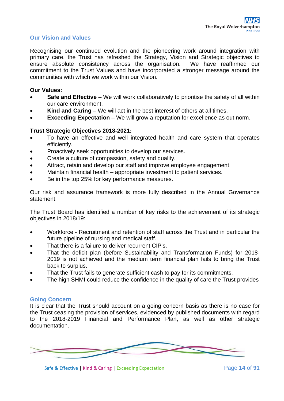#### **Our Vision and Values**

Recognising our continued evolution and the pioneering work around integration with primary care, the Trust has refreshed the Strategy, Vision and Strategic objectives to<br>ensure absolute consistency across the organisation. We have reaffirmed our ensure absolute consistency across the organisation. commitment to the Trust Values and have incorporated a stronger message around the communities with which we work within our Vision.

#### **Our Values:**

- **Safe and Effective** We will work collaboratively to prioritise the safety of all within our care environment.
- **Kind and Caring** We will act in the best interest of others at all times.
- **Exceeding Expectation** We will grow a reputation for excellence as out norm.

#### **Trust Strategic Objectives 2018-2021:**

- To have an effective and well integrated health and care system that operates efficiently.
- Proactively seek opportunities to develop our services.
- Create a culture of compassion, safety and quality.
- Attract, retain and develop our staff and improve employee engagement.
- Maintain financial health appropriate investment to patient services.
- Be in the top 25% for key performance measures.

Our risk and assurance framework is more fully described in the Annual Governance statement.

The Trust Board has identified a number of key risks to the achievement of its strategic objectives in 2018/19:

- Workforce Recruitment and retention of staff across the Trust and in particular the future pipeline of nursing and medical staff.
- That there is a failure to deliver recurrent CIP's.
- That the deficit plan (before Sustainability and Transformation Funds) for 2018- 2019 is not achieved and the medium term financial plan fails to bring the Trust back to surplus.
- That the Trust fails to generate sufficient cash to pay for its commitments.
- The high SHMI could reduce the confidence in the quality of care the Trust provides

#### **Going Concern**

It is clear that the Trust should account on a going concern basis as there is no case for the Trust ceasing the provision of services, evidenced by published documents with regard to the 2018-2019 Financial and Performance Plan, as well as other strategic documentation.

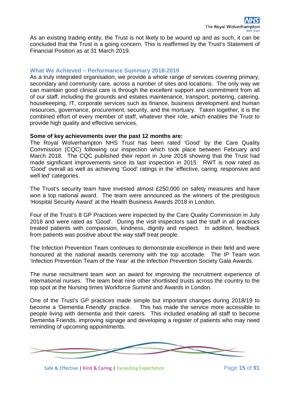As an existing trading entity, the Trust is not likely to be wound up and as such, it can be concluded that the Trust is a going concern. This is reaffirmed by the Trust's Statement of Financial Position as at 31 March 2019.

#### **What We Achieved – Performance Summary 2018-2019**

As a truly integrated organisation, we provide a whole range of services covering primary, secondary and community care, across a number of sites and locations. The only way we can maintain good clinical care is through the excellent support and commitment from all of our staff, including the grounds and estates maintenance, transport, portering, catering, housekeeping, IT, corporate services such as finance, business development and human resources, governance, procurement, security, and the mortuary. Taken together, it is the combined effort of every member of staff, whatever their role, which enables the Trust to provide high quality and effective services.

#### **Some of key achievements over the past 12 months are:**

The Royal Wolverhampton NHS Trust has been rated 'Good' by the Care Quality Commission (CQC) following our inspection which took place between February and March 2018. The CQC published their report in June 2018 showing that the Trust had made significant improvements since its last inspection in 2015. RWT is now rated as 'Good' overall as well as achieving 'Good' ratings in the 'effective, caring, responsive and well led' categories.

The Trust's security team have invested almost £250,000 on safety measures and have won a top national award. The team were announced as the winners of the prestigious 'Hospital Security Award' at the Health Business Awards 2018 in London.

Four of the Trust's 8 GP Practices were inspected by the Care Quality Commission in July 2018 and were rated as 'Good'. During the visit inspectors said the staff in all practices treated patients with compassion, kindness, dignity and respect. In addition, feedback from patients was positive about the way staff treat people.

The Infection Prevention Team continues to demonstrate excellence in their field and were honoured at the national awards ceremony with the top accolade. The IP Team won 'Infection Prevention Team of the Year' at the Infection Prevention Society Gala Awards.

The nurse recruitment team won an award for improving the recruitment experience of international nurses. The team beat nine other shortlisted trusts across the country to the top spot at the Nursing times Workforce Summit and Awards in London.

One of the Trust's GP practices made simple but important changes during 2018/19 to become a 'Dementia Friendly' practice. This has made the service more accessible to people living with dementia and their carers. This included enabling all staff to become Dementia Friends, improving signage and developing a register of patients who may need reminding of upcoming appointments.

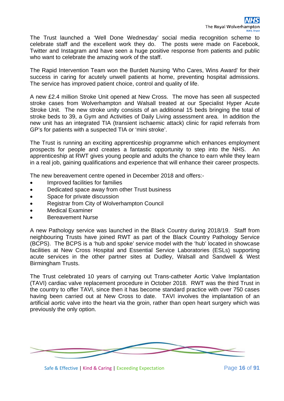The Trust launched a 'Well Done Wednesday' social media recognition scheme to celebrate staff and the excellent work they do. The posts were made on Facebook, Twitter and Instagram and have seen a huge positive response from patients and public who want to celebrate the amazing work of the staff.

The Rapid Intervention Team won the Burdett Nursing 'Who Cares, Wins Award' for their success in caring for acutely unwell patients at home, preventing hospital admissions. The service has improved patient choice, control and quality of life.

A new £2.4 million Stroke Unit opened at New Cross. The move has seen all suspected stroke cases from Wolverhampton and Walsall treated at our Specialist Hyper Acute Stroke Unit. The new stroke unity consists of an additional 15 beds bringing the total of stroke beds to 39, a Gym and Activities of Daily Living assessment area. In addition the new unit has an integrated TIA (transient ischaemic attack) clinic for rapid referrals from GP's for patients with a suspected TIA or 'mini stroke'.

The Trust is running an exciting apprenticeship programme which enhances employment prospects for people and creates a fantastic opportunity to step into the NHS. An apprenticeship at RWT gives young people and adults the chance to earn while they learn in a real job, gaining qualifications and experience that will enhance their career prospects.

The new bereavement centre opened in December 2018 and offers:-

- Improved facilities for families
- Dedicated space away from other Trust business
- Space for private discussion
- Registrar from City of Wolverhampton Council
- Medical Examiner
- Bereavement Nurse

A new Pathology service was launched in the Black Country during 2018/19. Staff from neighbouring Trusts have joined RWT as part of the Black Country Pathology Service (BCPS). The BCPS is a 'hub and spoke' service model with the 'hub' located in showcase facilities at New Cross Hospital and Essential Service Laboratories (ESLs) supporting acute services in the other partner sites at Dudley, Walsall and Sandwell & West Birmingham Trusts.

The Trust celebrated 10 years of carrying out Trans-catheter Aortic Valve Implantation (TAVI) cardiac valve replacement procedure in October 2018. RWT was the third Trust in the country to offer TAVI, since then it has become standard practice with over 750 cases having been carried out at New Cross to date. TAVI involves the implantation of an artificial aortic valve into the heart via the groin, rather than open heart surgery which was previously the only option.



Safe & Effective | Kind & Caring | Exceeding Expectation Page 16 of 91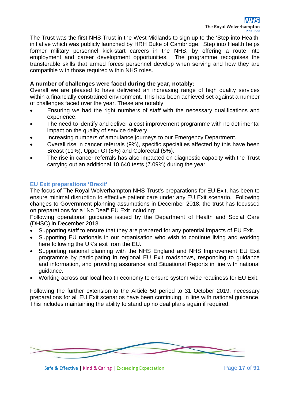The Trust was the first NHS Trust in the West Midlands to sign up to the 'Step into Health' initiative which was publicly launched by HRH Duke of Cambridge. Step into Health helps former military personnel kick-start careers in the NHS, by offering a route into employment and career development opportunities. The programme recognises the transferable skills that armed forces personnel develop when serving and how they are compatible with those required within NHS roles.

#### **A number of challenges were faced during the year, notably:**

Overall we are pleased to have delivered an increasing range of high quality services within a financially constrained environment. This has been achieved set against a number of challenges faced over the year. These are notably:

- Ensuring we had the right numbers of staff with the necessary qualifications and experience.
- The need to identify and deliver a cost improvement programme with no detrimental impact on the quality of service delivery.
- Increasing numbers of ambulance journeys to our Emergency Department.
- Overall rise in cancer referrals (9%), specific specialties affected by this have been Breast (11%), Upper GI (8%) and Colorectal (5%).
- The rise in cancer referrals has also impacted on diagnostic capacity with the Trust carrying out an additional 10,640 tests (7.09%) during the year.

#### **EU Exit preparations 'Brexit'**

The focus of The Royal Wolverhampton NHS Trust's preparations for EU Exit, has been to ensure minimal disruption to effective patient care under any EU Exit scenario. Following changes to Government planning assumptions in December 2018, the trust has focussed on preparations for a "No Deal" EU Exit including:

Following operational guidance issued by the Department of Health and Social Care (DHSC) in December 2018.

- Supporting staff to ensure that they are prepared for any potential impacts of EU Exit.
- Supporting EU nationals in our organisation who wish to continue living and working here following the UK's exit from the EU.
- Supporting national planning with the NHS England and NHS Improvement EU Exit programme by participating in regional EU Exit roadshows, responding to guidance and information, and providing assurance and Situational Reports in line with national guidance.
- Working across our local health economy to ensure system wide readiness for EU Exit.

Following the further extension to the Article 50 period to 31 October 2019, necessary preparations for all EU Exit scenarios have been continuing, in line with national guidance. This includes maintaining the ability to stand up no deal plans again if required.

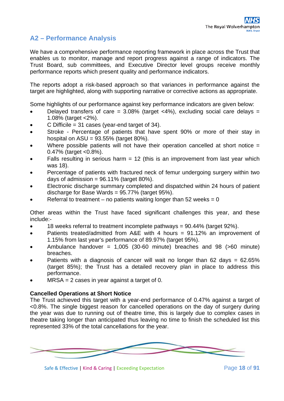### **A2 – Performance Analysis**

We have a comprehensive performance reporting framework in place across the Trust that enables us to monitor, manage and report progress against a range of indicators. The Trust Board, sub committees, and Executive Director level groups receive monthly performance reports which present quality and performance indicators.

The reports adopt a risk-based approach so that variances in performance against the target are highlighted, along with supporting narrative or corrective actions as appropriate.

Some highlights of our performance against key performance indicators are given below:

- Delayed transfers of care =  $3.08\%$  (target <4%), excluding social care delays = 1.08% (target <2%).
- $C$  Difficile = 31 cases (year-end target of 34).
- Stroke Percentage of patients that have spent 90% or more of their stay in hospital on  $ASU = 93.55\%$  (target  $80\%$ ).
- Where possible patients will not have their operation cancelled at short notice  $=$ 0.47% (target <0.8%).
- Falls resulting in serious harm  $= 12$  (this is an improvement from last year which was 18).
- Percentage of patients with fractured neck of femur undergoing surgery within two days of admission =  $96.11\%$  (target 80%).
- Electronic discharge summary completed and dispatched within 24 hours of patient discharge for Base Wards = 95.77% (target 95%).
- Referral to treatment no patients waiting longer than 52 weeks =  $0$

Other areas within the Trust have faced significant challenges this year, and these include:-

- 18 weeks referral to treatment incomplete pathways = 90.44% (target 92%).
- Patients treated/admitted from A&E with 4 hours = 91.12% an improvement of 1.15% from last year's performance of 89.97% (target 95%).
- Ambulance handover =  $1,005$  (30-60 minute) breaches and 98 (>60 minute) breaches.
- Patients with a diagnosis of cancer will wait no longer than  $62$  days =  $62.65\%$ (target 85%); the Trust has a detailed recovery plan in place to address this performance.
- $MRSA = 2$  cases in year against a target of 0.

#### **Cancelled Operations at Short Notice**

The Trust achieved this target with a year-end performance of 0.47% against a target of <0.8%. The single biggest reason for cancelled operations on the day of surgery during the year was due to running out of theatre time, this is largely due to complex cases in theatre taking longer than anticipated thus leaving no time to finish the scheduled list this represented 33% of the total cancellations for the year.

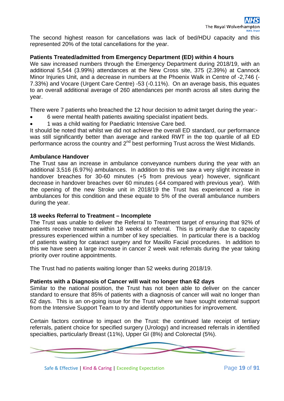The second highest reason for cancellations was lack of bed/HDU capacity and this represented 20% of the total cancellations for the year.

#### **Patients Treated/admitted from Emergency Department (ED) within 4 hours**

We saw increased numbers through the Emergency Department during 2018/19, with an additional 5,544 (3.99%) attendances at the New Cross site, 375 (2.39%) at Cannock Minor Injuries Unit, and a decrease in numbers at the Phoenix Walk in Centre of -2,746 (- 7.33%) and Vocare (Urgent Care Centre) -53 (-0.11%). On an average basis, this equates to an overall additional average of 260 attendances per month across all sites during the year.

There were 7 patients who breached the 12 hour decision to admit target during the year:-

- 6 were mental health patients awaiting specialist inpatient beds.
- 1 was a child waiting for Paediatric Intensive Care bed.

It should be noted that whilst we did not achieve the overall ED standard, our performance was still significantly better than average and ranked RWT in the top quartile of all ED performance across the country and  $2^{nd}$  best performing Trust across the West Midlands.

#### **Ambulance Handover**

The Trust saw an increase in ambulance conveyance numbers during the year with an additional 3,516 (6.97%) ambulances. In addition to this we saw a very slight increase in handover breaches for 30-60 minutes (+5 from previous year) however, significant decrease in handover breaches over 60 minutes (-64 compared with previous year). With the opening of the new Stroke unit in 2018/19 the Trust has experienced a rise in ambulances for this condition and these equate to 5% of the overall ambulance numbers during the year.

#### **18 weeks Referral to Treatment – Incomplete**

The Trust was unable to deliver the Referral to Treatment target of ensuring that 92% of patients receive treatment within 18 weeks of referral. This is primarily due to capacity pressures experienced within a number of key specialties. In particular there is a backlog of patients waiting for cataract surgery and for Maxillo Facial procedures. In addition to this we have seen a large increase in cancer 2 week wait referrals during the year taking priority over routine appointments.

The Trust had no patients waiting longer than 52 weeks during 2018/19.

#### **Patients with a Diagnosis of Cancer will wait no longer than 62 days**

Similar to the national position, the Trust has not been able to deliver on the cancer standard to ensure that 85% of patients with a diagnosis of cancer will wait no longer than 62 days. This is an on-going issue for the Trust where we have sought external support from the Intensive Support Team to try and identify opportunities for improvement.

Certain factors continue to impact on the Trust: the continued late receipt of tertiary referrals, patient choice for specified surgery (Urology) and increased referrals in identified specialties, particularly Breast (11%), Upper GI (8%) and Colorectal (5%).



Safe & Effective | Kind & Caring | Exceeding Expectation Page **19** of **91**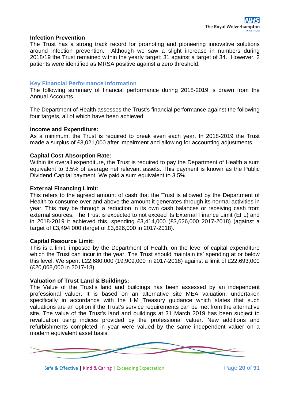#### **Infection Prevention**

The Trust has a strong track record for promoting and pioneering innovative solutions around infection prevention. Although we saw a slight increase in numbers during 2018/19 the Trust remained within the yearly target; 31 against a target of 34. However, 2 patients were identified as MRSA positive against a zero threshold.

#### **Key Financial Performance Information**

The following summary of financial performance during 2018-2019 is drawn from the Annual Accounts.

The Department of Health assesses the Trust's financial performance against the following four targets, all of which have been achieved:

#### **Income and Expenditure:**

As a minimum, the Trust is required to break even each year. In 2018-2019 the Trust made a surplus of £3,021,000 after impairment and allowing for accounting adjustments.

#### **Capital Cost Absorption Rate:**

Within its overall expenditure, the Trust is required to pay the Department of Health a sum equivalent to 3.5% of average net relevant assets. This payment is known as the Public Dividend Capital payment. We paid a sum equivalent to 3.5%.

#### **External Financing Limit:**

This refers to the agreed amount of cash that the Trust is allowed by the Department of Health to consume over and above the amount it generates through its normal activities in year. This may be through a reduction in its own cash balances or receiving cash from external sources. The Trust is expected to not exceed its External Finance Limit (EFL) and in 2018-2019 it achieved this, spending £3,414,000 (£3,626,000 2017-2018) (against a target of £3,494,000 (target of £3,626,000 in 2017-2018).

#### **Capital Resource Limit:**

This is a limit, imposed by the Department of Health, on the level of capital expenditure which the Trust can incur in the year. The Trust should maintain its' spending at or below this level. We spent £22,680,000 (19,909,000 in 2017-2018) against a limit of £22,693,000 (£20,068,000 in 2017-18).

#### **Valuation of Trust Land & Buildings:**

The Value of the Trust's land and buildings has been assessed by an independent professional valuer. It is based on an alternative site MEA valuation, undertaken specifically in accordance with the HM Treasury guidance which states that such valuations are an option if the Trust's service requirements can be met from the alternative site. The value of the Trust's land and buildings at 31 March 2019 has been subject to revaluation using indices provided by the professional valuer. New additions and refurbishments completed in year were valued by the same independent valuer on a modern equivalent asset basis.



Safe & Effective | Kind & Caring | Exceeding Expectation Page **20** of **91**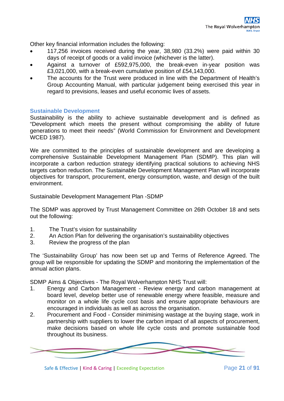Other key financial information includes the following:

- 117,256 invoices received during the year, 38,980 (33.2%) were paid within 30 days of receipt of goods or a valid invoice (whichever is the latter).
- Against a turnover of £592,975,000, the break-even in-year position was £3,021,000, with a break-even cumulative position of £54,143,000.
- The accounts for the Trust were produced in line with the Department of Health's Group Accounting Manual, with particular judgement being exercised this year in regard to previsions, leases and useful economic lives of assets.

#### **Sustainable Development**

Sustainability is the ability to achieve sustainable development and is defined as "Development which meets the present without compromising the ability of future generations to meet their needs" (World Commission for Environment and Development WCED 1987).

We are committed to the principles of sustainable development and are developing a comprehensive Sustainable Development Management Plan (SDMP). This plan will incorporate a carbon reduction strategy identifying practical solutions to achieving NHS targets carbon reduction. The Sustainable Development Management Plan will incorporate objectives for transport, procurement, energy consumption, waste, and design of the built environment.

Sustainable Development Management Plan -SDMP

The SDMP was approved by Trust Management Committee on 26th October 18 and sets out the following:

- 1. The Trust's vision for sustainability
- 2. An Action Plan for delivering the organisation's sustainability objectives
- 3. Review the progress of the plan

The 'Sustainability Group' has now been set up and Terms of Reference Agreed. The group will be responsible for updating the SDMP and monitoring the implementation of the annual action plans.

SDMP Aims & Objectives - The Royal Wolverhampton NHS Trust will:

- 1. Energy and Carbon Management Review energy and carbon management at board level, develop better use of renewable energy where feasible, measure and monitor on a whole life cycle cost basis and ensure appropriate behaviours are encouraged in individuals as well as across the organisation.
- 2. Procurement and Food Consider minimising wastage at the buying stage, work in partnership with suppliers to lower the carbon impact of all aspects of procurement, make decisions based on whole life cycle costs and promote sustainable food throughout its business.



Safe & Effective | Kind & Caring | Exceeding Expectation Page **21** of **91**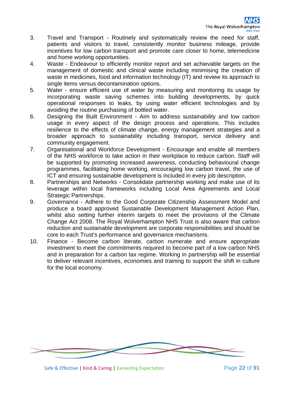- 3. Travel and Transport Routinely and systematically review the need for staff, patients and visitors to travel, consistently monitor business mileage, provide incentives for low carbon transport and promote care closer to home, telemedicine and home working opportunities.
- 4. Waste Endeavour to efficiently monitor report and set achievable targets on the management of domestic and clinical waste including minimising the creation of waste in medicines, food and information technology (IT) and review its approach to single items versus decontamination options.
- 5. Water ensure efficient use of water by measuring and monitoring its usage by incorporating waste saving schemes into building developments, by quick operational responses to leaks, by using water efficient technologies and by avoiding the routine purchasing of bottled water.
- 6. Designing the Built Environment Aim to address sustainability and low carbon usage in every aspect of the design process and operations. This includes resilience to the effects of climate change, energy management strategies and a broader approach to sustainability including transport, service delivery and community engagement.
- 7. Organisational and Workforce Development Encourage and enable all members of the NHS workforce to take action in their workplace to reduce carbon. Staff will be supported by promoting increased awareness, conducting behavioural change programmes, facilitating home working, encouraging low carbon travel, the use of ICT and ensuring sustainable development is included in every job description.
- 8. Partnerships and Networks Consolidate partnership working and make use of its leverage within local frameworks including Local Area Agreements and Local Strategic Partnerships.
- 9. Governance Adhere to the Good Corporate Citizenship Assessment Model and produce a board approved Sustainable Development Management Action Plan, whilst also setting further interim targets to meet the provisions of the Climate Change Act 2008. The Royal Wolverhampton NHS Trust is also aware that carbon reduction and sustainable development are corporate responsibilities and should be core to each Trust's performance and governance mechanisms.
- 10. Finance Become carbon literate, carbon numerate and ensure appropriate investment to meet the commitments required to become part of a low carbon NHS and in preparation for a carbon tax regime. Working in partnership will be essential to deliver relevant incentives, economies and training to support the shift in culture for the local economy.



Safe & Effective | Kind & Caring | Exceeding Expectation Page **22** of **91**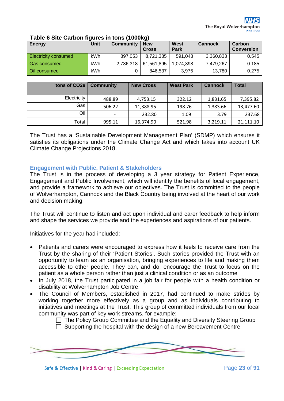| Energy                      | Unit | Community | <b>New</b><br><b>Cross</b> | West<br>Park | <b>Cannock</b> | Carbon<br><b>Conversion</b> |
|-----------------------------|------|-----------|----------------------------|--------------|----------------|-----------------------------|
| <b>Electricity consumed</b> | kWh  | 897.053   | 8,721,385                  | 591,043      | 3,360,833      | 0.545                       |
| <b>Gas consumed</b>         | kWh  | 2,736,318 | 61,561,895                 | 1.074.398    | 7,479,267      | 0.185                       |
| Oil consumed                | kWh  |           | 846,537                    | 3,975        | 13,780         | 0.275                       |

#### **Table 6 Site Carbon figures in tons (1000kg)**

| tons of CO <sub>2e</sub> | <b>Community</b>         | <b>New Cross</b> | <b>West Park</b> | <b>Cannock</b> | <b>Total</b> |
|--------------------------|--------------------------|------------------|------------------|----------------|--------------|
| Electricity              | 488.89                   | 4,753.15         | 322.12           | 1,831.65       | 7,395.82     |
| Gas                      | 506.22                   | 11,388.95        | 198.76           | 1,383.66       | 13,477.60    |
| Oil                      | $\overline{\phantom{0}}$ | 232.80           | 1.09             | 3.79           | 237.68       |
| Total                    | 995.11                   | 16,374.90        | 521.98           | 3,219.11       | 21,111.10    |

The Trust has a 'Sustainable Development Management Plan' (SDMP) which ensures it satisfies its obligations under the Climate Change Act and which takes into account UK Climate Change Projections 2018.

#### **Engagement with Public, Patient & Stakeholders**

The Trust is in the process of developing a 3 year strategy for Patient Experience, Engagement and Public Involvement, which will identify the benefits of local engagement, and provide a framework to achieve our objectives. The Trust is committed to the people of Wolverhampton, Cannock and the Black Country being involved at the heart of our work and decision making.

The Trust will continue to listen and act upon individual and carer feedback to help inform and shape the services we provide and the experiences and aspirations of our patients.

Initiatives for the year had included:

- Patients and carers were encouraged to express how it feels to receive care from the Trust by the sharing of their 'Patient Stories'. Such stories provided the Trust with an opportunity to learn as an organisation, bringing experiences to life and making them accessible to other people. They can, and do, encourage the Trust to focus on the patient as a whole person rather than just a clinical condition or as an outcome
- In July 2018, the Trust participated in a job fair for people with a health condition or disability at Wolverhampton Job Centre.
- The Council of Members, established in 2017, had continued to make strides by working together more effectively as a group and as individuals contributing to initiatives and meetings at the Trust. This group of committed individuals from our local community was part of key work streams, for example:

 $\Box$  The Policy Group Committee and the Equality and Diversity Steering Group  $\Box$  Supporting the hospital with the design of a new Bereavement Centre



Safe & Effective | Kind & Caring | Exceeding Expectation Page 23 of 91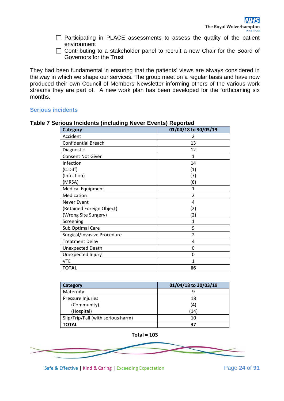- $\Box$  Participating in PLACE assessments to assess the quality of the patient environment
- $\Box$  Contributing to a stakeholder panel to recruit a new Chair for the Board of Governors for the Trust

They had been fundamental in ensuring that the patients' views are always considered in the way in which we shape our services. The group meet on a regular basis and have now produced their own Council of Members Newsletter informing others of the various work streams they are part of. A new work plan has been developed for the forthcoming six months.

#### **Serious incidents**

| Category                    | 01/04/18 to 30/03/19 |
|-----------------------------|----------------------|
| Accident                    | 2                    |
| <b>Confidential Breach</b>  | 13                   |
| Diagnostic                  | 12                   |
| <b>Consent Not Given</b>    | 1                    |
| Infection                   | 14                   |
| (C.Diff)                    | (1)                  |
| (Infection)                 | (7)                  |
| (MRSA)                      | (6)                  |
| <b>Medical Equipment</b>    | 1                    |
| Medication                  | $\overline{2}$       |
| Never Event                 | 4                    |
| (Retained Foreign Object)   | (2)                  |
| (Wrong Site Surgery)        | (2)                  |
| Screening                   | 1                    |
| Sub Optimal Care            | 9                    |
| Surgical/Invasive Procedure | $\overline{2}$       |
| <b>Treatment Delay</b>      | 4                    |
| Unexpected Death            | 0                    |
| Unexpected Injury           | 0                    |
| <b>VTE</b>                  | 1                    |
| <b>TOTAL</b>                | 66                   |

#### **Table 7 Serious Incidents (including Never Events) Reported**

| Category                           | 01/04/18 to 30/03/19 |
|------------------------------------|----------------------|
| Maternity                          |                      |
| Pressure Injuries                  | 18                   |
| (Community)                        | (4)                  |
| (Hospital)                         | (14)                 |
| Slip/Trip/Fall (with serious harm) | 10                   |
| TOTAL                              | 37                   |



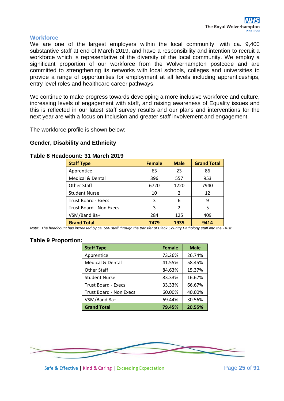#### **Workforce**

We are one of the largest employers within the local community, with ca. 9,400 substantive staff at end of March 2019, and have a responsibility and intention to recruit a workforce which is representative of the diversity of the local community. We employ a significant proportion of our workforce from the Wolverhampton postcode and are committed to strengthening its networks with local schools, colleges and universities to provide a range of opportunities for employment at all levels including apprenticeships, entry level roles and healthcare career pathways.

We continue to make progress towards developing a more inclusive workforce and culture, increasing levels of engagement with staff, and raising awareness of Equality issues and this is reflected in our latest staff survey results and our plans and interventions for the next year are with a focus on Inclusion and greater staff involvement and engagement.

The workforce profile is shown below:

#### **Gender, Disability and Ethnicity**

#### **Table 8 Headcount: 31 March 2019**

| <b>Staff Type</b>              | <b>Female</b> | <b>Male</b> | <b>Grand Total</b> |
|--------------------------------|---------------|-------------|--------------------|
| Apprentice                     | 63            | 23          | 86                 |
| <b>Medical &amp; Dental</b>    | 396           | 557         | 953                |
| <b>Other Staff</b>             | 6720          | 1220        | 7940               |
| <b>Student Nurse</b>           | 10            | 2           | 12                 |
| <b>Trust Board - Execs</b>     | 3             | 6           | 9                  |
| <b>Trust Board - Non Execs</b> | 3             | 2           | 5                  |
| VSM/Band 8a+                   | 284           | 125         | 409                |
| <b>Grand Total</b>             | 7479          | 1935        | 9414               |

*Note: The headcount has increased by ca. 500 staff through the transfer of Black Country Pathology staff into the Trust.*

#### **Table 9 Proportion:**

| <b>Staff Type</b>              | <b>Female</b> | <b>Male</b> |
|--------------------------------|---------------|-------------|
| Apprentice                     | 73.26%        | 26.74%      |
| <b>Medical &amp; Dental</b>    | 41.55%        | 58.45%      |
| <b>Other Staff</b>             | 84.63%        | 15.37%      |
| <b>Student Nurse</b>           | 83.33%        | 16.67%      |
| <b>Trust Board - Execs</b>     | 33.33%        | 66.67%      |
| <b>Trust Board - Non Execs</b> | 60.00%        | 40.00%      |
| VSM/Band 8a+                   | 69.44%        | 30.56%      |
| <b>Grand Total</b>             | 79.45%        | 20.55%      |



Safe & Effective | Kind & Caring | Exceeding Expectation Page **25** of **91**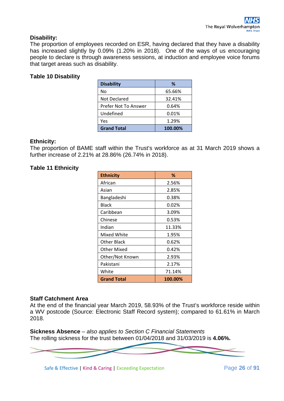#### **Disability:**

The proportion of employees recorded on ESR, having declared that they have a disability has increased slightly by 0.09% (1.20% in 2018). One of the ways of us encouraging people to declare is through awareness sessions, at induction and employee voice forums that target areas such as disability.

#### **Table 10 Disability**

| <b>Disability</b>    | ℅       |
|----------------------|---------|
| No                   | 65.66%  |
| <b>Not Declared</b>  | 32.41%  |
| Prefer Not To Answer | 0.64%   |
| Undefined            | 0.01%   |
| Yes                  | 1.29%   |
| <b>Grand Total</b>   | 100.00% |

#### **Ethnicity:**

The proportion of BAME staff within the Trust's workforce as at 31 March 2019 shows a further increase of 2.21% at 28.86% (26.74% in 2018).

#### **Table 11 Ethnicity**

| <b>Ethnicity</b>   | %       |
|--------------------|---------|
| African            | 2.56%   |
| Asian              | 2.85%   |
| Bangladeshi        | 0.38%   |
| Black              | 0.02%   |
| Caribbean          | 3.09%   |
| Chinese            | 0.53%   |
| Indian             | 11.33%  |
| Mixed White        | 1.95%   |
| Other Black        | 0.62%   |
| Other Mixed        | 0.42%   |
| Other/Not Known    | 2.93%   |
| Pakistani          | 2.17%   |
| White              | 71.14%  |
| <b>Grand Total</b> | 100.00% |

#### **Staff Catchment Area**

At the end of the financial year March 2019, 58.93% of the Trust's workforce reside within a WV postcode (Source: Electronic Staff Record system); compared to 61.61% in March 2018.

**Sickness Absence** *– also applies to Section C Financial Statements* The rolling sickness for the trust between 01/04/2018 and 31/03/2019 is **4.06%.**



Safe & Effective | Kind & Caring | Exceeding Expectation Page **26** of **91**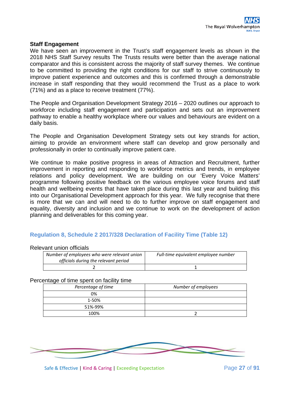#### **Staff Engagement**

We have seen an improvement in the Trust's staff engagement levels as shown in the 2018 NHS Staff Survey results The Trusts results were better than the average national comparator and this is consistent across the majority of staff survey themes. We continue to be committed to providing the right conditions for our staff to strive continuously to improve patient experience and outcomes and this is confirmed through a demonstrable increase in staff responding that they would recommend the Trust as a place to work (71%) and as a place to receive treatment (77%).

The People and Organisation Development Strategy 2016 – 2020 outlines our approach to workforce including staff engagement and participation and sets out an improvement pathway to enable a healthy workplace where our values and behaviours are evident on a daily basis.

The People and Organisation Development Strategy sets out key strands for action, aiming to provide an environment where staff can develop and grow personally and professionally in order to continually improve patient care.

We continue to make positive progress in areas of Attraction and Recruitment, further improvement in reporting and responding to workforce metrics and trends, in employee relations and policy development. We are building on our 'Every Voice Matters' programme following positive feedback on the various employee voice forums and staff health and wellbeing events that have taken place during this last year and building this into our Organisational Development approach for this year. We fully recognise that there is more that we can and will need to do to further improve on staff engagement and equality, diversity and inclusion and we continue to work on the development of action planning and deliverables for this coming year.

#### **Regulation 8, Schedule 2 2017/328 Declaration of Facility Time (Table 12)**

#### Relevant union officials

| Number of employees who were relevant union<br>officials during the relevant period | Full-time equivalent employee number |
|-------------------------------------------------------------------------------------|--------------------------------------|
|                                                                                     |                                      |

#### Percentage of time spent on facility time

| Percentage of time | Number of employees |
|--------------------|---------------------|
| 0%                 |                     |
| 1-50%              |                     |
| 51%-99%            |                     |
| 100%               |                     |

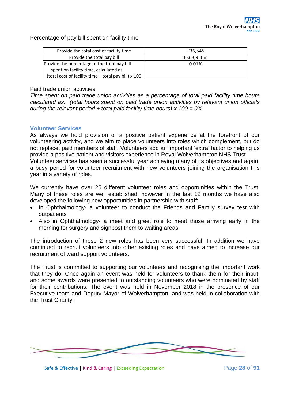Percentage of pay bill spent on facility time

| Provide the total cost of facility time                   | £36.545   |
|-----------------------------------------------------------|-----------|
| Provide the total pay bill                                | £363,950m |
| Provide the percentage of the total pay bill              | 0.01%     |
| spent on facility time, calculated as:                    |           |
| (total cost of facility time $\div$ total pay bill) x 100 |           |

#### Paid trade union activities

*Time spent on paid trade union activities as a percentage of total paid facility time hours calculated as: (total hours spent on paid trade union activities by relevant union officials during the relevant period*  $\div$  *total paid facility time hours) x 100 = 0%* 

#### **Volunteer Services**

As always we hold provision of a positive patient experience at the forefront of our volunteering activity, and we aim to place volunteers into roles which complement, but do not replace, paid members of staff. Volunteers add an important 'extra' factor to helping us provide a positive patient and visitors experience in Royal Wolverhampton NHS Trust Volunteer services has seen a successful year achieving many of its objectives and again, a busy period for volunteer recruitment with new volunteers joining the organisation this year in a variety of roles.

We currently have over 25 different volunteer roles and opportunities within the Trust. Many of these roles are well established, however in the last 12 months we have also developed the following new opportunities in partnership with staff:

- In Ophthalmology- a volunteer to conduct the Friends and Family survey test with outpatients
- Also in Ophthalmology- a meet and greet role to meet those arriving early in the morning for surgery and signpost them to waiting areas.

The introduction of these 2 new roles has been very successful. In addition we have continued to recruit volunteers into other existing roles and have aimed to increase our recruitment of ward support volunteers.

The Trust is committed to supporting our volunteers and recognising the important work that they do. Once again an event was held for volunteers to thank them for their input, and some awards were presented to outstanding volunteers who were nominated by staff for their contributions. The event was held in November 2018 in the presence of our Executive team and Deputy Mayor of Wolverhampton, and was held in collaboration with the Trust Charity.

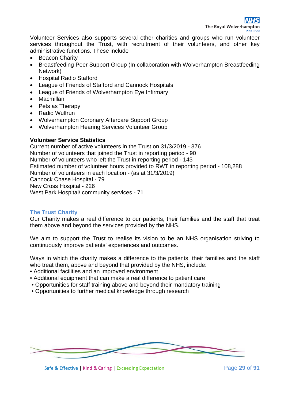Volunteer Services also supports several other charities and groups who run volunteer services throughout the Trust, with recruitment of their volunteers, and other key administrative functions. These include

- Beacon Charity
- Breastfeeding Peer Support Group (In collaboration with Wolverhampton Breastfeeding Network)
- Hospital Radio Stafford
- League of Friends of Stafford and Cannock Hospitals
- League of Friends of Wolverhampton Eye Infirmary
- Macmillan
- Pets as Therapy
- Radio Wulfrun
- Wolverhampton Coronary Aftercare Support Group
- Wolverhampton Hearing Services Volunteer Group

#### **Volunteer Service Statistics**

Current number of active volunteers in the Trust on 31/3/2019 - 376 Number of volunteers that joined the Trust in reporting period - 90 Number of volunteers who left the Trust in reporting period - 143 Estimated number of volunteer hours provided to RWT in reporting period - 108,288 Number of volunteers in each location - (as at 31/3/2019) Cannock Chase Hospital - 79 New Cross Hospital - 226 West Park Hospital/ community services - 71

#### **The Trust Charity**

Our Charity makes a real difference to our patients, their families and the staff that treat them above and beyond the services provided by the NHS.

We aim to support the Trust to realise its vision to be an NHS organisation striving to continuously improve patients' experiences and outcomes.

Ways in which the charity makes a difference to the patients, their families and the staff who treat them, above and beyond that provided by the NHS, include:

- Additional facilities and an improved environment
- Additional equipment that can make a real difference to patient care
- Opportunities for staff training above and beyond their mandatory training
- Opportunities to further medical knowledge through research



Safe & Effective | Kind & Caring | Exceeding Expectation Page **29** of **91**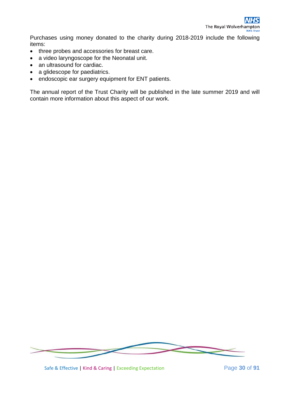Purchases using money donated to the charity during 2018-2019 include the following items:

- three probes and accessories for breast care.
- a video laryngoscope for the Neonatal unit.
- an ultrasound for cardiac.
- a glidescope for paediatrics.
- endoscopic ear surgery equipment for ENT patients.

The annual report of the Trust Charity will be published in the late summer 2019 and will contain more information about this aspect of our work.



Safe & Effective | Kind & Caring | Exceeding Expectation Page **30** of **91**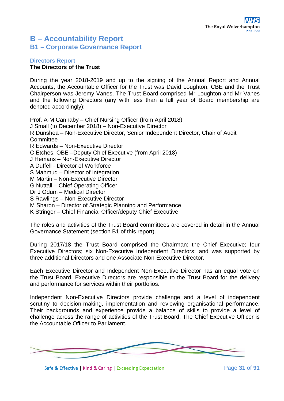## **B – Accountability Report B1 – Corporate Governance Report**

#### **Directors Report The Directors of the Trust**

During the year 2018-2019 and up to the signing of the Annual Report and Annual Accounts, the Accountable Officer for the Trust was David Loughton, CBE and the Trust Chairperson was Jeremy Vanes. The Trust Board comprised Mr Loughton and Mr Vanes and the following Directors (any with less than a full year of Board membership are denoted accordingly):

Prof. A-M Cannaby – Chief Nursing Officer (from April 2018) J Small (to December 2018) – Non-Executive Director R Dunshea – Non-Executive Director, Senior Independent Director, Chair of Audit **Committee** R Edwards – Non-Executive Director C Etches, OBE –Deputy Chief Executive (from April 2018) J Hemans – Non-Executive Director A Duffell - Director of Workforce S Mahmud – Director of Integration M Martin – Non-Executive Director G Nuttall – Chief Operating Officer Dr J Odum – Medical Director S Rawlings – Non-Executive Director M Sharon – Director of Strategic Planning and Performance K Stringer – Chief Financial Officer/deputy Chief Executive The roles and activities of the Trust Board committees are covered in detail in the Annual

During 2017/18 the Trust Board comprised the Chairman; the Chief Executive; four Executive Directors; six Non-Executive Independent Directors; and was supported by three additional Directors and one Associate Non-Executive Director.

Each Executive Director and Independent Non-Executive Director has an equal vote on the Trust Board. Executive Directors are responsible to the Trust Board for the delivery and performance for services within their portfolios.

Independent Non-Executive Directors provide challenge and a level of independent scrutiny to decision-making, implementation and reviewing organisational performance. Their backgrounds and experience provide a balance of skills to provide a level of challenge across the range of activities of the Trust Board. The Chief Executive Officer is the Accountable Officer to Parliament.



Safe & Effective | Kind & Caring | Exceeding Expectation Page 31 of 91

Governance Statement (section B1 of this report).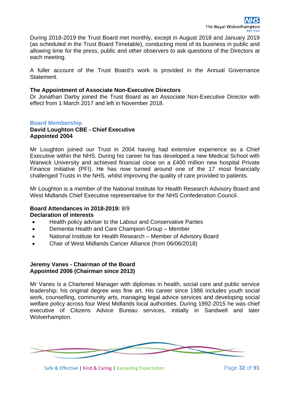During 2018-2019 the Trust Board met monthly, except in August 2018 and January 2019 (as scheduled in the Trust Board Timetable), conducting most of its business in public and allowing time for the press, public and other observers to ask questions of the Directors at each meeting.

A fuller account of the Trust Board's work is provided in the Annual Governance Statement.

#### **The Appointment of Associate Non-Executive Directors**

Dr Jonathan Darby joined the Trust Board as an Associate Non-Executive Director with effect from 1 March 2017 and left in November 2018.

#### **Board Membership**

#### **David Loughton CBE - Chief Executive Appointed 2004**

Mr Loughton joined our Trust in 2004 having had extensive experience as a Chief Executive within the NHS. During his career he has developed a new Medical School with Warwick University and achieved financial close on a £400 million new hospital Private Finance Initiative (PFI). He has now turned around one of the 17 most financially challenged Trusts in the NHS, whilst improving the quality of care provided to patients.

Mr Loughton is a member of the National Institute for Health Research Advisory Board and West Midlands Chief Executive representative for the NHS Confederation Council.

#### **Board Attendances in 2018-2019:** 8/9 **Declaration of interests**

- Health policy adviser to the Labour and Conservative Parties
- Dementia Health and Care Champion Group Member
- National Institute for Health Research Member of Advisory Board
- Chair of West Midlands Cancer Alliance (from 06/06/2018)

#### **Jeremy Vanes - Chairman of the Board Appointed 2006 (Chairman since 2013)**

Mr Vanes is a Chartered Manager with diplomas in health, social care and public service leadership; his original degree was fine art. His career since 1986 includes youth social work, counselling, community arts, managing legal advice services and developing social welfare policy across four West Midlands local authorities. During 1992-2015 he was chief executive of Citizens Advice Bureau services, initially in Sandwell and later Wolverhampton.

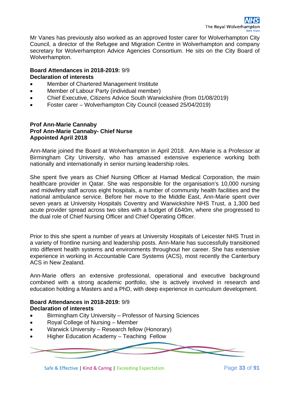Mr Vanes has previously also worked as an approved foster carer for Wolverhampton City Council, a director of the Refugee and Migration Centre in Wolverhampton and company secretary for Wolverhampton Advice Agencies Consortium. He sits on the City Board of Wolverhampton.

#### **Board Attendances in 2018-2019:** 9/9 **Declaration of interests**

- Member of Chartered Management Institute
- Member of Labour Party (individual member)
- Chief Executive, Citizens Advice South Warwickshire (from 01/08/2019)
- Foster carer Wolverhampton City Council (ceased 25/04/2019)

#### **Prof Ann-Marie Cannaby Prof Ann-Marie Cannaby- Chief Nurse Appointed April 2018**

Ann-Marie joined the Board at Wolverhampton in April 2018. Ann-Marie is a Professor at Birmingham City University, who has amassed extensive experience working both nationally and internationally in senior nursing leadership roles.

She spent five years as Chief Nursing Officer at Hamad Medical Corporation, the main healthcare provider in Qatar. She was responsible for the organisation's 10,000 nursing and midwifery staff across eight hospitals, a number of community health facilities and the national ambulance service. Before her move to the Middle East, Ann-Marie spent over seven years at University Hospitals Coventry and Warwickshire NHS Trust, a 1,300 bed acute provider spread across two sites with a budget of £640m, where she progressed to the dual role of Chief Nursing Officer and Chief Operating Officer.

Prior to this she spent a number of years at University Hospitals of Leicester NHS Trust in a variety of frontline nursing and leadership posts. Ann-Marie has successfully transitioned into different health systems and environments throughout her career. She has extensive experience in working in Accountable Care Systems (ACS), most recently the Canterbury ACS in New Zealand.

Ann-Marie offers an extensive professional, operational and executive background combined with a strong academic portfolio, she is actively involved in research and education holding a Masters and a PhD, with deep experience in curriculum development.

#### **Board Attendances in 2018-2019:** 9/9 **Declaration of interests**

- Birmingham City University Professor of Nursing Sciences
- Royal College of Nursing Member
- Warwick University Research fellow (Honorary)
- Higher Education Academy Teaching Fellow



Safe & Effective | Kind & Caring | Exceeding Expectation Page **33** of **91**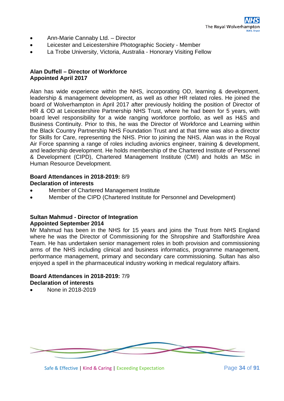- Ann-Marie Cannaby Ltd. Director
- Leicester and Leicestershire Photographic Society Member
- La Trobe University, Victoria, Australia Honorary Visiting Fellow

#### **Alan Duffell – Director of Workforce Appointed April 2017**

Alan has wide experience within the NHS, incorporating OD, learning & development, leadership & management development, as well as other HR related roles. He joined the board of Wolverhampton in April 2017 after previously holding the position of Director of HR & OD at Leicestershire Partnership NHS Trust, where he had been for 5 years, with board level responsibility for a wide ranging workforce portfolio, as well as H&S and Business Continuity. Prior to this, he was the Director of Workforce and Learning within the Black Country Partnership NHS Foundation Trust and at that time was also a director for Skills for Care, representing the NHS. Prior to joining the NHS, Alan was in the Royal Air Force spanning a range of roles including avionics engineer, training & development, and leadership development. He holds membership of the Chartered Institute of Personnel & Development (CIPD), Chartered Management Institute (CMI) and holds an MSc in Human Resource Development.

#### **Board Attendances in 2018-2019:** 8/9 **Declaration of interests**

- Member of Chartered Management Institute
- Member of the CIPD (Chartered Institute for Personnel and Development)

#### **Sultan Mahmud - Director of Integration Appointed September 2014**

Mr Mahmud has been in the NHS for 15 years and joins the Trust from NHS England where he was the Director of Commissioning for the Shropshire and Staffordshire Area Team. He has undertaken senior management roles in both provision and commissioning arms of the NHS including clinical and business informatics, programme management, performance management, primary and secondary care commissioning. Sultan has also enjoyed a spell in the pharmaceutical industry working in medical regulatory affairs.

#### **Board Attendances in 2018-2019:** 7/9 **Declaration of interests**

• None in 2018-2019

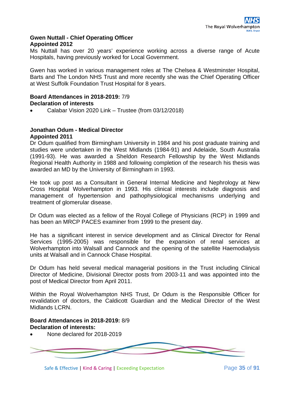#### **Gwen Nuttall - Chief Operating Officer Appointed 2012**

Ms Nuttall has over 20 years' experience working across a diverse range of Acute Hospitals, having previously worked for Local Government.

Gwen has worked in various management roles at The Chelsea & Westminster Hospital, Barts and The London NHS Trust and more recently she was the Chief Operating Officer at West Suffolk Foundation Trust Hospital for 8 years.

#### **Board Attendances in 2018-2019:** 7/9 **Declaration of interests**

• Calabar Vision 2020 Link – Trustee (from 03/12/2018)

#### **Jonathan Odum - Medical Director Appointed 2011**

Dr Odum qualified from Birmingham University in 1984 and his post graduate training and studies were undertaken in the West Midlands (1984-91) and Adelaide, South Australia (1991-93). He was awarded a Sheldon Research Fellowship by the West Midlands Regional Health Authority in 1988 and following completion of the research his thesis was awarded an MD by the University of Birmingham in 1993.

He took up post as a Consultant in General Internal Medicine and Nephrology at New Cross Hospital Wolverhampton in 1993. His clinical interests include diagnosis and management of hypertension and pathophysiological mechanisms underlying and treatment of glomerular disease.

Dr Odum was elected as a fellow of the Royal College of Physicians (RCP) in 1999 and has been an MRCP PACES examiner from 1999 to the present day.

He has a significant interest in service development and as Clinical Director for Renal Services (1995-2005) was responsible for the expansion of renal services at Wolverhampton into Walsall and Cannock and the opening of the satellite Haemodialysis units at Walsall and in Cannock Chase Hospital.

Dr Odum has held several medical managerial positions in the Trust including Clinical Director of Medicine, Divisional Director posts from 2003-11 and was appointed into the post of Medical Director from April 2011.

Within the Royal Wolverhampton NHS Trust, Dr Odum is the Responsible Officer for revalidation of doctors, the Caldicott Guardian and the Medical Director of the West Midlands LCRN.

#### **Board Attendances in 2018-2019:** 8/9 **Declaration of interests:**

• None declared for 2018-2019



Safe & Effective | Kind & Caring | Exceeding Expectation Page **35** of **91**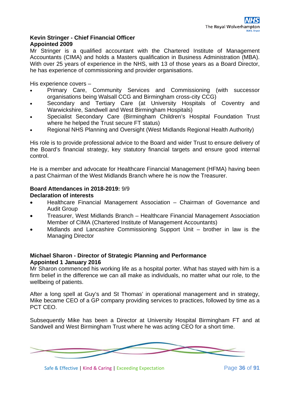#### **Kevin Stringer - Chief Financial Officer Appointed 2009**

Mr Stringer is a qualified accountant with the Chartered Institute of Management Accountants (CIMA) and holds a Masters qualification in Business Administration (MBA). With over 25 years of experience in the NHS, with 13 of those years as a Board Director, he has experience of commissioning and provider organisations.

His experience covers –

- Primary Care, Community Services and Commissioning (with successor organisations being Walsall CCG and Birmingham cross-city CCG)
- Secondary and Tertiary Care (at University Hospitals of Coventry and Warwickshire, Sandwell and West Birmingham Hospitals)
- Specialist Secondary Care (Birmingham Children's Hospital Foundation Trust where he helped the Trust secure FT status)
- Regional NHS Planning and Oversight (West Midlands Regional Health Authority)

His role is to provide professional advice to the Board and wider Trust to ensure delivery of the Board's financial strategy, key statutory financial targets and ensure good internal control.

He is a member and advocate for Healthcare Financial Management (HFMA) having been a past Chairman of the West Midlands Branch where he is now the Treasurer.

#### **Board Attendances in 2018-2019:** 9/9

#### **Declaration of interests**

- Healthcare Financial Management Association Chairman of Governance and Audit Group
- Treasurer, West Midlands Branch Healthcare Financial Management Association Member of CIMA (Chartered Institute of Management Accountants)
- Midlands and Lancashire Commissioning Support Unit brother in law is the Managing Director

#### **Michael Sharon - Director of Strategic Planning and Performance Appointed 1 January 2016**

Mr Sharon commenced his working life as a hospital porter. What has stayed with him is a firm belief in the difference we can all make as individuals, no matter what our role, to the wellbeing of patients.

After a long spell at Guy's and St Thomas' in operational management and in strategy, Mike became CEO of a GP company providing services to practices, followed by time as a PCT CEO.

Subsequently Mike has been a Director at University Hospital Birmingham FT and at Sandwell and West Birmingham Trust where he was acting CEO for a short time.



Safe & Effective | Kind & Caring | Exceeding Expectation Page **36** of **91**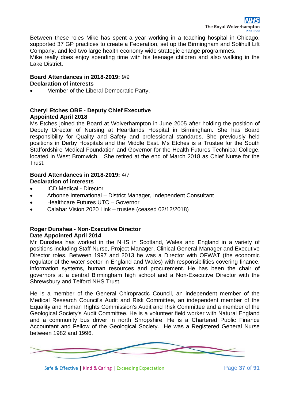Between these roles Mike has spent a year working in a teaching hospital in Chicago, supported 37 GP practices to create a Federation, set up the Birmingham and Solihull Lift Company, and led two large health economy wide strategic change programmes.

Mike really does enjoy spending time with his teenage children and also walking in the Lake District.

#### **Board Attendances in 2018-2019:** 9/9 **Declaration of interests**

• Member of the Liberal Democratic Party.

## **Cheryl Etches OBE - Deputy Chief Executive Appointed April 2018**

Ms Etches joined the Board at Wolverhampton in June 2005 after holding the position of Deputy Director of Nursing at Heartlands Hospital in Birmingham. She has Board responsibility for Quality and Safety and professional standards. She previously held positions in Derby Hospitals and the Middle East. Ms Etches is a Trustee for the South Staffordshire Medical Foundation and Governor for the Health Futures Technical College, located in West Bromwich. She retired at the end of March 2018 as Chief Nurse for the Trust.

## **Board Attendances in 2018-2019:** 4/7 **Declaration of interests**

- ICD Medical Director
- Arbonne International District Manager, Independent Consultant
- Healthcare Futures UTC Governor
- Calabar Vision 2020 Link trustee (ceased 02/12/2018)

## **Roger Dunshea - Non-Executive Director Date Appointed April 2014**

Mr Dunshea has worked in the NHS in Scotland, Wales and England in a variety of positions including Staff Nurse, Project Manager, Clinical General Manager and Executive Director roles. Between 1997 and 2013 he was a Director with OFWAT (the economic regulator of the water sector in England and Wales) with responsibilities covering finance, information systems, human resources and procurement. He has been the chair of governors at a central Birmingham high school and a Non-Executive Director with the Shrewsbury and Telford NHS Trust.

He is a member of the General Chiropractic Council, an independent member of the Medical Research Council's Audit and Risk Committee, an independent member of the Equality and Human Rights Commission's Audit and Risk Committee and a member of the Geological Society's Audit Committee. He is a volunteer field worker with Natural England and a community bus driver in north Shropshire. He is a Chartered Public Finance Accountant and Fellow of the Geological Society. He was a Registered General Nurse between 1982 and 1996.



Safe & Effective | Kind & Caring | Exceeding Expectation Page **37** of **91**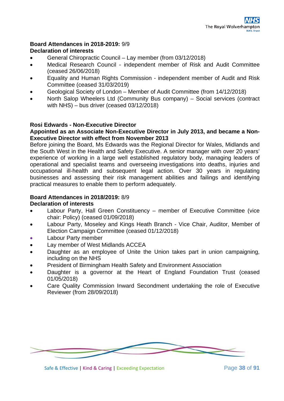## **Board Attendances in 2018-2019:** 9/9 **Declaration of interests**

- General Chiropractic Council Lay member (from 03/12/2018)
- Medical Research Council independent member of Risk and Audit Committee (ceased 26/06/2018)
- Equality and Human Rights Commission independent member of Audit and Risk Committee (ceased 31/03/2019)
- Geological Society of London Member of Audit Committee (from 14/12/2018)
- North Salop Wheelers Ltd (Community Bus company) Social services (contract with NHS) – bus driver (ceased 03/12/2018)

## **Rosi Edwards - Non-Executive Director**

#### **Appointed as an Associate Non-Executive Director in July 2013, and became a Non-Executive Director with effect from November 2013**

Before joining the Board, Ms Edwards was the Regional Director for Wales, Midlands and the South West in the Health and Safety Executive. A senior manager with over 20 years' experience of working in a large well established regulatory body, managing leaders of operational and specialist teams and overseeing investigations into deaths, injuries and occupational ill-health and subsequent legal action. Over 30 years in regulating businesses and assessing their risk management abilities and failings and identifying practical measures to enable them to perform adequately.

## **Board Attendances in 2018/2019:** 8/9

#### **Declaration of interests**

- Labour Party, Hall Green Constituency member of Executive Committee (vice chair: Policy) (ceased 01/09/2018)
- Labour Party, Moseley and Kings Heath Branch Vice Chair, Auditor, Member of Election Campaign Committee (ceased 01/12/2018)
- Labour Party member
- Lay member of West Midlands ACCEA
- Daughter as an employee of Unite the Union takes part in union campaigning, including on the NHS
- President of Birmingham Health Safety and Environment Association
- Daughter is a governor at the Heart of England Foundation Trust (ceased 01/05/2018)
- Care Quality Commission Inward Secondment undertaking the role of Executive Reviewer (from 28/09/2018)



Safe & Effective | Kind & Caring | Exceeding Expectation Page **38** of **91**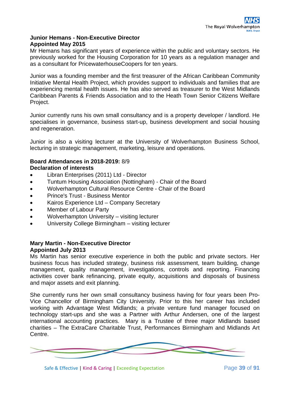## **Junior Hemans - Non-Executive Director Appointed May 2015**

Mr Hemans has significant years of experience within the public and voluntary sectors. He previously worked for the Housing Corporation for 10 years as a regulation manager and as a consultant for PricewaterhouseCoopers for ten years.

Junior was a founding member and the first treasurer of the African Caribbean Community Initiative Mental Health Project, which provides support to individuals and families that are experiencing mental health issues. He has also served as treasurer to the West Midlands Caribbean Parents & Friends Association and to the Heath Town Senior Citizens Welfare Project.

Junior currently runs his own small consultancy and is a property developer / landlord. He specialises in governance, business start-up, business development and social housing and regeneration.

Junior is also a visiting lecturer at the University of Wolverhampton Business School, lecturing in strategic management, marketing, leisure and operations.

## **Board Attendances in 2018-2019:** 8/9 **Declaration of interests**

- Libran Enterprises (2011) Ltd Director
- Tuntum Housing Association (Nottingham) Chair of the Board
- Wolverhampton Cultural Resource Centre Chair of the Board
- Prince's Trust Business Mentor
- Kairos Experience Ltd Company Secretary
- Member of Labour Party
- Wolverhampton University visiting lecturer
- University College Birmingham visiting lecturer

#### **Mary Martin - Non-Executive Director Appointed July 2013**

Ms Martin has senior executive experience in both the public and private sectors. Her business focus has included strategy, business risk assessment, team building, change management, quality management, investigations, controls and reporting. Financing activities cover bank refinancing, private equity, acquisitions and disposals of business and major assets and exit planning.

She currently runs her own small consultancy business having for four years been Pro-Vice Chancellor of Birmingham City University. Prior to this her career has included working with Advantage West Midlands; a private venture fund manager focused on technology start-ups and she was a Partner with Arthur Andersen, one of the largest international accounting practices. Mary is a Trustee of three major Midlands based charities – The ExtraCare Charitable Trust, Performances Birmingham and Midlands Art Centre.



Safe & Effective | Kind & Caring | Exceeding Expectation Page **39** of **91**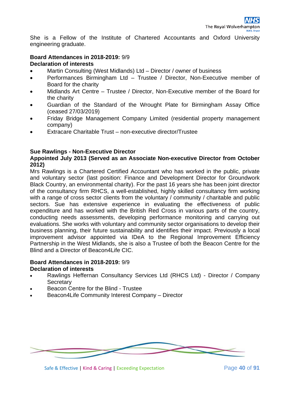She is a Fellow of the Institute of Chartered Accountants and Oxford University engineering graduate.

## **Board Attendances in 2018-2019:** 9/9

## **Declaration of interests**

- Martin Consulting (West Midlands) Ltd Director / owner of business
- Performances Birmingham Ltd Trustee / Director, Non-Executive member of Board for the charity
- Midlands Art Centre Trustee / Director, Non-Executive member of the Board for the charity
- Guardian of the Standard of the Wrought Plate for Birmingham Assay Office (ceased 27/03/2019)
- Friday Bridge Management Company Limited (residential property management company)
- Extracare Charitable Trust non-executive director/Trustee

## **Sue Rawlings - Non-Executive Director**

## **Appointed July 2013 (Served as an Associate Non-executive Director from October 2012)**

Mrs Rawlings is a Chartered Certified Accountant who has worked in the public, private and voluntary sector (last position: Finance and Development Director for Groundwork Black Country, an environmental charity). For the past 16 years she has been joint director of the consultancy firm RHCS, a well-established, highly skilled consultancy firm working with a range of cross sector clients from the voluntary / community / charitable and public sectors. Sue has extensive experience in evaluating the effectiveness of public expenditure and has worked with the British Red Cross in various parts of the country, conducting needs assessments, developing performance monitoring and carrying out evaluations. She works with voluntary and community sector organisations to develop their business planning, their future sustainability and identifies their impact. Previously a local improvement advisor appointed via IDeA to the Regional Improvement Efficiency Partnership in the West Midlands, she is also a Trustee of both the Beacon Centre for the Blind and a Director of Beacon4Life CIC.

# **Board Attendances in 2018-2019:** 9/9

## **Declaration of interests**

- Rawlings Heffernan Consultancy Services Ltd (RHCS Ltd) Director / Company **Secretary**
- Beacon Centre for the Blind Trustee
- Beacon4Life Community Interest Company Director



Safe & Effective | Kind & Caring | Exceeding Expectation Page **40** of **91**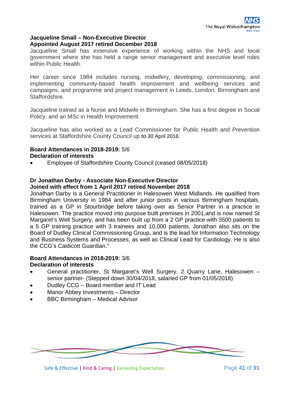#### **Jacqueline Small – Non-Executive Director Appointed August 2017 retired December 2018**

Jacqueline Small has extensive experience of working within the NHS and local government where she has held a range senior management and executive level roles within Public Health.

Her career since 1984 includes nursing, midwifery, developing, commissioning, and implementing community-based health improvement and wellbeing services and campaigns, and programme and project management in Leeds, London, Birmingham and Staffordshire.

Jacqueline trained as a Nurse and Midwife in Birmingham. She has a first degree in Social Policy, and an MSc in Health Improvement.

Jacqueline has also worked as a Lead Commissioner for Public Health and Prevention services at Staffordshire County Council up to 30 April 2018.

#### **Board Attendances in 2018-2019:** 5/6 **Declaration of interests**

• Employee of Staffordshire County Council (ceased 08/05/2018)

## **Dr Jonathan Darby - Associate Non-Executive Director**

#### **Joined with effect from 1 April 2017 retired November 2018**

Jonathan Darby is a General Practitioner in Halesowen West Midlands. He qualified from Birmingham University in 1984 and after junior posts in various Birmingham hospitals, trained as a GP in Stourbridge before taking over as Senior Partner in a practice in Halesowen. The practice moved into purpose built premises in 2001,and is now named St Margaret's Well Surgery, and has been built up from a 2 GP practice with 3500 patients to a 5 GP training practice with 3 trainees and 10,000 patients. Jonathan also sits on the Board of Dudley Clinical Commissioning Group, and is the lead for Information Technology and Business Systems and Processes, as well as Clinical Lead for Cardiology. He is also the CCG's Caldicott Guardian."

#### **Board Attendances in 2018-2019:** 3/6 **Declaration of interests**

- General practitioner, St Margaret's Well Surgery, 2 Quarry Lane, Halesowen senior partner- (Stepped down 30/04/2018, salaried GP from 01/05/2018)
- Dudley CCG Board member and IT Lead
- Manor Abbey Investments Director
- BBC Birmingham Medical Advisor



Safe & Effective | Kind & Caring | Exceeding Expectation Page 41 of 91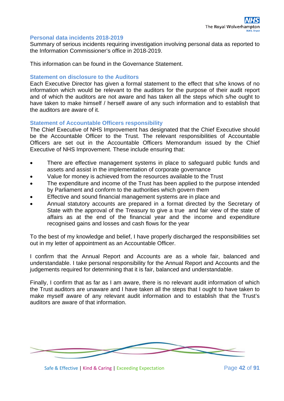#### **Personal data incidents 2018-2019**

Summary of serious incidents requiring investigation involving personal data as reported to the Information Commissioner's office in 2018-2019.

This information can be found in the Governance Statement.

#### **Statement on disclosure to the Auditors**

Each Executive Director has given a formal statement to the effect that s/he knows of no information which would be relevant to the auditors for the purpose of their audit report and of which the auditors are not aware and has taken all the steps which s/he ought to have taken to make himself / herself aware of any such information and to establish that the auditors are aware of it.

#### **Statement of Accountable Officers responsibility**

The Chief Executive of NHS Improvement has designated that the Chief Executive should be the Accountable Officer to the Trust. The relevant responsibilities of Accountable Officers are set out in the Accountable Officers Memorandum issued by the Chief Executive of NHS Improvement. These include ensuring that:

- There are effective management systems in place to safeguard public funds and assets and assist in the implementation of corporate governance
- Value for money is achieved from the resources available to the Trust
- The expenditure and income of the Trust has been applied to the purpose intended by Parliament and conform to the authorities which govern them
- Effective and sound financial management systems are in place and
- Annual statutory accounts are prepared in a format directed by the Secretary of State with the approval of the Treasury to give a true and fair view of the state of affairs as at the end of the financial year and the income and expenditure recognised gains and losses and cash flows for the year

To the best of my knowledge and belief, I have properly discharged the responsibilities set out in my letter of appointment as an Accountable Officer.

I confirm that the Annual Report and Accounts are as a whole fair, balanced and understandable. I take personal responsibility for the Annual Report and Accounts and the judgements required for determining that it is fair, balanced and understandable.

Finally, I confirm that as far as I am aware, there is no relevant audit information of which the Trust auditors are unaware and I have taken all the steps that I ought to have taken to make myself aware of any relevant audit information and to establish that the Trust's auditors are aware of that information.



Safe & Effective | Kind & Caring | Exceeding Expectation Page 42 of 91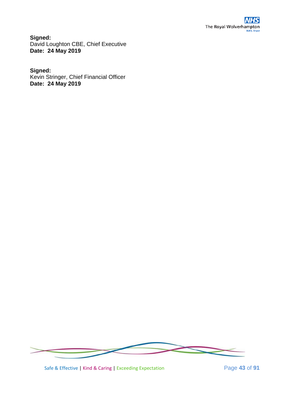**Signed:** David Loughton CBE, Chief Executive **Date: 24 May 2019**

## **Signed:**

Kevin Stringer, Chief Financial Officer **Date: 24 May 2019**



Safe & Effective | Kind & Caring | Exceeding Expectation Page **43** of **91**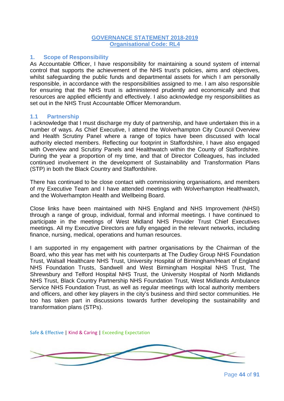#### **GOVERNANCE STATEMENT 2018-2019 Organisational Code: RL4**

#### **1. Scope of Responsibility**

As Accountable Officer, I have responsibility for maintaining a sound system of internal control that supports the achievement of the NHS trust's policies, aims and objectives, whilst safeguarding the public funds and departmental assets for which I am personally responsible, in accordance with the responsibilities assigned to me. I am also responsible for ensuring that the NHS trust is administered prudently and economically and that resources are applied efficiently and effectively. I also acknowledge my responsibilities as set out in the NHS Trust Accountable Officer Memorandum.

#### **1.1 Partnership**

I acknowledge that I must discharge my duty of partnership, and have undertaken this in a number of ways. As Chief Executive, I attend the Wolverhampton City Council Overview and Health Scrutiny Panel where a range of topics have been discussed with local authority elected members. Reflecting our footprint in Staffordshire, I have also engaged with Overview and Scrutiny Panels and Healthwatch within the County of Staffordshire. During the year a proportion of my time, and that of Director Colleagues, has included continued involvement in the development of Sustainability and Transformation Plans (STP) in both the Black Country and Staffordshire.

There has continued to be close contact with commissioning organisations, and members of my Executive Team and I have attended meetings with Wolverhampton Healthwatch, and the Wolverhampton Health and Wellbeing Board.

Close links have been maintained with NHS England and NHS Improvement (NHSI) through a range of group, individual, formal and informal meetings. I have continued to participate in the meetings of West Midland NHS Provider Trust Chief Executives meetings. All my Executive Directors are fully engaged in the relevant networks, including finance, nursing, medical, operations and human resources.

I am supported in my engagement with partner organisations by the Chairman of the Board, who this year has met with his counterparts at The Dudley Group NHS Foundation Trust, Walsall Healthcare NHS Trust, University Hospital of Birmingham/Heart of England NHS Foundation Trusts, Sandwell and West Birmingham Hospital NHS Trust, The Shrewsbury and Telford Hospital NHS Trust, the University Hospital of North Midlands NHS Trust, Black Country Partnership NHS Foundation Trust, West Midlands Ambulance Service NHS Foundation Trust, as well as regular meetings with local authority members and officers, and other key players in the city's business and third sector communities. He too has taken part in discussions towards further developing the sustainability and transformation plans (STPs).



Page **44** of **91**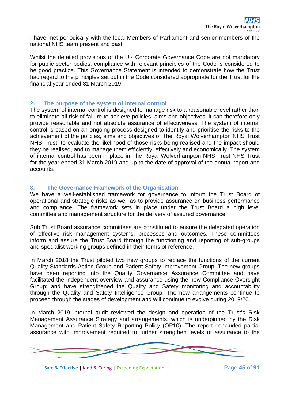I have met periodically with the local Members of Parliament and senior members of the national NHS team present and past.

Whilst the detailed provisions of the UK Corporate Governance Code are not mandatory for public sector bodies, compliance with relevant principles of the Code is considered to be good practice. This Governance Statement is intended to demonstrate how the Trust had regard to the principles set out in the Code considered appropriate for the Trust for the financial year ended 31 March 2019.

#### **2. The purpose of the system of internal control**

The system of internal control is designed to manage risk to a reasonable level rather than to eliminate all risk of failure to achieve policies, aims and objectives; it can therefore only provide reasonable and not absolute assurance of effectiveness. The system of internal control is based on an ongoing process designed to identify and prioritise the risks to the achievement of the policies, aims and objectives of The Royal Wolverhampton NHS Trust NHS Trust, to evaluate the likelihood of those risks being realised and the impact should they be realised, and to manage them efficiently, effectively and economically. The system of internal control has been in place in The Royal Wolverhampton NHS Trust NHS Trust for the year ended 31 March 2019 and up to the date of approval of the annual report and accounts.

#### **3. The Governance Framework of the Organisation**

We have a well-established framework for governance to inform the Trust Board of operational and strategic risks as well as to provide assurance on business performance and compliance. The framework sets in place under the Trust Board a high level committee and management structure for the delivery of assured governance.

Sub Trust Board assurance committees are constituted to ensure the delegated operation of effective risk management systems, processes and outcomes. These committees inform and assure the Trust Board through the functioning and reporting of sub-groups and specialist working groups defined in their terms of reference.

In March 2018 the Trust piloted two new groups to replace the functions of the current Quality Standards Action Group and Patient Safety Improvement Group. The new groups have been reporting into the Quality Governance Assurance Committee and have facilitated the independent overview and assurance using the new Compliance Oversight Group; and have strengthened the Quality and Safety monitoring and accountability through the Quality and Safety Intelligence Group. The new arrangements continue to proceed through the stages of development and will continue to evolve during 2019/20.

In March 2019 internal audit reviewed the design and operation of the Trust's Risk Management Assurance Strategy and arrangements, which is underpinned by the Risk Management and Patient Safety Reporting Policy (OP10). The report concluded partial assurance with improvement required to further strengthen levels of assurance to the



Safe & Effective | Kind & Caring | Exceeding Expectation Page **45** of **91**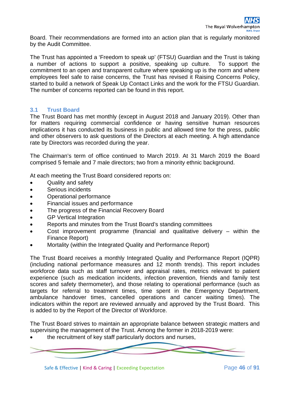Board. Their recommendations are formed into an action plan that is regularly monitored by the Audit Committee.

The Trust has appointed a 'Freedom to speak up' (FTSU) Guardian and the Trust is taking a number of actions to support a positive, speaking up culture. To support the commitment to an open and transparent culture where speaking up is the norm and where employees feel safe to raise concerns, the Trust has revised it Raising Concerns Policy, started to build a network of Speak Up Contact Links and the work for the FTSU Guardian. The number of concerns reported can be found in this report.

## **3.1 Trust Board**

The Trust Board has met monthly (except in August 2018 and January 2019). Other than for matters requiring commercial confidence or having sensitive human resources implications it has conducted its business in public and allowed time for the press, public and other observers to ask questions of the Directors at each meeting. A high attendance rate by Directors was recorded during the year.

The Chairman's term of office continued to March 2019. At 31 March 2019 the Board comprised 5 female and 7 male directors; two from a minority ethnic background.

At each meeting the Trust Board considered reports on:

- Quality and safety
- Serious incidents
- Operational performance
- Financial issues and performance
- The progress of the Financial Recovery Board
- GP Vertical Integration
- Reports and minutes from the Trust Board's standing committees
- Cost improvement programme (financial and qualitative delivery  $-$  within the Finance Report)
- Mortality (within the Integrated Quality and Performance Report)

The Trust Board receives a monthly Integrated Quality and Performance Report (IQPR) (including national performance measures and 12 month trends). This report includes workforce data such as staff turnover and appraisal rates, metrics relevant to patient experience (such as medication incidents, infection prevention, friends and family test scores and safety thermometer), and those relating to operational performance (such as targets for referral to treatment times, time spent in the Emergency Department, ambulance handover times, cancelled operations and cancer waiting times). The indicators within the report are reviewed annually and approved by the Trust Board. This is added to by the Report of the Director of Workforce.

The Trust Board strives to maintain an appropriate balance between strategic matters and supervising the management of the Trust. Among the former in 2018-2019 were:

the recruitment of key staff particularly doctors and nurses,



Safe & Effective | Kind & Caring | Exceeding Expectation Page **46** of **91**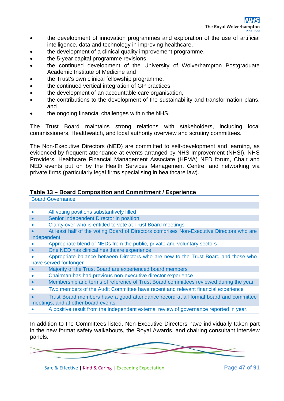- the development of innovation programmes and exploration of the use of artificial intelligence, data and technology in improving healthcare,
- the development of a clinical quality improvement programme,
- the 5-year capital programme revisions,
- the continued development of the University of Wolverhampton Postgraduate Academic Institute of Medicine and
- the Trust's own clinical fellowship programme,
- the continued vertical integration of GP practices,
- the development of an accountable care organisation,
- the contributions to the development of the sustainability and transformation plans, and
- the ongoing financial challenges within the NHS.

The Trust Board maintains strong relations with stakeholders, including local commissioners, Healthwatch, and local authority overview and scrutiny committees.

The Non-Executive Directors (NED) are committed to self-development and learning, as evidenced by frequent attendance at events arranged by NHS Improvement (NHSI), NHS Providers, Healthcare Financial Management Associate (HFMA) NED forum, Chair and NED events put on by the Health Services Management Centre, and networking via private firms (particularly legal firms specialising in healthcare law).

#### **Table 13 – Board Composition and Commitment / Experience**

| <b>Board Governance</b>                   |
|-------------------------------------------|
|                                           |
| All voting positions substantively filled |

- Senior Independent Director in position
- Clarity over who is entitled to vote at Trust Board meetings
- At least half of the voting Board of Directors comprises Non-Executive Directors who are independent
- Appropriate blend of NEDs from the public, private and voluntary sectors
- One NED has clinical healthcare experience
- Appropriate balance between Directors who are new to the Trust Board and those who have served for longer
- Majority of the Trust Board are experienced board members
- Chairman has had previous non-executive director experience
- Membership and terms of reference of Trust Board committees reviewed during the year
- Two members of the Audit Committee have recent and relevant financial experience
- Trust Board members have a good attendance record at all formal board and committee meetings, and at other board events.
- A positive result from the independent external review of governance reported in year.

In addition to the Committees listed, Non-Executive Directors have individually taken part in the new format safety walkabouts, the Royal Awards, and chairing consultant interview panels.

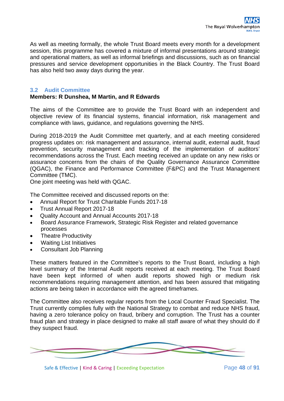As well as meeting formally, the whole Trust Board meets every month for a development session, this programme has covered a mixture of informal presentations around strategic and operational matters, as well as informal briefings and discussions, such as on financial pressures and service development opportunities in the Black Country. The Trust Board has also held two away days during the year.

## **3.2 Audit Committee**

## **Members: R Dunshea, M Martin, and R Edwards**

The aims of the Committee are to provide the Trust Board with an independent and objective review of its financial systems, financial information, risk management and compliance with laws, guidance, and regulations governing the NHS.

During 2018-2019 the Audit Committee met quarterly, and at each meeting considered progress updates on: risk management and assurance, internal audit, external audit, fraud prevention, security management and tracking of the implementation of auditors' recommendations across the Trust. Each meeting received an update on any new risks or assurance concerns from the chairs of the Quality Governance Assurance Committee (QGAC), the Finance and Performance Committee (F&PC) and the Trust Management Committee (TMC).

One joint meeting was held with QGAC.

The Committee received and discussed reports on the:

- Annual Report for Trust Charitable Funds 2017-18
- Trust Annual Report 2017-18
- Quality Account and Annual Accounts 2017-18
- Board Assurance Framework, Strategic Risk Register and related governance processes
- Theatre Productivity
- Waiting List Initiatives
- Consultant Job Planning

These matters featured in the Committee's reports to the Trust Board, including a high level summary of the Internal Audit reports received at each meeting. The Trust Board have been kept informed of when audit reports showed high or medium risk recommendations requiring management attention, and has been assured that mitigating actions are being taken in accordance with the agreed timeframes.

The Committee also receives regular reports from the Local Counter Fraud Specialist. The Trust currently complies fully with the National Strategy to combat and reduce NHS fraud, having a zero tolerance policy on fraud, bribery and corruption. The Trust has a counter fraud plan and strategy in place designed to make all staff aware of what they should do if they suspect fraud.



Safe & Effective | Kind & Caring | Exceeding Expectation Page **48** of **91**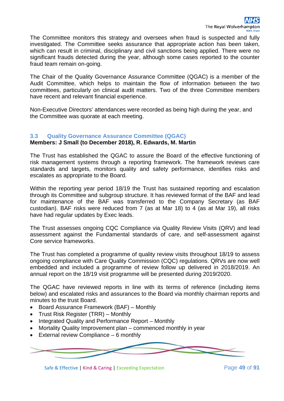The Committee monitors this strategy and oversees when fraud is suspected and fully investigated. The Committee seeks assurance that appropriate action has been taken, which can result in criminal, disciplinary and civil sanctions being applied. There were no significant frauds detected during the year, although some cases reported to the counter fraud team remain on-going.

The Chair of the Quality Governance Assurance Committee (QGAC) is a member of the Audit Committee, which helps to maintain the flow of information between the two committees, particularly on clinical audit matters. Two of the three Committee members have recent and relevant financial experience.

Non-Executive Directors' attendances were recorded as being high during the year, and the Committee was quorate at each meeting.

#### **3.3 Quality Governance Assurance Committee (QGAC)**

#### **Members: J Small (to December 2018), R. Edwards, M. Martin**

The Trust has established the QGAC to assure the Board of the effective functioning of risk management systems through a reporting framework. The framework reviews care standards and targets, monitors quality and safety performance, identifies risks and escalates as appropriate to the Board.

Within the reporting year period 18/19 the Trust has sustained reporting and escalation through its Committee and subgroup structure. It has reviewed format of the BAF and lead for maintenance of the BAF was transferred to the Company Secretary (as BAF custodian). BAF risks were reduced from 7 (as at Mar 18) to 4 (as at Mar 19), all risks have had regular updates by Exec leads.

The Trust assesses ongoing CQC Compliance via Quality Review Visits (QRV) and lead assessment against the Fundamental standards of care, and self-assessment against Core service frameworks.

The Trust has completed a programme of quality review visits throughout 18/19 to assess ongoing compliance with Care Quality Commission (CQC) regulations. QRVs are now well embedded and included a programme of review follow up delivered in 2018/2019. An annual report on the 18/19 visit programme will be presented during 2019/2020.

The QGAC have reviewed reports in line with its terms of reference (including items below) and escalated risks and assurances to the Board via monthly chairman reports and minutes to the trust Board.

- Board Assurance Framework (BAF) Monthly
- Trust Risk Register (TRR) Monthly
- Integrated Quality and Performance Report Monthly
- Mortality Quality Improvement plan commenced monthly in year
- External review Compliance  $-6$  monthly



Safe & Effective | Kind & Caring | Exceeding Expectation Page 49 of 91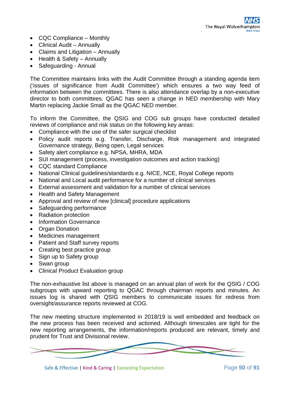- CQC Compliance Monthly
- Clinical Audit Annually
- Claims and Litigation Annually
- Health & Safety Annually
- Safeguarding Annual

The Committee maintains links with the Audit Committee through a standing agenda item ('issues of significance from Audit Committee') which ensures a two way feed of information between the committees. There is also attendance overlap by a non-executive director to both committees. QGAC has seen a change in NED membership with Mary Martin replacing Jackie Small as the QGAC NED member.

To inform the Committee, the QSIG and COG sub groups have conducted detailed reviews of compliance and risk status on the following key areas:

- Compliance with the use of the safer surgical checklist
- Policy audit reports e.g. Transfer, Discharge, Risk management and integrated Governance strategy, Being open, Legal services
- Safety alert compliance e.g. NPSA, MHRA, MDA
- SUI management (process, investigation outcomes and action tracking)
- CQC standard Compliance
- National Clinical guidelines/standards e.g. NICE, NCE, Royal College reports
- National and Local audit performance for a number of clinical services
- External assessment and validation for a number of clinical services
- Health and Safety Management
- Approval and review of new [clinical] procedure applications
- Safeguarding performance
- Radiation protection
- Information Governance
- Organ Donation
- Medicines management
- Patient and Staff survey reports
- Creating best practice group
- Sign up to Safety group
- Swan group
- Clinical Product Evaluation group

The non-exhaustive list above is managed on an annual plan of work for the QSIG / COG subgroups with upward reporting to QGAC through chairman reports and minutes. An issues log is shared with QSIG members to communicate issues for redress from oversight/assurance reports reviewed at COG.

The new meeting structure implemented in 2018/19 is well embedded and feedback on the new process has been received and actioned. Although timescales are tight for the new reporting arrangements, the information/reports produced are relevant, timely and prudent for Trust and Divisional review.

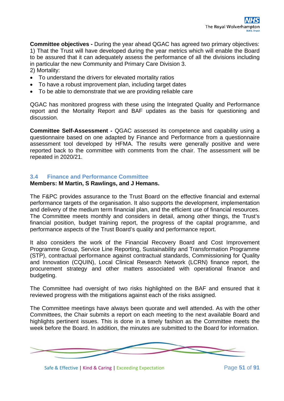**Committee objectives -** During the year ahead QGAC has agreed two primary objectives: 1) That the Trust will have developed during the year metrics which will enable the Board to be assured that it can adequately assess the performance of all the divisions including in particular the new Community and Primary Care Division 3.

2) Mortality:

- To understand the drivers for elevated mortality ratios
- To have a robust improvement plan, including target dates
- To be able to demonstrate that we are providing reliable care

QGAC has monitored progress with these using the Integrated Quality and Performance report and the Mortality Report and BAF updates as the basis for questioning and discussion.

**Committee Self-Assessment -** QGAC assessed its competence and capability using a questionnaire based on one adapted by Finance and Performance from a questionnaire assessment tool developed by HFMA. The results were generally positive and were reported back to the committee with comments from the chair. The assessment will be repeated in 2020/21.

#### **3.4 Finance and Performance Committee**

#### **Members: M Martin, S Rawlings, and J Hemans.**

The F&PC provides assurance to the Trust Board on the effective financial and external performance targets of the organisation. It also supports the development, implementation and delivery of the medium term financial plan, and the efficient use of financial resources. The Committee meets monthly and considers in detail, among other things, the Trust's financial position, budget training report, the progress of the capital programme, and performance aspects of the Trust Board's quality and performance report.

It also considers the work of the Financial Recovery Board and Cost Improvement Programme Group, Service Line Reporting, Sustainability and Transformation Programme (STP), contractual performance against contractual standards, Commissioning for Quality and Innovation (CQUIN), Local Clinical Research Network (LCRN) finance report, the procurement strategy and other matters associated with operational finance and budgeting.

The Committee had oversight of two risks highlighted on the BAF and ensured that it reviewed progress with the mitigations against each of the risks assigned.

The Committee meetings have always been quorate and well attended. As with the other Committees, the Chair submits a report on each meeting to the next available Board and highlights pertinent issues. This is done in a timely fashion as the Committee meets the week before the Board. In addition, the minutes are submitted to the Board for information.



Safe & Effective | Kind & Caring | Exceeding Expectation Page 51 of 91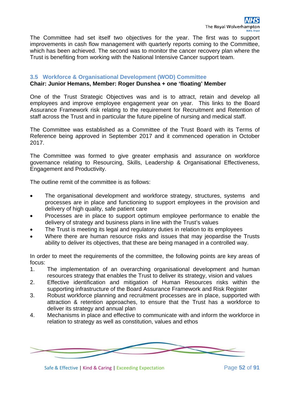The Committee had set itself two objectives for the year. The first was to support improvements in cash flow management with quarterly reports coming to the Committee, which has been achieved. The second was to monitor the cancer recovery plan where the Trust is benefiting from working with the National Intensive Cancer support team.

#### **3.5 Workforce & Organisational Development (WOD) Committee**

#### **Chair: Junior Hemans, Member: Roger Dunshea + one 'floating' Member**

One of the Trust Strategic Objectives was and is to attract, retain and develop all employees and improve employee engagement year on year. This links to the Board Assurance Framework risk relating to the requirement for Recruitment and Retention of staff across the Trust and in particular the future pipeline of nursing and medical staff.

The Committee was established as a Committee of the Trust Board with its Terms of Reference being approved in September 2017 and it commenced operation in October 2017.

The Committee was formed to give greater emphasis and assurance on workforce governance relating to Resourcing, Skills, Leadership & Organisational Effectiveness, Engagement and Productivity.

The outline remit of the committee is as follows:

- The organisational development and workforce strategy, structures, systems and processes are in place and functioning to support employees in the provision and delivery of high quality, safe patient care
- Processes are in place to support optimum employee performance to enable the delivery of strategy and business plans in line with the Trust's values
- The Trust is meeting its legal and regulatory duties in relation to its employees
- Where there are human resource risks and issues that may jeopardise the Trusts ability to deliver its objectives, that these are being managed in a controlled way.

In order to meet the requirements of the committee, the following points are key areas of focus:

- 1. The implementation of an overarching organisational development and human resources strategy that enables the Trust to deliver its strategy, vision and values
- 2. Effective identification and mitigation of Human Resources risks within the supporting infrastructure of the Board Assurance Framework and Risk Register
- 3. Robust workforce planning and recruitment processes are in place, supported with attraction & retention approaches, to ensure that the Trust has a workforce to deliver its strategy and annual plan
- 4. Mechanisms in place and effective to communicate with and inform the workforce in relation to strategy as well as constitution, values and ethos



Safe & Effective | Kind & Caring | Exceeding Expectation Page 52 of 91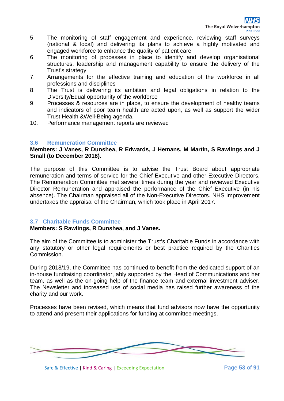- 5. The monitoring of staff engagement and experience, reviewing staff surveys (national & local) and delivering its plans to achieve a highly motivated and engaged workforce to enhance the quality of patient care
- 6. The monitoring of processes in place to identify and develop organisational structures, leadership and management capability to ensure the delivery of the Trust's strategy
- 7. Arrangements for the effective training and education of the workforce in all professions and disciplines
- 8. The Trust is delivering its ambition and legal obligations in relation to the Diversity/Equal opportunity of the workforce
- 9. Processes & resources are in place, to ensure the development of healthy teams and indicators of poor team health are acted upon, as well as support the wider Trust Health &Well-Being agenda.
- 10. Performance management reports are reviewed

#### **3.6 Remuneration Committee**

#### **Members: J Vanes, R Dunshea, R Edwards, J Hemans, M Martin, S Rawlings and J Small (to December 2018).**

The purpose of this Committee is to advise the Trust Board about appropriate remuneration and terms of service for the Chief Executive and other Executive Directors. The Remuneration Committee met several times during the year and reviewed Executive Director Remuneration and appraised the performance of the Chief Executive (in his absence). The Chairman appraised all of the Non-Executive Directors. NHS Improvement undertakes the appraisal of the Chairman, which took place in April 2017.

#### **3.7 Charitable Funds Committee**

#### **Members: S Rawlings, R Dunshea, and J Vanes.**

The aim of the Committee is to administer the Trust's Charitable Funds in accordance with any statutory or other legal requirements or best practice required by the Charities Commission.

During 2018/19, the Committee has continued to benefit from the dedicated support of an in-house fundraising coordinator, ably supported by the Head of Communications and her team, as well as the on-going help of the finance team and external investment adviser. The Newsletter and increased use of social media has raised further awareness of the charity and our work.

Processes have been revised, which means that fund advisors now have the opportunity to attend and present their applications for funding at committee meetings.



Safe & Effective | Kind & Caring | Exceeding Expectation Page 53 of 91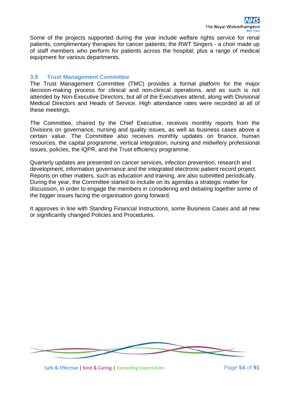Some of the projects supported during the year include welfare rights service for renal patients, complimentary therapies for cancer patients; the RWT Singers - a choir made up of staff members who perform for patients across the hospital; plus a range of medical equipment for various departments.

## **3.8 Trust Management Committee**

The Trust Management Committee (TMC) provides a formal platform for the major decision-making process for clinical and non-clinical operations, and as such is not attended by Non-Executive Directors, but all of the Executives attend, along with Divisional Medical Directors and Heads of Service. High attendance rates were recorded at all of these meetings.

The Committee, chaired by the Chief Executive, receives monthly reports from the Divisions on governance, nursing and quality issues, as well as business cases above a certain value. The Committee also receives monthly updates on finance, human resources, the capital programme, vertical integration, nursing and midwifery professional issues, policies, the IQPR, and the Trust efficiency programme.

Quarterly updates are presented on cancer services, infection prevention, research and development, information governance and the integrated electronic patient record project. Reports on other matters, such as education and training, are also submitted periodically. During the year, the Committee started to include on its agendas a strategic matter for discussion, in order to engage the members in considering and debating together some of the bigger issues facing the organisation going forward.

It approves in line with Standing Financial Instructions, some Business Cases and all new or significantly changed Policies and Procedures.



Safe & Effective | Kind & Caring | Exceeding Expectation Page 54 of 91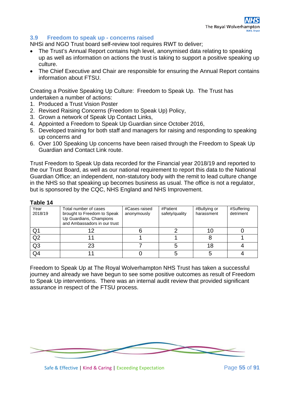## **3.9 Freedom to speak up - concerns raised**

NHSi and NGO Trust board self-review tool requires RWT to deliver;

- The Trust's Annual Report contains high level, anonymised data relating to speaking up as well as information on actions the trust is taking to support a positive speaking up culture.
- The Chief Executive and Chair are responsible for ensuring the Annual Report contains information about FTSU.

Creating a Positive Speaking Up Culture: Freedom to Speak Up. The Trust has undertaken a number of actions:

- 1. Produced a Trust Vision Poster
- 2. Revised Raising Concerns (Freedom to Speak Up) Policy,
- 3. Grown a network of Speak Up Contact Links,
- 4. Appointed a Freedom to Speak Up Guardian since October 2016,
- 5. Developed training for both staff and managers for raising and responding to speaking up concerns and
- 6. Over 100 Speaking Up concerns have been raised through the Freedom to Speak Up Guardian and Contact Link route.

Trust Freedom to Speak Up data recorded for the Financial year 2018/19 and reported to the our Trust Board, as well as our national requirement to report this data to the National Guardian Office; an independent, non-statutory body with the remit to lead culture change in the NHS so that speaking up becomes business as usual. The office is not a regulator, but is sponsored by the CQC, NHS England and NHS Improvement.

#### **Table 14**

| Year<br>2018/19 | Total number of cases<br>brought to Freedom to Speak<br>Up Guardians, Champions<br>and Ambassadors in our trust | #Cases raised<br>anonymously | #Patient<br>safety/quality | #Bullying or<br>harassment | #Suffering<br>detriment |
|-----------------|-----------------------------------------------------------------------------------------------------------------|------------------------------|----------------------------|----------------------------|-------------------------|
| Q1              |                                                                                                                 |                              |                            |                            |                         |
| Q2              |                                                                                                                 |                              |                            |                            |                         |
| Q <sub>3</sub>  | 23                                                                                                              |                              |                            |                            |                         |
| Q4              |                                                                                                                 |                              |                            |                            |                         |

Freedom to Speak Up at The Royal Wolverhampton NHS Trust has taken a successful journey and already we have begun to see some positive outcomes as result of Freedom to Speak Up interventions. There was an internal audit review that provided significant assurance in respect of the FTSU process.



Safe & Effective | Kind & Caring | Exceeding Expectation Page **55** of **91**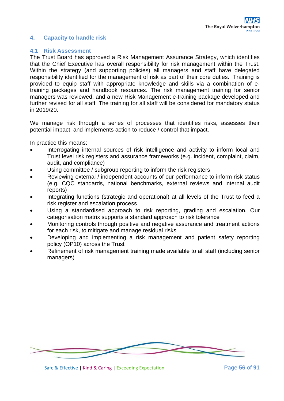## **4. Capacity to handle risk**

#### **4.1 Risk Assessment**

The Trust Board has approved a Risk Management Assurance Strategy, which identifies that the Chief Executive has overall responsibility for risk management within the Trust. Within the strategy (and supporting policies) all managers and staff have delegated responsibility identified for the management of risk as part of their core duties. Training is provided to equip staff with appropriate knowledge and skills via a combination of etraining packages and handbook resources. The risk management training for senior managers was reviewed, and a new Risk Management e-training package developed and further revised for all staff. The training for all staff will be considered for mandatory status in 2019/20.

We manage risk through a series of processes that identifies risks, assesses their potential impact, and implements action to reduce / control that impact.

In practice this means:

- Interrogating internal sources of risk intelligence and activity to inform local and Trust level risk registers and assurance frameworks (e.g. incident, complaint, claim, audit, and compliance)
- Using committee / subgroup reporting to inform the risk registers
- Reviewing external / independent accounts of our performance to inform risk status (e.g. CQC standards, national benchmarks, external reviews and internal audit reports)
- Integrating functions (strategic and operational) at all levels of the Trust to feed a risk register and escalation process
- Using a standardised approach to risk reporting, grading and escalation. Our categorisation matrix supports a standard approach to risk tolerance
- Monitoring controls through positive and negative assurance and treatment actions for each risk, to mitigate and manage residual risks
- Developing and implementing a risk management and patient safety reporting policy (OP10) across the Trust
- Refinement of risk management training made available to all staff (including senior managers)



Safe & Effective | Kind & Caring | Exceeding Expectation Page **56** of **91**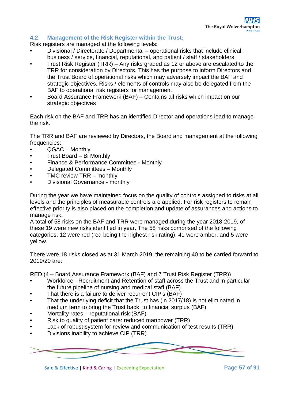## **4.2 Management of the Risk Register within the Trust:**

Risk registers are managed at the following levels:

- Divisional / Directorate / Departmental operational risks that include clinical, business / service, financial, reputational, and patient / staff / stakeholders
- Trust Risk Register (TRR) Any risks graded as 12 or above are escalated to the TRR for consideration by Directors. This has the purpose to inform Directors and the Trust Board of operational risks which may adversely impact the BAF and strategic objectives. Risks / elements of controls may also be delegated from the BAF to operational risk registers for management
- Board Assurance Framework (BAF) Contains all risks which impact on our strategic objectives

Each risk on the BAF and TRR has an identified Director and operations lead to manage the risk.

The TRR and BAF are reviewed by Directors, the Board and management at the following frequencies:

- QGAC Monthly
- Trust Board Bi Monthly
- Finance & Performance Committee Monthly
- Delegated Committees Monthly
- TMC review TRR monthly
- Divisional Governance monthly

During the year we have maintained focus on the quality of controls assigned to risks at all levels and the principles of measurable controls are applied. For risk registers to remain effective priority is also placed on the completion and update of assurances and actions to manage risk.

A total of 58 risks on the BAF and TRR were managed during the year 2018-2019, of these 19 were new risks identified in year. The 58 risks comprised of the following categories, 12 were red (red being the highest risk rating), 41 were amber, and 5 were yellow.

There were 18 risks closed as at 31 March 2019, the remaining 40 to be carried forward to 2019/20 are:

RED (4 – Board Assurance Framework (BAF) and 7 Trust Risk Register (TRR))

- Workforce Recruitment and Retention of staff across the Trust and in particular the future pipeline of nursing and medical staff (BAF)
- That there is a failure to deliver recurrent CIP's (BAF)
- That the underlying deficit that the Trust has (in 2017/18) is not eliminated in medium term to bring the Trust back to financial surplus (BAF)
- Mortality rates reputational risk (BAF)
- Risk to quality of patient care: reduced manpower (TRR)
- Lack of robust system for review and communication of test results (TRR)
- Divisions inability to achieve CIP (TRR)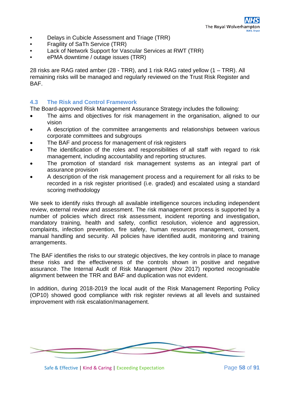- Delays in Cubicle Assessment and Triage (TRR)
- Fragility of SaTh Service (TRR)
- Lack of Network Support for Vascular Services at RWT (TRR)
- ePMA downtime / outage issues (TRR)

28 risks are RAG rated amber (28 - TRR), and 1 risk RAG rated yellow (1 – TRR). All remaining risks will be managed and regularly reviewed on the Trust Risk Register and BAF.

## **4.3 The Risk and Control Framework**

The Board-approved Risk Management Assurance Strategy includes the following:

- The aims and objectives for risk management in the organisation, aligned to our vision
- A description of the committee arrangements and relationships between various corporate committees and subgroups
- The BAF and process for management of risk registers
- The identification of the roles and responsibilities of all staff with regard to risk management, including accountability and reporting structures.
- The promotion of standard risk management systems as an integral part of assurance provision
- A description of the risk management process and a requirement for all risks to be recorded in a risk register prioritised (i.e. graded) and escalated using a standard scoring methodology

We seek to identify risks through all available intelligence sources including independent review, external review and assessment. The risk management process is supported by a number of policies which direct risk assessment, incident reporting and investigation, mandatory training, health and safety, conflict resolution, violence and aggression, complaints, infection prevention, fire safety, human resources management, consent, manual handling and security. All policies have identified audit, monitoring and training arrangements.

The BAF identifies the risks to our strategic objectives, the key controls in place to manage these risks and the effectiveness of the controls shown in positive and negative assurance. The Internal Audit of Risk Management (Nov 2017) reported recognisable alignment between the TRR and BAF and duplication was not evident.

In addition, during 2018-2019 the local audit of the Risk Management Reporting Policy (OP10) showed good compliance with risk register reviews at all levels and sustained improvement with risk escalation/management.

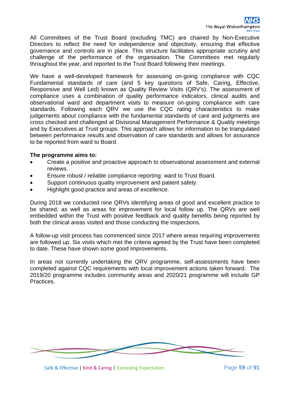All Committees of the Trust Board (excluding TMC) are chaired by Non-Executive Directors to reflect the need for independence and objectivity, ensuring that effective governance and controls are in place. This structure facilitates appropriate scrutiny and challenge of the performance of the organisation. The Committees met regularly throughout the year, and reported to the Trust Board following their meetings.

We have a well-developed framework for assessing on-going compliance with CQC Fundamental standards of care (and 5 key questions of Safe, Caring, Effective, Responsive and Well Led) known as Quality Review Visits (QRV's). The assessment of compliance uses a combination of quality performance indicators, clinical audits and observational ward and department visits to measure on-going compliance with care standards. Following each QRV we use the CQC rating characteristics to make judgements about compliance with the fundamental standards of care and judgments are cross checked and challenged at Divisional Management Performance & Quality meetings and by Executives at Trust groups. This approach allows for information to be triangulated between performance results and observation of care standards and allows for assurance to be reported from ward to Board.

#### **The programme aims to:**

- Create a positive and proactive approach to observational assessment and external reviews.
- Ensure robust / reliable compliance reporting: ward to Trust Board.
- Support continuous quality improvement and patient safety.
- Highlight good practice and areas of excellence.

During 2018 we conducted nine QRVs identifying areas of good and excellent practice to be shared, as well as areas for improvement for local follow up. The QRVs are well embedded within the Trust with positive feedback and quality benefits being reported by both the clinical areas visited and those conducting the inspections.

A follow-up visit process has commenced since 2017 where areas requiring improvements are followed up. Six visits which met the criteria agreed by the Trust have been completed to date. These have shown some good improvements.

In areas not currently undertaking the QRV programme, self-assessments have been completed against CQC requirements with local improvement actions taken forward. The 2019/20 programme includes community areas and 2020/21 programme will include GP Practices.



Safe & Effective | Kind & Caring | Exceeding Expectation Page **59** of **91**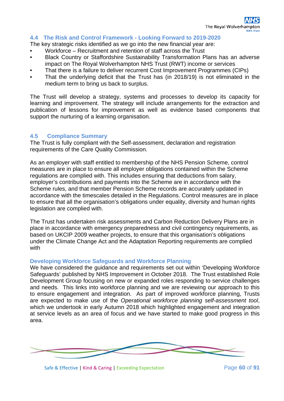#### **4.4 The Risk and Control Framework - Looking Forward to 2019-2020**

The key strategic risks identified as we go into the new financial year are:

- Workforce Recruitment and retention of staff across the Trust
- Black Country or Staffordshire Sustainability Transformation Plans has an adverse impact on The Royal Wolverhampton NHS Trust (RWT) income or services
- That there is a failure to deliver recurrent Cost Improvement Programmes (CIPs)
- That the underlying deficit that the Trust has (in 2018/19) is not eliminated in the medium term to bring us back to surplus.

The Trust will develop a strategy, systems and processes to develop its capacity for learning and improvement. The strategy will include arrangements for the extraction and publication of lessons for improvement as well as evidence based components that support the nurturing of a learning organisation.

#### **4.5 Compliance Summary**

The Trust is fully compliant with the Self-assessment, declaration and registration requirements of the Care Quality Commission.

As an employer with staff entitled to membership of the NHS Pension Scheme, control measures are in place to ensure all employer obligations contained within the Scheme regulations are complied with. This includes ensuring that deductions from salary, employer's contributions and payments into the Scheme are in accordance with the Scheme rules, and that member Pension Scheme records are accurately updated in accordance with the timescales detailed in the Regulations. Control measures are in place to ensure that all the organisation's obligations under equality, diversity and human rights legislation are complied with.

The Trust has undertaken risk assessments and Carbon Reduction Delivery Plans are in place in accordance with emergency preparedness and civil contingency requirements, as based on UKCIP 2009 weather projects, to ensure that this organisation's obligations under the Climate Change Act and the Adaptation Reporting requirements are complied with

#### **Developing Workforce Safeguards and Workforce Planning**

We have considered the guidance and requirements set out within 'Developing Workforce Safeguards' published by NHS Improvement in October 2018. The Trust established Role Development Group focusing on new or expanded roles responding to service challenges and needs. This links into workforce planning and we are reviewing our approach to this to ensure engagement and integration. As part of improved workforce planning, Trusts are expected to make use of the *Operational workforce planning self-assessment tool*, which we undertook in early Autumn 2018 which highlighted engagement and integration at service levels as an area of focus and we have started to make good progress in this area.



Safe & Effective | Kind & Caring | Exceeding Expectation Page 60 of 91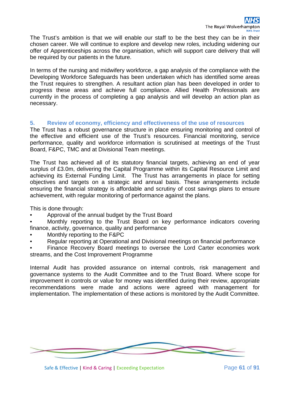The Trust's ambition is that we will enable our staff to be the best they can be in their chosen career. We will continue to explore and develop new roles, including widening our offer of Apprenticeships across the organisation, which will support care delivery that will be required by our patients in the future.

In terms of the nursing and midwifery workforce, a gap analysis of the compliance with the Developing Workforce Safeguards has been undertaken which has identified some areas the Trust requires to strengthen. A resultant action plan has been developed in order to progress these areas and achieve full compliance. Allied Health Professionals are currently in the process of completing a gap analysis and will develop an action plan as necessary.

## **5. Review of economy, efficiency and effectiveness of the use of resources**

The Trust has a robust governance structure in place ensuring monitoring and control of the effective and efficient use of the Trust's resources. Financial monitoring, service performance, quality and workforce information is scrutinised at meetings of the Trust Board, F&PC, TMC and at Divisional Team meetings.

The Trust has achieved all of its statutory financial targets, achieving an end of year surplus of £3.0m, delivering the Capital Programme within its Capital Resource Limit and achieving its External Funding Limit. The Trust has arrangements in place for setting objectives and targets on a strategic and annual basis. These arrangements include ensuring the financial strategy is affordable and scrutiny of cost savings plans to ensure achievement, with regular monitoring of performance against the plans.

This is done through:

• Approval of the annual budget by the Trust Board

• Monthly reporting to the Trust Board on key performance indicators covering finance, activity, governance, quality and performance

- Monthly reporting to the F&PC
- Regular reporting at Operational and Divisional meetings on financial performance
- Finance Recovery Board meetings to oversee the Lord Carter economies work streams, and the Cost Improvement Programme

Internal Audit has provided assurance on internal controls, risk management and governance systems to the Audit Committee and to the Trust Board. Where scope for improvement in controls or value for money was identified during their review, appropriate recommendations were made and actions were agreed with management for implementation. The implementation of these actions is monitored by the Audit Committee.

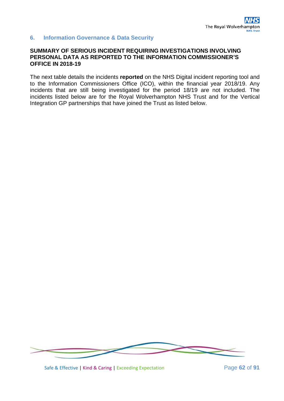## **6. Information Governance & Data Security**

#### **SUMMARY OF SERIOUS INCIDENT REQUIRING INVESTIGATIONS INVOLVING PERSONAL DATA AS REPORTED TO THE INFORMATION COMMISSIONER'S OFFICE IN 2018-19**

The next table details the incidents **reported** on the NHS Digital incident reporting tool and to the Information Commissioners Office (ICO), within the financial year 2018/19. Any incidents that are still being investigated for the period 18/19 are not included. The incidents listed below are for the Royal Wolverhampton NHS Trust and for the Vertical Integration GP partnerships that have joined the Trust as listed below.



Safe & Effective | Kind & Caring | Exceeding Expectation Page **62** of **91**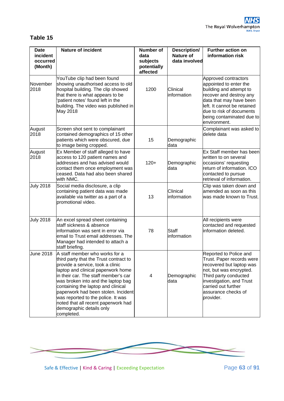## **Table 15**

| <b>Date</b><br>incident<br>occurred<br>(Month) | <b>Nature of incident</b>                                                                                                                                                                                                                                                                                                                                                                                                            | <b>Number of</b><br>data<br>subjects<br>potentially<br>affected | Description/<br><b>Nature of</b><br>data involved | <b>Further action on</b><br>information risk                                                                                                                                                                                            |
|------------------------------------------------|--------------------------------------------------------------------------------------------------------------------------------------------------------------------------------------------------------------------------------------------------------------------------------------------------------------------------------------------------------------------------------------------------------------------------------------|-----------------------------------------------------------------|---------------------------------------------------|-----------------------------------------------------------------------------------------------------------------------------------------------------------------------------------------------------------------------------------------|
| November<br>2018                               | YouTube clip had been found<br>showing unauthorised access to old<br>hospital building. The clip showed<br>that there is what appears to be<br>patient notes' found left in the<br>building. The video was published in<br>May 2018                                                                                                                                                                                                  | 1200                                                            | Clinical<br>information                           | Approved contractors<br>appointed to enter the<br>building and attempt to<br>recover and destroy any<br>data that may have been<br>left. It cannot be retained<br>due to risk of documents<br>being contaminated due to<br>environment. |
| August<br>2018                                 | Screen shot sent to complainant<br>contained demographics of 15 other<br>patients which were obscured, due<br>to image being cropped.                                                                                                                                                                                                                                                                                                | 15                                                              | Demographic<br>data                               | Complainant was asked to<br>delete data                                                                                                                                                                                                 |
| August<br>2018                                 | Ex Member of staff alleged to have<br>access to 120 patient names and<br>addresses and has advised would<br>contact them once employment was<br>ceased. Data had also been shared<br>with NMC.                                                                                                                                                                                                                                       | $120+$                                                          | Demographic<br>data                               | Ex Staff member has been<br>written to on several<br>occasions' requesting<br>return of information. ICO<br>contacted to pursue<br>retrieval of information.                                                                            |
| <b>July 2018</b>                               | Social media disclosure, a clip<br>containing patient data was made<br>available via twitter as a part of a<br>promotional video.                                                                                                                                                                                                                                                                                                    | 13                                                              | Clinical<br>information                           | Clip was taken down and<br>amended as soon as this<br>was made known to Trust.                                                                                                                                                          |
| <b>July 2018</b>                               | An excel spread sheet containing<br>staff sickness & absence<br>linformation was sent in error via<br>email to Trust email addresses. The<br>Manager had intended to attach a<br>staff briefing.                                                                                                                                                                                                                                     | 78                                                              | <b>Staff</b><br>information                       | All recipients were<br>contacted and requested<br>information deleted.                                                                                                                                                                  |
| <b>June 2018</b>                               | A staff member who works for a<br>third party that the Trust contract to<br>provide a service, took a clinic<br>laptop and clinical paperwork home<br>in their car. The staff member's car<br>was broken into and the laptop bag<br>containing the laptop and clinical<br>paperwork had been stolen. Incident<br>was reported to the police. It was<br>noted that all recent paperwork had<br>demographic details only<br>completed. | $\overline{4}$                                                  | Demographic<br>data                               | Reported to Police and<br>Trust. Paper records were<br>recovered but laptop was<br>not, but was encrypted.<br>Third party conducted<br>investigation, and Trust<br>carried out further<br>assurance checks of<br>provider.              |



Safe & Effective | Kind & Caring | Exceeding Expectation Page 63 of 91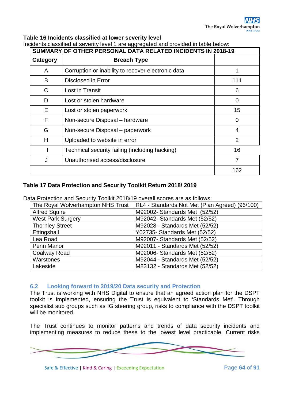## **Table 16 Incidents classified at lower severity level**

| uduno udumba di bovoniy lovur r dio aggrogatod dha providod in tablo bolow.<br>SUMMARY OF OTHER PERSONAL DATA RELATED INCIDENTS IN 2018-19 |                                                    |                |  |  |
|--------------------------------------------------------------------------------------------------------------------------------------------|----------------------------------------------------|----------------|--|--|
| Category                                                                                                                                   | <b>Breach Type</b>                                 |                |  |  |
| A                                                                                                                                          | Corruption or inability to recover electronic data |                |  |  |
| B                                                                                                                                          | Disclosed in Error                                 | 111            |  |  |
| C                                                                                                                                          | Lost in Transit                                    | 6              |  |  |
| D                                                                                                                                          | Lost or stolen hardware                            | 0              |  |  |
| E                                                                                                                                          | Lost or stolen paperwork                           | 15             |  |  |
| F                                                                                                                                          | Non-secure Disposal - hardware                     | 0              |  |  |
| G                                                                                                                                          | Non-secure Disposal – paperwork                    | 4              |  |  |
| H                                                                                                                                          | Uploaded to website in error                       | $\overline{2}$ |  |  |
|                                                                                                                                            | Technical security failing (including hacking)     | 16             |  |  |
| J                                                                                                                                          | Unauthorised access/disclosure                     | 7              |  |  |
|                                                                                                                                            |                                                    | 162            |  |  |

Incidents classified at severity level 1 are aggregated and provided in table below:

## **Table 17 Data Protection and Security Toolkit Return 2018/ 2019**

Data Protection and Security Toolkit 2018/19 overall scores are as follows:

| The Royal Wolverhampton NHS Trust | RL4 - Standards Not Met (Plan Agreed) (96/100) |
|-----------------------------------|------------------------------------------------|
| <b>Alfred Squire</b>              | M92002- Standards Met (52/52)                  |
| <b>West Park Surgery</b>          | M92042- Standards Met (52/52)                  |
| <b>Thornley Street</b>            | M92028 - Standards Met (52/52)                 |
| Ettingshall                       | Y02735- Standards Met (52/52)                  |
| Lea Road                          | M92007- Standards Met (52/52)                  |
| Penn Manor                        | M92011 - Standards Met (52/52)                 |
| <b>Coalway Road</b>               | M92006- Standards Met (52/52)                  |
| Warstones                         | M92044 - Standards Met (52/52)                 |
| Lakeside                          | M83132 - Standards Met (52/52)                 |

#### **6.2 Looking forward to 2019/20 Data security and Protection**

The Trust is working with NHS Digital to ensure that an agreed action plan for the DSPT toolkit is implemented, ensuring the Trust is equivalent to 'Standards Met'. Through specialist sub groups such as IG steering group, risks to compliance with the DSPT toolkit will be monitored.

The Trust continues to monitor patterns and trends of data security incidents and implementing measures to reduce these to the lowest level practicable. Current risks

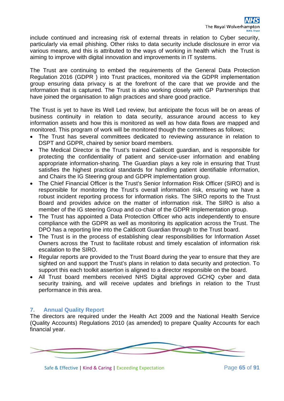include continued and increasing risk of external threats in relation to Cyber security, particularly via email phishing. Other risks to data security include disclosure in error via various means, and this is attributed to the ways of working in health which the Trust is aiming to improve with digital innovation and improvements in IT systems.

The Trust are continuing to embed the requirements of the General Data Protection Regulation 2016 (GDPR ) into Trust practices, monitored via the GDPR implementation group ensuring data privacy is at the forefront of the care that we provide and the information that is captured. The Trust is also working closely with GP Partnerships that have joined the organisation to align practices and share good practice.

The Trust is yet to have its Well Led review, but anticipate the focus will be on areas of business continuity in relation to data security, assurance around access to key information assets and how this is monitored as well as how data flows are mapped and monitored. This program of work will be monitored though the committees as follows;

- The Trust has several committees dedicated to reviewing assurance in relation to DSPT and GDPR, chaired by senior board members.
- The Medical Director is the Trust's trained Caldicott guardian, and is responsible for protecting the confidentiality of patient and service-user information and enabling appropriate information-sharing. The Guardian plays a key role in ensuring that Trust satisfies the highest practical standards for handling patient identifiable information, and Chairs the IG Steering group and GDPR implementation group.
- The Chief Financial Officer is the Trust's Senior Information Risk Officer (SIRO) and is responsible for monitoring the Trust's overall information risk, ensuring we have a robust incident reporting process for information risks. The SIRO reports to the Trust Board and provides advice on the matter of information risk. The SIRO is also a member of the IG steering Group and co-chair of the GDPR implementation group.
- The Trust has appointed a Data Protection Officer who acts independently to ensure compliance with the GDPR as well as monitoring its application across the Trust. The DPO has a reporting line into the Caldicott Guardian through to the Trust board.
- The Trust is in the process of establishing clear responsibilities for Information Asset Owners across the Trust to facilitate robust and timely escalation of information risk escalation to the SIRO.
- Regular reports are provided to the Trust Board during the year to ensure that they are sighted on and support the Trust's plans in relation to data security and protection. To support this each toolkit assertion is aligned to a director responsible on the board.
- All Trust board members received NHS Digital approved GCHQ cyber and data security training, and will receive updates and briefings in relation to the Trust performance in this area.

## **7. Annual Quality Report**

The directors are required under the Health Act 2009 and the National Health Service (Quality Accounts) Regulations 2010 (as amended) to prepare Quality Accounts for each financial year.

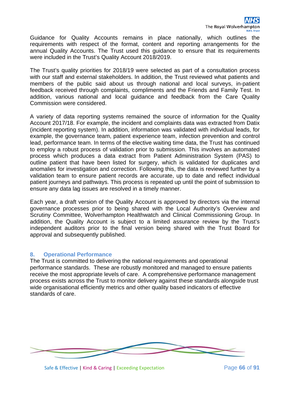Guidance for Quality Accounts remains in place nationally, which outlines the requirements with respect of the format, content and reporting arrangements for the annual Quality Accounts. The Trust used this guidance to ensure that its requirements were included in the Trust's Quality Account 2018/2019.

The Trust's quality priorities for 2018/19 were selected as part of a consultation process with our staff and external stakeholders. In addition, the Trust reviewed what patients and members of the public said about us through national and local surveys, in-patient feedback received through complaints, compliments and the Friends and Family Test. In addition, various national and local guidance and feedback from the Care Quality Commission were considered.

A variety of data reporting systems remained the source of information for the Quality Account 2017/18. For example, the incident and complaints data was extracted from Datix (incident reporting system). In addition, information was validated with individual leads, for example, the governance team, patient experience team, infection prevention and control lead, performance team. In terms of the elective waiting time data, the Trust has continued to employ a robust process of validation prior to submission. This involves an automated process which produces a data extract from Patient Administration System (PAS) to outline patient that have been listed for surgery, which is validated for duplicates and anomalies for investigation and correction. Following this, the data is reviewed further by a validation team to ensure patient records are accurate, up to date and reflect individual patient journeys and pathways. This process is repeated up until the point of submission to ensure any data lag issues are resolved in a timely manner.

Each year, a draft version of the Quality Account is approved by directors via the internal governance processes prior to being shared with the Local Authority's Overview and Scrutiny Committee, Wolverhampton Healthwatch and Clinical Commissioning Group. In addition, the Quality Account is subject to a limited assurance review by the Trust's independent auditors prior to the final version being shared with the Trust Board for approval and subsequently published.

#### **8. Operational Performance**

The Trust is committed to delivering the national requirements and operational performance standards. These are robustly monitored and managed to ensure patients receive the most appropriate levels of care. A comprehensive performance management process exists across the Trust to monitor delivery against these standards alongside trust wide organisational efficiently metrics and other quality based indicators of effective standards of care.

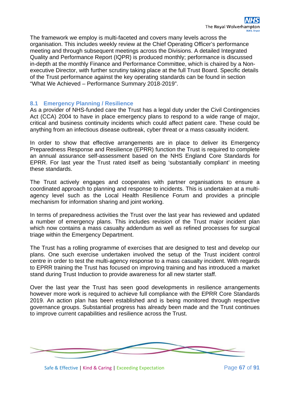The framework we employ is multi-faceted and covers many levels across the organisation. This includes weekly review at the Chief Operating Officer's performance meeting and through subsequent meetings across the Divisions. A detailed Integrated Quality and Performance Report (IQPR) is produced monthly; performance is discussed in-depth at the monthly Finance and Performance Committee, which is chaired by a Nonexecutive Director, with further scrutiny taking place at the full Trust Board. Specific details of the Trust performance against the key operating standards can be found in section "What We Achieved – Performance Summary 2018-2019".

#### **8.1 Emergency Planning / Resilience**

As a provider of NHS-funded care the Trust has a legal duty under the Civil Contingencies Act (CCA) 2004 to have in place emergency plans to respond to a wide range of major, critical and business continuity incidents which could affect patient care. These could be anything from an infectious disease outbreak, cyber threat or a mass casualty incident.

In order to show that effective arrangements are in place to deliver its Emergency Preparedness Response and Resilience (EPRR) function the Trust is required to complete an annual assurance self-assessment based on the NHS England Core Standards for EPRR. For last year the Trust rated itself as being 'substantially compliant' in meeting these standards.

The Trust actively engages and cooperates with partner organisations to ensure a coordinated approach to planning and response to incidents. This is undertaken at a multiagency level such as the Local Health Resilience Forum and provides a principle mechanism for information sharing and joint working.

In terms of preparedness activities the Trust over the last year has reviewed and updated a number of emergency plans. This includes revision of the Trust major incident plan which now contains a mass casualty addendum as well as refined processes for surgical triage within the Emergency Department.

The Trust has a rolling programme of exercises that are designed to test and develop our plans. One such exercise undertaken involved the setup of the Trust incident control centre in order to test the multi-agency response to a mass casualty incident. With regards to EPRR training the Trust has focused on improving training and has introduced a market stand during Trust Induction to provide awareness for all new starter staff.

Over the last year the Trust has seen good developments in resilience arrangements however more work is required to achieve full compliance with the EPRR Core Standards 2019. An action plan has been established and is being monitored through respective governance groups. Substantial progress has already been made and the Trust continues to improve current capabilities and resilience across the Trust.



Safe & Effective | Kind & Caring | Exceeding Expectation Page 67 of 91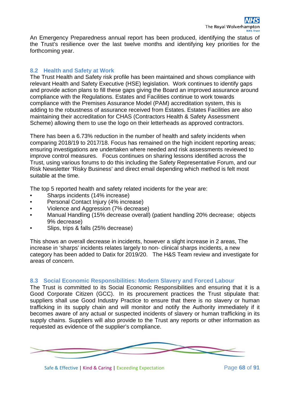An Emergency Preparedness annual report has been produced, identifying the status of the Trust's resilience over the last twelve months and identifying key priorities for the forthcoming year.

## **8.2 Health and Safety at Work**

The Trust Health and Safety risk profile has been maintained and shows compliance with relevant Health and Safety Executive (HSE) legislation. Work continues to identify gaps and provide action plans to fill these gaps giving the Board an improved assurance around compliance with the Regulations. Estates and Facilities continue to work towards compliance with the Premises Assurance Model (PAM) accreditation system, this is adding to the robustness of assurance received from Estates. Estates Facilities are also maintaining their accreditation for CHAS (Contractors Health & Safety Assessment Scheme) allowing them to use the logo on their letterheads as approved contractors.

There has been a 6.73% reduction in the number of health and safety incidents when comparing 2018/19 to 2017/18. Focus has remained on the high incident reporting areas; ensuring investigations are undertaken where needed and risk assessments reviewed to improve control measures. Focus continues on sharing lessons identified across the Trust, using various forums to do this including the Safety Representative Forum, and our Risk Newsletter 'Risky Business' and direct email depending which method is felt most suitable at the time.

The top 5 reported health and safety related incidents for the year are:

- Sharps incidents (14% increase)
- Personal Contact Injury (4% increase)
- Violence and Aggression (7% decrease)
- Manual Handling (15% decrease overall) (patient handling 20% decrease; objects 9% decrease)
- Slips, trips & falls (25% decrease)

This shows an overall decrease in incidents, however a slight increase in 2 areas, The increase in 'sharps' incidents relates largely to non- clinical sharps incidents, a new category has been added to Datix for 2019/20. The H&S Team review and investigate for areas of concern.

#### **8.3 Social Economic Responsibilities: Modern Slavery and Forced Labour**

The Trust is committed to its Social Economic Responsibilities and ensuring that it is a Good Corporate Citizen (GCC). In its procurement practices the Trust stipulate that: suppliers shall use Good Industry Practice to ensure that there is no slavery or human trafficking in its supply chain and will monitor and notify the Authority immediately if it becomes aware of any actual or suspected incidents of slavery or human trafficking in its supply chains. Suppliers will also provide to the Trust any reports or other information as requested as evidence of the supplier's compliance.

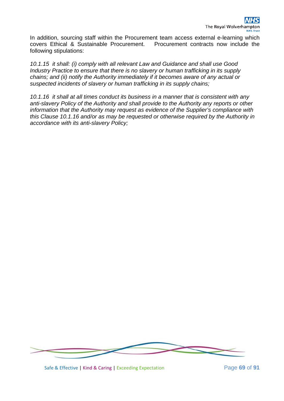In addition, sourcing staff within the Procurement team access external e-learning which covers Ethical & Sustainable Procurement. Procurement contracts now include the following stipulations:

*10.1.15 it shall: (i) comply with all relevant Law and Guidance and shall use Good Industry Practice to ensure that there is no slavery or human trafficking in its supply chains; and (ii) notify the Authority immediately if it becomes aware of any actual or suspected incidents of slavery or human trafficking in its supply chains;*

*10.1.16 it shall at all times conduct its business in a manner that is consistent with any anti-slavery Policy of the Authority and shall provide to the Authority any reports or other information that the Authority may request as evidence of the Supplier's compliance with this Clause 10.1.16 and/or as may be requested or otherwise required by the Authority in accordance with its anti-slavery Policy;*



Safe & Effective | Kind & Caring | Exceeding Expectation Page **69** of **91**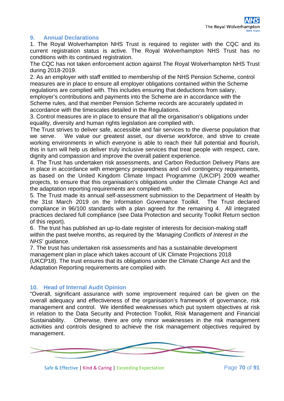## **9. Annual Declarations**

1. The Royal Wolverhampton NHS Trust is required to register with the CQC and its current registration status is active. The Royal Wolverhampton NHS Trust has no conditions with its continued registration.

The CQC has not taken enforcement action against The Royal Wolverhampton NHS Trust during 2018-2019.

2. As an employer with staff entitled to membership of the NHS Pension Scheme, control measures are in place to ensure all employer obligations contained within the Scheme regulations are complied with. This includes ensuring that deductions from salary,

employer's contributions and payments into the Scheme are in accordance with the Scheme rules, and that member Pension Scheme records are accurately updated in accordance with the timescales detailed in the Regulations.

3. Control measures are in place to ensure that all the organisation's obligations under equality, diversity and human rights legislation are complied with.

The Trust strives to deliver safe, accessible and fair services to the diverse population that we serve. We value our greatest asset, our diverse workforce, and strive to create working environments in which everyone is able to reach their full potential and flourish, this in turn will help us deliver truly inclusive services that treat people with respect, care, dignity and compassion and improve the overall patient experience.

4. The Trust has undertaken risk assessments, and Carbon Reduction Delivery Plans are in place in accordance with emergency preparedness and civil contingency requirements, as based on the United Kingdom Climate Impact Programme (UKCIP) 2009 weather projects, to ensure that this organisation's obligations under the Climate Change Act and the adaptation reporting requirements are complied with.

5. The Trust made its annual self-assessment submission to the Department of Health by the 31st March 2019 on the Information Governance Toolkit. The Trust declared compliance in 96/100 standards with a plan agreed for the remaining 4. All integrated practices declared full compliance (see Data Protection and security Toolkit Return section of this report).

6. The trust has published an up-to-date register of interests for decision-making staff within the past twelve months, as required by the '*Managing Conflicts of Interest in the NHS*' guidance.

7. The trust has undertaken risk assessments and has a sustainable development management plan in place which takes account of UK Climate Projections 2018 (UKCP18). The trust ensures that its obligations under the Climate Change Act and the Adaptation Reporting requirements are complied with.

#### **10. Head of Internal Audit Opinion**

"Overall, significant assurance with some improvement required can be given on the overall adequacy and effectiveness of the organisation's framework of governance, risk management and control. We identified weaknesses which put system objectives at risk in relation to the Data Security and Protection Toolkit, Risk Management and Financial Sustainability. Otherwise, there are only minor weaknesses in the risk management activities and controls designed to achieve the risk management objectives required by management.

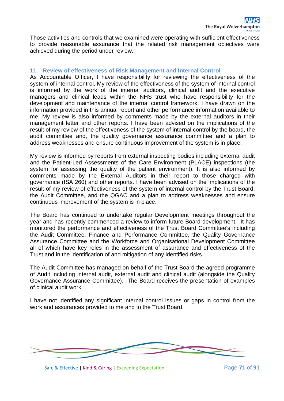Those activities and controls that we examined were operating with sufficient effectiveness to provide reasonable assurance that the related risk management objectives were achieved during the period under review."

## **11. Review of effectiveness of Risk Management and Internal Control**

As Accountable Officer, I have responsibility for reviewing the effectiveness of the system of internal control. My review of the effectiveness of the system of internal control is informed by the work of the internal auditors, clinical audit and the executive managers and clinical leads within the NHS trust who have responsibility for the development and maintenance of the internal control framework. I have drawn on the information provided in this annual report and other performance information available to me. My review is also informed by comments made by the external auditors in their management letter and other reports. I have been advised on the implications of the result of my review of the effectiveness of the system of internal control by the board, the audit committee and, the quality governance assurance committee and a plan to address weaknesses and ensure continuous improvement of the system is in place.

My review is informed by reports from external inspecting bodies including external audit and the Patient-Led Assessments of the Care Environment (PLACE) inspections (the system for assessing the quality of the patient environment). It is also informed by comments made by the External Auditors in their report to those charged with governance (ISA 260) and other reports. I have been advised on the implications of the result of my review of effectiveness of the system of internal control by the Trust Board, the Audit Committee, and the QGAC and a plan to address weaknesses and ensure continuous improvement of the system is in place.

The Board has continued to undertake regular Development meetings throughout the year and has recently commenced a review to inform future Board development. It has monitored the performance and effectiveness of the Trust Board Committee's including the Audit Committee, Finance and Performance Committee, the Quality Governance Assurance Committee and the Workforce and Organisational Development Committee all of which have key roles in the assessment of assurance and effectiveness of the Trust and in the identification of and mitigation of any identified risks.

The Audit Committee has managed on behalf of the Trust Board the agreed programme of Audit including internal audit, external audit and clinical audit (alongside the Quality Governance Assurance Committee). The Board receives the presentation of examples of clinical audit work.

I have not identified any significant internal control issues or gaps in control from the work and assurances provided to me and to the Trust Board.



Safe & Effective | Kind & Caring | Exceeding Expectation Page **71** of 91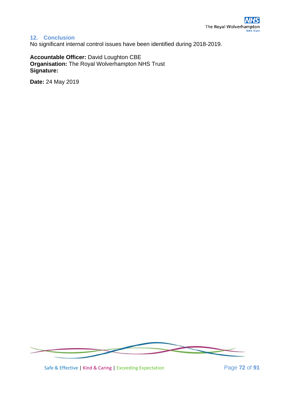# **12. Conclusion**

No significant internal control issues have been identified during 2018-2019.

**Accountable Officer:** David Loughton CBE **Organisation:** The Royal Wolverhampton NHS Trust **Signature:**

**Date:** 24 May 2019



Safe & Effective | Kind & Caring | Exceeding Expectation Page **72** of **91**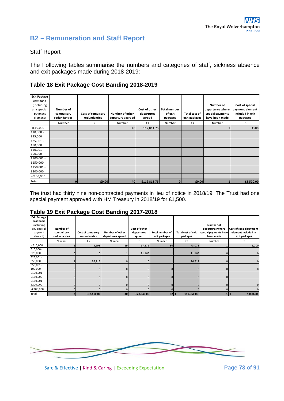# **B2 – Remuneration and Staff Report**

#### Staff Report

The Following tables summarise the numbers and categories of staff, sickness absence and exit packages made during 2018-2019:

## **Table 18 Exit Package Cost Banding 2018-2019**

| <b>Exit Package</b><br>cost band<br>(including<br>any special<br>payment<br>element) | Number of<br>compulsory<br>redundancies | Cost of comulsory<br>redundancies | Number of other<br>departures agreed | Cost of other<br>departures<br>agreed | <b>Total number</b><br>of exit<br>packages | Total cost of<br>exit packages | Number of<br>departures where<br>special payments<br>have been made | Cost of special<br>payment element<br>included in exit<br>packages |
|--------------------------------------------------------------------------------------|-----------------------------------------|-----------------------------------|--------------------------------------|---------------------------------------|--------------------------------------------|--------------------------------|---------------------------------------------------------------------|--------------------------------------------------------------------|
|                                                                                      | Number                                  | £s                                | Number                               | £s                                    | Number                                     | £s                             | Number                                                              | £s                                                                 |
| $<$ £10,000                                                                          |                                         |                                   | 40                                   | 112,811.75                            |                                            |                                |                                                                     | 1500                                                               |
| £10,000 -<br>£25,000                                                                 |                                         |                                   |                                      |                                       |                                            |                                |                                                                     |                                                                    |
| £25,001 -<br>£50,000                                                                 |                                         |                                   |                                      |                                       |                                            |                                |                                                                     |                                                                    |
| £50,001 -<br>100,000                                                                 |                                         |                                   |                                      |                                       |                                            |                                |                                                                     |                                                                    |
| £100,001 -<br>£150,000                                                               |                                         |                                   |                                      |                                       |                                            |                                |                                                                     |                                                                    |
| £150,001 -<br>£200,000                                                               |                                         |                                   |                                      |                                       |                                            |                                |                                                                     |                                                                    |
| >£200,000                                                                            |                                         |                                   |                                      |                                       |                                            |                                |                                                                     |                                                                    |
| Total                                                                                | 0                                       | £0.00                             | 40                                   | £112,811.75                           | $\Omega$                                   | £0.00                          |                                                                     | £1,500.00                                                          |

The trust had thirty nine non-contracted payments in lieu of notice in 2018/19. The Trust had one special payment approved with HM Treasury in 2018/19 for £1,500.

#### **Table 19 Exit Package Cost Banding 2017-2018**

| <b>Exit Package</b><br>cost band<br>(including |                                         |                                   |                                      |                                       |                                         |                                       | Number of                                              |                                                                 |
|------------------------------------------------|-----------------------------------------|-----------------------------------|--------------------------------------|---------------------------------------|-----------------------------------------|---------------------------------------|--------------------------------------------------------|-----------------------------------------------------------------|
| any special<br>payment<br>element)             | Number of<br>compulsory<br>redundancies | Cost of comulsory<br>redundancies | Number of other<br>departures agreed | Cost of other<br>departures<br>agreed | <b>Total number of</b><br>exit packages | <b>Total cost of exit</b><br>packages | departures where<br>special payments have<br>been made | Cost of special payment<br>element included in<br>exit packages |
|                                                | Number                                  | £s                                | Number                               | £s                                    | Number                                  | £s                                    | Number                                                 | £s                                                              |
| $<$ £10,000                                    |                                         | 5,698                             | 29                                   | 67,375                                | 30 <sup>1</sup>                         | 73,073                                |                                                        | 5,000                                                           |
| £10,000 -<br>£25,000                           | $\mathbf{0}$                            |                                   |                                      | 11,165                                |                                         | 11,165                                |                                                        | $\mathbf{0}$                                                    |
| £25,001 -<br>£50,000                           |                                         | 26,712                            |                                      | $\mathbf{0}$                          |                                         | 26,712                                |                                                        |                                                                 |
| £50,001 -<br>100,000                           | $\mathbf{0}$                            |                                   |                                      | $\Omega$                              |                                         |                                       |                                                        |                                                                 |
| £100,001 -<br>£150,000                         | $\mathbf{0}$                            |                                   |                                      | $\Omega$                              |                                         |                                       |                                                        |                                                                 |
| £150,001 -<br>£200,000                         | $\mathbf{0}$                            |                                   |                                      | $\Omega$                              |                                         |                                       |                                                        |                                                                 |
| >£200,000                                      | $\Omega$                                |                                   |                                      | $\Omega$                              |                                         |                                       | <sup>n</sup>                                           |                                                                 |
| Total                                          | $\overline{2}$                          | £32,410.00                        | 30 <sup>1</sup>                      | £78,540.00                            | $32$ $E$                                | 110,950.00                            | 1                                                      | 5,000.00<br>Ι£                                                  |



Safe & Effective | Kind & Caring | Exceeding Expectation Page **73** of **91**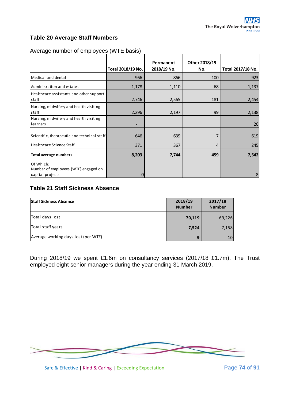# **Table 20 Average Staff Numbers**

|                                                    | Total 2018/19 No. | Permanent<br>2018/19 No. | Other 2018/19<br>No. | Total 2017/18 No. |
|----------------------------------------------------|-------------------|--------------------------|----------------------|-------------------|
|                                                    |                   |                          |                      |                   |
| Medical and dental                                 | 966               | 866                      | 100                  | 923               |
| Adminisration and estates                          | 1,178             | 1,110                    | 68                   | 1,137             |
| Healthcare assistants and other support            |                   |                          |                      |                   |
| staff                                              | 2,746             | 2,565                    | 181                  | 2,454             |
| Nursing, midwifery and health visiting<br>staff    | 2,296             | 2,197                    | 99                   | 2,138             |
| Nursing, midwifery and health visiting<br>learners |                   |                          |                      | 26                |
| Scientific, therapeutic and technical staff        | 646               | 639                      | 7                    | 619               |
| Healthcare Science Staff                           | 371               | 367                      | 4                    | 245               |
| <b>Total average numbers</b>                       | 8,203             | 7,744                    | 459                  | 7,542             |
| Of Which:                                          |                   |                          |                      |                   |
| Number of employees (WTE) engaged on               |                   |                          |                      |                   |
| capital projects                                   | 0                 |                          |                      | 8                 |

## Average number of employees (WTE basis)

# **Table 21 Staff Sickness Absence**

| <b>Staff Sickness Absence</b>       | 2018/19<br><b>Number</b> | 2017/18<br><b>Number</b> |
|-------------------------------------|--------------------------|--------------------------|
| Total days lost                     | 70,119                   | 69,226                   |
| Total staff years                   | 7,524                    | 7,158                    |
| Average working days lost (per WTE) | 9                        | 10                       |

During 2018/19 we spent £1.6m on consultancy services (2017/18 £1.7m). The Trust employed eight senior managers during the year ending 31 March 2019.



Safe & Effective | Kind & Caring | Exceeding Expectation Page 74 of 91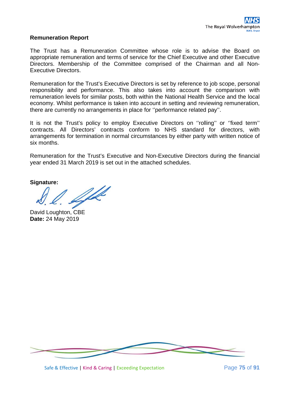#### **Remuneration Report**

The Trust has a Remuneration Committee whose role is to advise the Board on appropriate remuneration and terms of service for the Chief Executive and other Executive Directors. Membership of the Committee comprised of the Chairman and all Non-Executive Directors.

Remuneration for the Trust's Executive Directors is set by reference to job scope, personal responsibility and performance. This also takes into account the comparison with remuneration levels for similar posts, both within the National Health Service and the local economy. Whilst performance is taken into account in setting and reviewing remuneration, there are currently no arrangements in place for ''performance related pay''.

It is not the Trust's policy to employ Executive Directors on ''rolling'' or ''fixed term'' contracts. All Directors' contracts conform to NHS standard for directors, with arrangements for termination in normal circumstances by either party with written notice of six months.

Remuneration for the Trust's Executive and Non-Executive Directors during the financial year ended 31 March 2019 is set out in the attached schedules.

**Signature:**

W

David Loughton, CBE **Date:** 24 May 2019



Safe & Effective | Kind & Caring | Exceeding Expectation Page **75** of **91**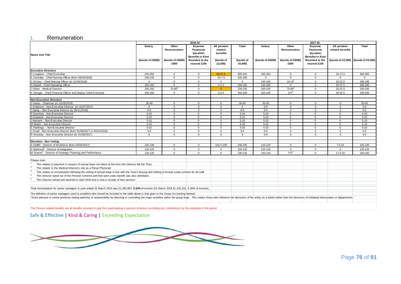#### 1. Remuneration

|                                                                                                                                                                                                                                | 2018-19<br>2017-18 |                          |                                                           |                                    |                      |                  |                          |                                                           |                                     |          |
|--------------------------------------------------------------------------------------------------------------------------------------------------------------------------------------------------------------------------------|--------------------|--------------------------|-----------------------------------------------------------|------------------------------------|----------------------|------------------|--------------------------|-----------------------------------------------------------|-------------------------------------|----------|
| <b>Name and Title</b>                                                                                                                                                                                                          | Salary             | Other<br>Remuneration    | Expense<br>Payments<br>(taxable)                          | All pension<br>related<br>benefits | Total                | Salary           | Other<br>Remuneration    | Expense<br><b>Payments</b><br>(taxable)                   | All pension<br>related benefits     | Total    |
|                                                                                                                                                                                                                                | (bands of £5000)   | (bands of £5000)<br>£000 | <b>Benefits in Kind</b><br>Rounded to the<br>nearest £100 | (bands of<br>£2,500)               | (bands of<br>£5,000) | (bands of £5000) | (bands of £5000)<br>£000 | <b>Benefits in Kind</b><br>Rounded to the<br>nearest £100 | (bands of £2,500) (bands of £5,000) |          |
| <b>Executive Directors</b>                                                                                                                                                                                                     |                    |                          |                                                           |                                    |                      |                  |                          |                                                           |                                     |          |
| D Loughton - Chief Executive                                                                                                                                                                                                   | 245-250            | $\Omega$                 | $\Omega$                                                  | 55-57.5                            | 305-310              | 245-250          | $\mathbf{0}$             | $\Omega$                                                  | 15-17.5                             | 260-265  |
| A Cannaby - Chief Nursing Officer (from 03/04/2018)                                                                                                                                                                            | 140-145            | $\Omega$                 | $\Omega$                                                  | $15 - 7.5$                         | 155-160              | $\Omega$         | $\Omega$                 | $\Omega$                                                  | $\Omega$                            | $\Omega$ |
| C Etches - Chief Nursing Officer (to 31/03/2018)                                                                                                                                                                               | $\Omega$           | $\Omega$                 | $\Omega$                                                  | $\mathbf{0}$                       | $\Omega$             | 145-150          | $10 - 15^{1}$            | $\Omega$                                                  | 20-22.5                             | 180-185  |
| G Nuttall - Chief Operating Officer                                                                                                                                                                                            | 150-155            | $\mathbf 0$              | $\mathbf{0}$                                              | $0 - 2.5$                          | 150-155              | 145-150          | $^{\circ}$               | $\mathbf 0$                                               | 35-37.5                             | 180-185  |
| J Odum - Medical Director                                                                                                                                                                                                      | 155-160            | $75 - 80^2$              | $\Omega$                                                  | $\Omega$                           | 230-235              | 150-155          | $75 - 80^2$              | $\Omega$                                                  | 20-22.5                             | 245-250  |
| K Stringer - Chief Financial Officer and Deputy Chief Executive                                                                                                                                                                | 155-160            | $\Omega$                 | $\mathbf{0}$                                              | $0 - 2.5$                          | 155-160              | 150-155          | $0 - 5^3$                | $\Omega$                                                  | 40-42.5                             | 195-200  |
| <b>Non-Executive Directors</b>                                                                                                                                                                                                 |                    |                          |                                                           |                                    |                      |                  |                          |                                                           |                                     |          |
| J Vanes - Chairman (to 31/03/2019)                                                                                                                                                                                             | 35-40              | $\Omega$                 | $\Omega$                                                  | $\mathbf{0}$                       | 35-40                | 35-40            | $\mathbf{0}$             | $\Omega$                                                  | $\Omega$                            | 35-40    |
| J Anderson - Non-Executive Director (to 31/07/2017)                                                                                                                                                                            | $\Omega$           | $\Omega$                 | $\Omega$                                                  | $\Omega$                           | $\Omega$             | $0-5$            | $\Omega$                 | $\Omega$                                                  | $\Omega$                            | $0-5$    |
| J Darby - Non Executive Director (to 30/11/2018)                                                                                                                                                                               | $0-5$              | $\Omega$                 | $\Omega$                                                  | $\mathbf{0}$                       | $0-5$                | $0-5$            | $\mathbf 0$              | $\Omega$                                                  | $\Omega$                            | $0 - 5$  |
| R Dunshea - Non-Executive Director                                                                                                                                                                                             | $5 - 10$           | $\mathbf 0$              | $\mathbf{0}$                                              | $\mathbf{0}$                       | $5 - 10$             | $5 - 10$         | $\mathbf 0$              | $\overline{0}$                                            | $\mathbf{0}$                        | $5 - 10$ |
| D Edwards - Non-Executive Director                                                                                                                                                                                             | $5 - 10$           | $\Omega$                 | $\mathbf{0}$                                              | $\overline{0}$                     | $5 - 10$             | $5-10$           | $\Omega$                 | $\Omega$                                                  | $\Omega$                            | $5 - 10$ |
| J Hemans - Non-Executive Director                                                                                                                                                                                              | $5 - 10$           | $\Omega$                 | $\Omega$                                                  | $\mathbf{0}$                       | $5 - 10$             | $5 - 10$         | $\Omega$                 | $\Omega$                                                  | $\Omega$                            | $5 - 10$ |
| M Martin - Non-Executive Director                                                                                                                                                                                              | $5 - 10$           | $\Omega$                 | $\mathbf{0}$                                              | $\mathbf{0}$                       | $5 - 10$             | $5 - 10$         | $\mathbf{0}$             | $\Omega$                                                  | $\Omega$                            | $5 - 10$ |
| S Rawlings - Non-Executive Director                                                                                                                                                                                            | $5 - 10$           | $\Omega$                 | $\Omega$                                                  | $\Omega$                           | $5 - 10$             | $5-10$           | $\Omega$                 | $\Omega$                                                  | $\Omega$                            | $5 - 10$ |
| J Small - Non Executive Director (from 01/08/2017 to 03/12/2018)                                                                                                                                                               | $0 - 5$            | $\mathbf 0$              | $\mathbf 0$                                               | $\mathbf{0}$                       | $0 - 5$              | $0 - 5$          | $\mathbf 0$              | $\Omega$                                                  | $\Omega$                            | $0 - 5$  |
| R Stockley - Non Executive Director (to 31/08/2017)                                                                                                                                                                            | $\Omega$           | $\Omega$                 | $\mathbf{0}$                                              | $\mathbf{0}$                       | $\Omega$             | $0-5$            | $\mathbf 0$              | $\Omega$                                                  | $\Omega$                            | $0 - 5$  |
| Directors - Non Voting                                                                                                                                                                                                         |                    |                          |                                                           |                                    |                      |                  |                          |                                                           |                                     |          |
| A Duffell - Director of Workforce (from 05/04/2017)                                                                                                                                                                            | 125-130            | $\Omega$                 | $\Omega$                                                  | 102.5-105                          | 230-235              | 115-120          | $\Omega$                 | $\Omega$                                                  | $7.5 - 10$                          | 125-130  |
| S Mahmud <sup>4</sup> - Director of Integration                                                                                                                                                                                | 120-125            | $\Omega$                 | $\Omega$                                                  | $\mathbf 0$                        | 120-125              | 120-125          | $\Omega$                 | $\Omega$                                                  | $\Omega$                            | 120-125  |
| M Sharon <sup>5</sup> - Director of Strategic Planning and Performance                                                                                                                                                         | 130-135            | $\Omega$                 | $\Omega$                                                  | $\mathbf 0$                        | 130-135              | 135-140          | $0 - 5^3$                | $\Omega$                                                  | 17.5-20                             | 160-165  |
| Please note:-                                                                                                                                                                                                                  |                    |                          |                                                           |                                    |                      |                  |                          |                                                           |                                     |          |
| This relates to payment in respect of annual leave not taken at the time this Director left the Trust.                                                                                                                         |                    |                          |                                                           |                                    |                      |                  |                          |                                                           |                                     |          |
| $\vert$ 2<br>This relates to the Medical Director's role as a Renal Physician                                                                                                                                                  |                    |                          |                                                           |                                    |                      |                  |                          |                                                           |                                     |          |
| 3 <br>This relates to remuneration following the selling of annual leave in line with the Trust's Buying and Selling of Annual Leave scheme for all staff.                                                                     |                    |                          |                                                           |                                    |                      |                  |                          |                                                           |                                     |          |
| This Director opted out of the Pension Scheme and their prior years benefit was also withdrawn.                                                                                                                                |                    |                          |                                                           |                                    |                      |                  |                          |                                                           |                                     |          |
| This Director retired and returned in April 2018 and is now in receipt of their pension                                                                                                                                        |                    |                          |                                                           |                                    |                      |                  |                          |                                                           |                                     |          |
| Total remuneration for senior managers in year ended 31 March 2019 was £1,394,853 0.24% of income (31 March 2018 £1,410,102, 0.26% of income).                                                                                 |                    |                          |                                                           |                                    |                      |                  |                          |                                                           |                                     |          |
| The definition of senior managers used to establish who should be included in the table above is that given in the Group Accounting Manual:                                                                                    |                    |                          |                                                           |                                    |                      |                  |                          |                                                           |                                     |          |
| "those persons in senior positions having authority or responsibility for directing or controlling the major activities within the group body. This means those who influence the decisions of the entity as a whole rather th |                    |                          |                                                           |                                    |                      |                  |                          |                                                           |                                     |          |
|                                                                                                                                                                                                                                |                    |                          |                                                           |                                    |                      |                  |                          |                                                           |                                     |          |

The Pension related benefits are all benefits received in year from participating in pension schemes excluding any contributions by the employee in the period.

Safe & Effective | Kind & Caring | Exceeding Expectation

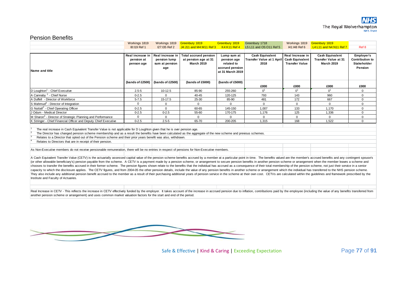#### Pension Benefits

|                                                                                                                                                                                                                                                                                                                                                                                                                                                                                                                                                                                                                                                                                                                                                                                                                                                                                                                                                                                                                                                                                                                                                                                                             | Workings 1819                                | Workings 1819                                             | Greenbury 1819                                                            | Greenbury 1819                                                                  | Greenbury 1718                                                     | Workings 1819                                                       | Greenbury 1819                                                             |                                                                |  |
|-------------------------------------------------------------------------------------------------------------------------------------------------------------------------------------------------------------------------------------------------------------------------------------------------------------------------------------------------------------------------------------------------------------------------------------------------------------------------------------------------------------------------------------------------------------------------------------------------------------------------------------------------------------------------------------------------------------------------------------------------------------------------------------------------------------------------------------------------------------------------------------------------------------------------------------------------------------------------------------------------------------------------------------------------------------------------------------------------------------------------------------------------------------------------------------------------------------|----------------------------------------------|-----------------------------------------------------------|---------------------------------------------------------------------------|---------------------------------------------------------------------------------|--------------------------------------------------------------------|---------------------------------------------------------------------|----------------------------------------------------------------------------|----------------------------------------------------------------|--|
|                                                                                                                                                                                                                                                                                                                                                                                                                                                                                                                                                                                                                                                                                                                                                                                                                                                                                                                                                                                                                                                                                                                                                                                                             | 18:119 Ref 1                                 | I27:I35 Ref 2                                             | J4: J11 and M4: M11 Ref 3                                                 | <b>K4:K11 Ref 4</b>                                                             | L5:L11 and O5:O11 Ref 5                                            | 141:148 Ref 6                                                       | L4:L11 and N4:N11 Ref 7                                                    | Ref 8                                                          |  |
|                                                                                                                                                                                                                                                                                                                                                                                                                                                                                                                                                                                                                                                                                                                                                                                                                                                                                                                                                                                                                                                                                                                                                                                                             |                                              |                                                           |                                                                           |                                                                                 |                                                                    |                                                                     |                                                                            |                                                                |  |
| Name and title                                                                                                                                                                                                                                                                                                                                                                                                                                                                                                                                                                                                                                                                                                                                                                                                                                                                                                                                                                                                                                                                                                                                                                                              | Real increase in<br>pension at<br>penson age | Real increase in<br>pension lump<br>sum at pension<br>age | <b>Total accrued pension</b><br>at pension age at 31<br><b>March 2019</b> | Lump sum at<br>pension age<br>related to<br>accrued pension<br>at 31 March 2019 | <b>Cash Equivalent</b><br><b>Transfer Value at 1 April</b><br>2018 | Real Increase in<br><b>Cash Equivalent</b><br><b>Transfer Value</b> | <b>Cash Equivalent</b><br><b>Transfer Value at 31</b><br><b>March 2019</b> | Employer's<br><b>Contribution to</b><br>Stakeholder<br>Pension |  |
|                                                                                                                                                                                                                                                                                                                                                                                                                                                                                                                                                                                                                                                                                                                                                                                                                                                                                                                                                                                                                                                                                                                                                                                                             | (bands of £2500)                             | (bands of £2500)                                          | (bands of £5000)                                                          | (bands of £5000)                                                                | £000                                                               | £000                                                                | £000                                                                       | £000                                                           |  |
| D Loughton <sup>1</sup> - Chief Executive                                                                                                                                                                                                                                                                                                                                                                                                                                                                                                                                                                                                                                                                                                                                                                                                                                                                                                                                                                                                                                                                                                                                                                   | $2.5 - 5$                                    | $10-12.5$                                                 | 85-90                                                                     | 255-260                                                                         | 0 <sup>1</sup>                                                     | $\Omega$ <sup>1</sup>                                               | 0 <sup>1</sup>                                                             | $\Omega$                                                       |  |
| A Cannaby <sup>2</sup> - Chief Nurse                                                                                                                                                                                                                                                                                                                                                                                                                                                                                                                                                                                                                                                                                                                                                                                                                                                                                                                                                                                                                                                                                                                                                                        | $0 - 2.5$                                    | $\Omega$                                                  | 40-45                                                                     | 120-125                                                                         | 793                                                                | 143                                                                 | 960                                                                        | $\mathbf 0$                                                    |  |
| A Duffell - Director of Workforce                                                                                                                                                                                                                                                                                                                                                                                                                                                                                                                                                                                                                                                                                                                                                                                                                                                                                                                                                                                                                                                                                                                                                                           | $5 - 7.5$                                    | 15-17.5                                                   | 25-30                                                                     | 85-90                                                                           | 481                                                                | 172                                                                 | 667                                                                        | $\mathbf 0$                                                    |  |
| S Mahmud <sup>3</sup> - Director of Integration                                                                                                                                                                                                                                                                                                                                                                                                                                                                                                                                                                                                                                                                                                                                                                                                                                                                                                                                                                                                                                                                                                                                                             | $\Omega$                                     | $\Omega$                                                  | $\mathbf{0}$                                                              | $\Omega$                                                                        | $\mathbf 0$                                                        | $\Omega$                                                            | $\Omega$                                                                   | $\mathbf 0$                                                    |  |
| G Nuttall <sup>2</sup> - Chief Operating Officer                                                                                                                                                                                                                                                                                                                                                                                                                                                                                                                                                                                                                                                                                                                                                                                                                                                                                                                                                                                                                                                                                                                                                            | $0 - 2.5$                                    | $\Omega$                                                  | 60-65                                                                     | 145-150                                                                         | 1,007                                                              | 133                                                                 | 1,170                                                                      | $\Omega$                                                       |  |
| J Odum - Medical Director                                                                                                                                                                                                                                                                                                                                                                                                                                                                                                                                                                                                                                                                                                                                                                                                                                                                                                                                                                                                                                                                                                                                                                                   | $0 - 2.5$                                    | $0 - 2.5$                                                 | 55-60                                                                     | 170-175                                                                         | 1.176                                                              | 125                                                                 | 1.336                                                                      | $\Omega$                                                       |  |
| M Sharon <sup>4</sup> - Director of Strategic Planning and Performance                                                                                                                                                                                                                                                                                                                                                                                                                                                                                                                                                                                                                                                                                                                                                                                                                                                                                                                                                                                                                                                                                                                                      | $\mathbf{0}$                                 | $\mathbf 0$                                               | $\mathbf 0$                                                               | $\mathbf 0$                                                                     | $\mathbf 0$                                                        | $\Omega$                                                            | $\mathbf 0$                                                                | $\mathbf 0$                                                    |  |
| K Stringer - Chief Financial Officer and Deputy Chief Executive                                                                                                                                                                                                                                                                                                                                                                                                                                                                                                                                                                                                                                                                                                                                                                                                                                                                                                                                                                                                                                                                                                                                             | $0 - 2.5$                                    | $2.5 - 5$                                                 | 65-70                                                                     | 200-205                                                                         | 1,315                                                              | 168                                                                 | 1,522                                                                      | $\mathbf 0$                                                    |  |
| The real increase in Cash Equivalent Transfer Value is not applicable for D Loughton given that he is over pension age.<br>The Director has changed pension scheme membership and as a result the benefits have been calculated as the aggregate of the new scheme and previous schemes.<br>Relates to a Director that opted out of the Pension scheme and their prior years benefit was also, withdrawn.<br>Relates to Directors that are in receipt of their pension.                                                                                                                                                                                                                                                                                                                                                                                                                                                                                                                                                                                                                                                                                                                                     |                                              |                                                           |                                                                           |                                                                                 |                                                                    |                                                                     |                                                                            |                                                                |  |
|                                                                                                                                                                                                                                                                                                                                                                                                                                                                                                                                                                                                                                                                                                                                                                                                                                                                                                                                                                                                                                                                                                                                                                                                             |                                              |                                                           |                                                                           |                                                                                 |                                                                    |                                                                     |                                                                            |                                                                |  |
| As Non-Executive members do not receive pensionable remuneration, there will be no entries in respect of pensions for Non-Executive members.                                                                                                                                                                                                                                                                                                                                                                                                                                                                                                                                                                                                                                                                                                                                                                                                                                                                                                                                                                                                                                                                |                                              |                                                           |                                                                           |                                                                                 |                                                                    |                                                                     |                                                                            |                                                                |  |
| A Cash Equivalent Transfer Value (CETV) is the actuarially assessed capital value of the pension scheme benefits accrued by a member at a particular point in time. The benefits valued are the member's accrued benefits and<br>(or other allowable beneficiary's) pension payable from the scheme. A CETV is a payment made by a pension scheme, or arrangement to secure pension benefits in another pension scheme or arrangement when the member leaves a<br>chooses to transfer the benefits accrued in their former scheme. The pension figures shown relate to the benefits that the individual has accrued as a consequence of their total membership of the pension scheme, not just t<br>capacity to which the disclosure applies. The CETV figures, and from 2004-05 the other pension details, include the value of any pension benefits in another scheme or arrangement which the individual has transferred to the<br>They also include any additional pension benefit accrued to the member as a result of their purchasing additional years of pension service in the scheme at their own cost. CETVs are calculated within the quidelines and fra<br>Institute and Faculty of Actuaries. |                                              |                                                           |                                                                           |                                                                                 |                                                                    |                                                                     |                                                                            |                                                                |  |
|                                                                                                                                                                                                                                                                                                                                                                                                                                                                                                                                                                                                                                                                                                                                                                                                                                                                                                                                                                                                                                                                                                                                                                                                             |                                              |                                                           |                                                                           |                                                                                 |                                                                    |                                                                     |                                                                            |                                                                |  |

Real Increase in CETV - This reflects the increase in CETV effectively funded by the employer. It takes account of the increase in accrued pension due to inflation, contributions paid by the employee (including the value o another pension scheme or arrangement) and uses common market valuation factors for the start and end of the period.



Safe & Effective | Kind & Caring | Exceeding Expectation Page 77 of 91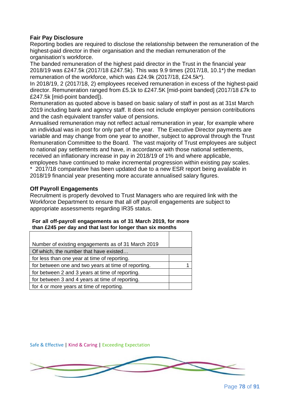## **Fair Pay Disclosure**

Reporting bodies are required to disclose the relationship between the remuneration of the highest-paid director in their organisation and the median remuneration of the organisation's workforce.

The banded remuneration of the highest paid director in the Trust in the financial year 2018/19 was £247.5k (2017/18 £247.5k). This was 9.9 times (2017/18, 10.1\*) the median remuneration of the workforce, which was £24.9k (2017/18, £24.5k\*).

In 2018/19, 2 (2017/18, 2) employees received remuneration in excess of the highest-paid director. Remuneration ranged from £5.1k to £247.5K [mid-point banded] (2017/18 £7k to £247.5k [mid-point banded]).

Remuneration as quoted above is based on basic salary of staff in post as at 31st March 2019 including bank and agency staff. It does not include employer pension contributions and the cash equivalent transfer value of pensions.

Annualised remuneration may not reflect actual remuneration in year, for example where an individual was in post for only part of the year. The Executive Director payments are variable and may change from one year to another, subject to approval through the Trust Remuneration Committee to the Board. The vast majority of Trust employees are subject to national pay settlements and have, in accordance with those national settlements, received an inflationary increase in pay in 2018/19 of 1% and where applicable, employees have continued to make incremental progression within existing pay scales. \* 2017/18 comparative has been updated due to a new ESR report being available in 2018/19 financial year presenting more accurate annualised salary figures.

## **Off Payroll Engagements**

Recruitment is properly devolved to Trust Managers who are required link with the Workforce Department to ensure that all off payroll engagements are subject to appropriate assessments regarding IR35 status.

#### **For all off-payroll engagements as of 31 March 2019, for more than £245 per day and that last for longer than six months**

| Number of existing engagements as of 31 March 2019  |  |
|-----------------------------------------------------|--|
| Of which, the number that have existed              |  |
| for less than one year at time of reporting.        |  |
| for between one and two years at time of reporting. |  |
| for between 2 and 3 years at time of reporting.     |  |
| for between 3 and 4 years at time of reporting.     |  |
| for 4 or more years at time of reporting.           |  |

Safe & Effective | Kind & Caring | Exceeding Expectation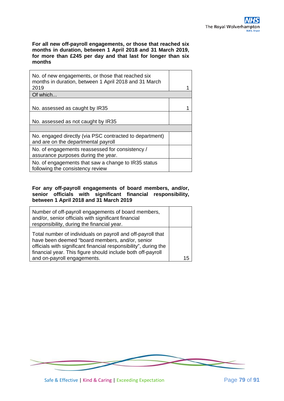**For all new off-payroll engagements, or those that reached six months in duration, between 1 April 2018 and 31 March 2019, for more than £245 per day and that last for longer than six months**

| No. of new engagements, or those that reached six<br>months in duration, between 1 April 2018 and 31 March<br>2019 |  |
|--------------------------------------------------------------------------------------------------------------------|--|
|                                                                                                                    |  |
| Of which                                                                                                           |  |
| No. assessed as caught by IR35                                                                                     |  |
| No. assessed as not caught by IR35                                                                                 |  |
|                                                                                                                    |  |
| No. engaged directly (via PSC contracted to department)<br>and are on the departmental payroll                     |  |
| No. of engagements reassessed for consistency /<br>assurance purposes during the year.                             |  |
| No. of engagements that saw a change to IR35 status<br>following the consistency review                            |  |

#### **For any off-payroll engagements of board members, and/or, senior officials with significant financial responsibility, between 1 April 2018 and 31 March 2019**

| Number of off-payroll engagements of board members,<br>and/or, senior officials with significant financial<br>responsibility, during the financial year.                                                                                                                         |    |
|----------------------------------------------------------------------------------------------------------------------------------------------------------------------------------------------------------------------------------------------------------------------------------|----|
| Total number of individuals on payroll and off-payroll that<br>have been deemed "board members, and/or, senior<br>officials with significant financial responsibility", during the<br>financial year. This figure should include both off-payroll<br>and on-payroll engagements. | 15 |

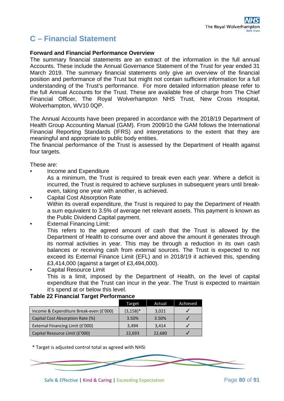# **C – Financial Statement**

#### **Forward and Financial Performance Overview**

The summary financial statements are an extract of the information in the full annual Accounts. These include the Annual Governance Statement of the Trust for year ended 31 March 2019. The summary financial statements only give an overview of the financial position and performance of the Trust but might not contain sufficient information for a full understanding of the Trust's performance. For more detailed information please refer to the full Annual Accounts for the Trust. These are available free of charge from The Chief Financial Officer, The Royal Wolverhampton NHS Trust, New Cross Hospital, Wolverhampton, WV10 0QP.

The Annual Accounts have been prepared in accordance with the 2018/19 Department of Health Group Accounting Manual (GAM). From 2009/10 the GAM follows the International Financial Reporting Standards (IFRS) and interpretations to the extent that they are meaningful and appropriate to public body entities.

The financial performance of the Trust is assessed by the Department of Health against four targets.

These are:

• Income and Expenditure

As a minimum, the Trust is required to break even each year. Where a deficit is incurred, the Trust is required to achieve surpluses in subsequent years until breakeven, taking one year with another, is achieved.

- Capital Cost Absorption Rate Within its overall expenditure, the Trust is required to pay the Department of Health a sum equivalent to 3.5% of average net relevant assets. This payment is known as the Public Dividend Capital payment.
- **External Financing Limit:**

This refers to the agreed amount of cash that the Trust is allowed by the Department of Health to consume over and above the amount it generates through its normal activities in year. This may be through a reduction in its own cash balances or receiving cash from external sources. The Trust is expected to not exceed its External Finance Limit (EFL) and in 2018/19 it achieved this, spending £3,414,000 (against a target of £3,494,000).

• Capital Resource Limit This is a limit, imposed by the Department of Health, on the level of capital expenditure that the Trust can incur in the year. The Trust is expected to maintain it's spend at or below this level.

## **Table 22 Financial Target Performance**

|                                         | Target       | Actual | Achieved |
|-----------------------------------------|--------------|--------|----------|
| Income & Expenditure Break-even (£'000) | $(3, 158)^*$ | 3,021  |          |
| Capital Cost Absorption Rate (%)        | 3.50%        | 3.50%  |          |
| External Financing Limit (£'000)        | 3.494        | 3.414  |          |
| Capital Resource Limit (£'000)          | 22,693       | 22,680 |          |

\* Target is adjusted control total as agreed with NHSi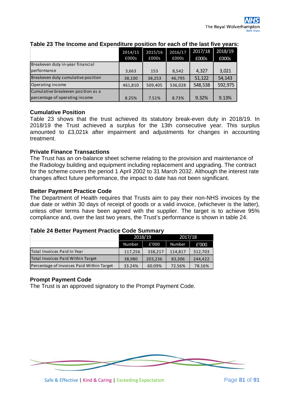|                                    | 2014/15<br>£000s | 2015/16<br>£000s | 2016/17<br>£000s | 2017/18<br>£000s | 2018/19<br>£000s |
|------------------------------------|------------------|------------------|------------------|------------------|------------------|
| Breakeven duty in-year financial   |                  |                  |                  |                  |                  |
| performance                        | 3,663            | 153              | 8,542            | 4.327            | 3,021            |
| Breakeven duty cumulative position | 38,100           | 38,253           | 46,795           | 51,122           | 54,143           |
| Operating income                   | 461,810          | 509,405          | 536,028          | 548,538          | 592,975          |
| Cumulative breakeven position as a |                  |                  |                  |                  |                  |
| percentage of operating income     | 8.25%            | 7.51%            | 8.73%            | 9.32%            | 9.13%            |

## **Table 23 The Income and Expenditure position for each of the last five years:**

## **Cumulative Position**

Table 23 shows that the trust achieved its statutory break-even duty in 2018/19. In 2018/19 the Trust achieved a surplus for the 13th consecutive year. This surplus amounted to £3,021k after impairment and adjustments for changes in accounting treatment.

## **Private Finance Transactions**

The Trust has an on-balance sheet scheme relating to the provision and maintenance of the Radiology building and equipment including replacement and upgrading. The contract for the scheme covers the period 1 April 2002 to 31 March 2032. Although the interest rate changes affect future performance, the impact to date has not been significant.

#### **Better Payment Practice Code**

The Department of Health requires that Trusts aim to pay their non-NHS invoices by the due date or within 30 days of receipt of goods or a valid invoice, (whichever is the latter), unless other terms have been agreed with the supplier. The target is to achieve 95% compliance and, over the last two years, the Trust's performance is shown in table 24.

## **Table 24 Better Payment Practice Code Summary**

|                                           | 2018/19 |         | 2017/18 |         |  |
|-------------------------------------------|---------|---------|---------|---------|--|
|                                           | Number  | £'000   | Number  | £'000   |  |
| Total Invoices Paid In Year               | 117,256 | 338,217 | 114,817 | 312,703 |  |
| Total Invoices Paid Within Target         | 38,980  | 203,236 | 83,306  | 244.422 |  |
| Percentage of Invoices Paid Within Target | 33.24%  | 60.09%  | 72.56%  | 78.16%  |  |

#### **Prompt Payment Code**

The Trust is an approved signatory to the Prompt Payment Code.

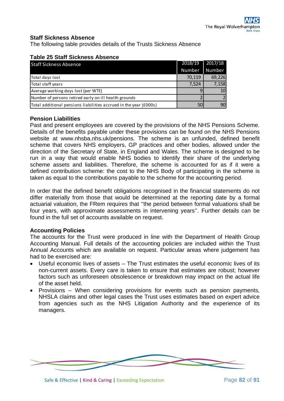## **Staff Sickness Absence**

The following table provides details of the Trusts Sickness Absence

| <b>Staff Sickness Absence</b>                                     | 2018/19 | 2017/18 |
|-------------------------------------------------------------------|---------|---------|
|                                                                   | Number  | Number  |
| Total days lost                                                   | 70,119  | 69,226  |
| Total staff years                                                 | 7,524   | 7,158   |
| Average working days lost (per WTE)                               |         | 10      |
| Number of persons retired early on ill health grounds             |         |         |
| Total additional pensions liabilities accrued in the year (£000s) | 50      |         |

### **Table 25 Staff Sickness Absence**

## **Pension Liabilities**

Past and present employees are covered by the provisions of the NHS Pensions Scheme. Details of the benefits payable under these provisions can be found on the NHS Pensions website at www.nhsba.nhs.uk/pensions. The scheme is an unfunded, defined benefit scheme that covers NHS employers, GP practices and other bodies, allowed under the direction of the Secretary of State, in England and Wales. The scheme is designed to be run in a way that would enable NHS bodies to identify their share of the underlying scheme assets and liabilities. Therefore, the scheme is accounted for as if it were a defined contribution scheme: the cost to the NHS Body of participating in the scheme is taken as equal to the contributions payable to the scheme for the accounting period.

In order that the defined benefit obligations recognised in the financial statements do not differ materially from those that would be determined at the reporting date by a formal actuarial valuation, the FRem requires that ''the period between formal valuations shall be four years, with approximate assessments in intervening years''. Further details can be found in the full set of accounts available on request.

#### **Accounting Policies**

The accounts for the Trust were produced in line with the Department of Health Group Accounting Manual. Full details of the accounting policies are included within the Trust Annual Accounts which are available on request. Particular areas where judgement has had to be exercised are:

- Useful economic lives of assets The Trust estimates the useful economic lives of its non-current assets. Every care is taken to ensure that estimates are robust; however factors such as unforeseen obsolescence or breakdown may impact on the actual life of the asset held.
- Provisions When considering provisions for events such as pension payments, NHSLA claims and other legal cases the Trust uses estimates based on expert advice from agencies such as the NHS Litigation Authority and the experience of its managers.

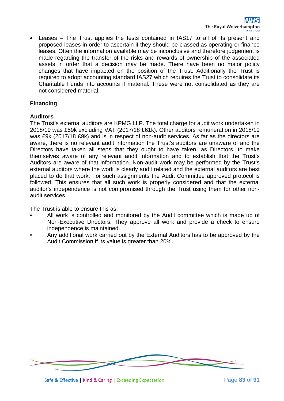• Leases – The Trust applies the tests contained in IAS17 to all of its present and proposed leases in order to ascertain if they should be classed as operating or finance leases. Often the information available may be inconclusive and therefore judgement is made regarding the transfer of the risks and rewards of ownership of the associated assets in order that a decision may be made. There have been no major policy changes that have impacted on the position of the Trust. Additionally the Trust is required to adopt accounting standard IAS27 which requires the Trust to consolidate its Charitable Funds into accounts if material. These were not consolidated as they are not considered material.

## **Financing**

## **Auditors**

The Trust's external auditors are KPMG LLP. The total charge for audit work undertaken in 2018/19 was £59k excluding VAT (2017/18 £61k). Other auditors remuneration in 2018/19 was £9k (2017/18 £9k) and is in respect of non-audit services. As far as the directors are aware, there is no relevant audit information the Trust's auditors are unaware of and the Directors have taken all steps that they ought to have taken, as Directors, to make themselves aware of any relevant audit information and to establish that the Trust's Auditors are aware of that information. Non-audit work may be performed by the Trust's external auditors where the work is clearly audit related and the external auditors are best placed to do that work. For such assignments the Audit Committee approved protocol is followed. This ensures that all such work is properly considered and that the external auditor's independence is not compromised through the Trust using them for other nonaudit services.

The Trust is able to ensure this as:

- All work is controlled and monitored by the Audit committee which is made up of Non-Executive Directors. They approve all work and provide a check to ensure independence is maintained.
- Any additional work carried out by the External Auditors has to be approved by the Audit Commission if its value is greater than 20%.

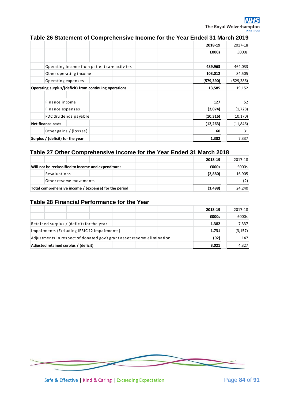# **Table 26 Statement of Comprehensive Income for the Year Ended 31 March 2019**

|                                                        | 2018-19    | 2017-18    |
|--------------------------------------------------------|------------|------------|
|                                                        | £000s      | £000s      |
|                                                        |            |            |
| Operating Income from patient care activites           | 489,963    | 464,033    |
| Other operating income                                 | 103,012    | 84,505     |
| Operating expenses                                     | (579, 390) | (529, 386) |
| Operating surplus/(deficit) from continuing operations | 13,585     | 19,152     |
|                                                        |            |            |
| Finance income                                         | 127        | 52         |
| Finance expenses                                       | (2,074)    | (1,728)    |
| PDC dividends payable                                  | (10, 316)  | (10, 170)  |
| <b>Net finance costs</b>                               | (12, 263)  | (11, 846)  |
| Other gains / (losses)                                 | 60         | 31         |
| Surplus / (deficit) for the year                       | 1,382      | 7,337      |

## **Table 27 Other Comprehensive Income for the Year Ended 31 March 2018**

|                                                       |                                                     |  |          | 2018-19 | 2017-18 |
|-------------------------------------------------------|-----------------------------------------------------|--|----------|---------|---------|
|                                                       | Will not be reclassified to income and expenditure: |  |          | £000s   | £000s   |
|                                                       | Revaluations                                        |  |          | (2,880) | 16,905  |
|                                                       | Other reserve movements                             |  |          |         |         |
| Total comprehensive income / (expense) for the period |                                                     |  | (1, 498) | 24,240  |         |

## **Table 28 Financial Performance for the Year**

|                                                                         |  |       | 2018-19  | 2017-18 |
|-------------------------------------------------------------------------|--|-------|----------|---------|
|                                                                         |  |       | £000s    | £000s   |
| Retained surplus / (deficit) for the year                               |  | 1,382 | 7,337    |         |
| Impairments (Excluding IFRIC 12 Impairments)                            |  | 1,731 | (3, 157) |         |
| Adjustments in respect of donated gov't grant asset reserve elimination |  |       | (92)     | 147     |
| Adjusted retained surplus / (deficit)                                   |  |       | 3,021    | 4,327   |

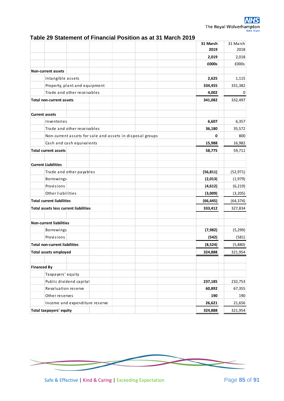| Table 29 Statement of Financial Position as at 31 March 2019 |  |
|--------------------------------------------------------------|--|
|--------------------------------------------------------------|--|

|                                                           | 31 March<br>2019 | 31 March<br>2018 |
|-----------------------------------------------------------|------------------|------------------|
|                                                           | 2,019            | 2,018            |
|                                                           | £000s            | £000s            |
| <b>Non-current assets</b>                                 |                  |                  |
| Intangible assets                                         | 2,625            | 1,115            |
| Property, plant and equipment                             | 334,455          | 331,382          |
| Trade and other receivables                               | 4,002            | 0                |
| <b>Total non-current assets</b>                           | 341,082          | 332,497          |
|                                                           |                  |                  |
| <b>Current assets</b>                                     |                  |                  |
| Inventories                                               | 6,607            | 6,357            |
| Trade and other receivables                               | 36,180           | 35,572           |
| Non-current assets for sale and assets in disposal groups | 0                | 800              |
| Cash and cash equivalents                                 | 15,988           | 16,982           |
| <b>Total current assets</b>                               | 58,775           | 59,711           |
| <b>Current Liabilities</b>                                |                  |                  |
| Trade and other payables                                  | (56, 811)        | (52, 971)        |
| Borrowings                                                | (2,013)          | (1,979)          |
| Provisions                                                | (4,612)          | (6, 219)         |
| Other liabilities                                         | (3,009)          | (3,205)          |
| <b>Total current liabilities</b>                          | (66, 445)        | (64, 374)        |
| <b>Total assets less current liabilities</b>              | 333,412          | 327,834          |
|                                                           |                  |                  |
| <b>Non-current liabilities</b>                            |                  |                  |
| Borrowings                                                | (7, 982)         | (5, 299)         |
| Provisions                                                | (542)            | (581)            |
| <b>Total non-current liabilities</b>                      | (8,524)          | (5,880)          |
| <b>Total assets employed</b>                              | 324.888          | 321.954          |
| <b>Financed By</b>                                        |                  |                  |
| Taxpayers' equity                                         |                  |                  |
| Public dividend capital                                   | 237,185          | 232,753          |
| Revaluation reserve                                       | 60,892           | 67,355           |
| Other reserves                                            | 190              | 190              |
| Income and expenditure reserve                            | 26,621           | 21,656           |
| <b>Total taxpayers' equity</b>                            | 324,888          | 321,954          |

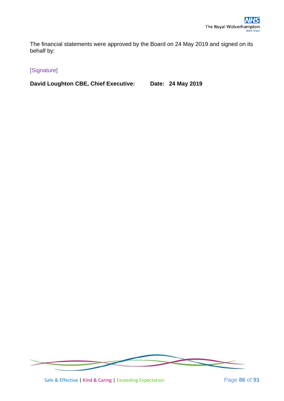The financial statements were approved by the Board on 24 May 2019 and signed on its behalf by:

# [Signature]

**David Loughton CBE, Chief Executive: Date: 24 May 2019**



Safe & Effective | Kind & Caring | Exceeding Expectation Page **86** of **91**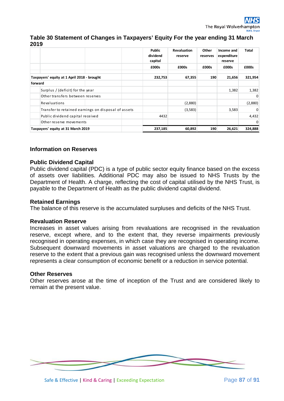## **Table 30 Statement of Changes in Taxpayers' Equity For the year ending 31 March 2019**

|                                    |                                                     |         | <b>Public</b><br>dividend<br>capital | <b>Revaluation</b><br>reserve | Other<br>reserves | Income and<br>expenditure<br>reserve | <b>Total</b> |
|------------------------------------|-----------------------------------------------------|---------|--------------------------------------|-------------------------------|-------------------|--------------------------------------|--------------|
|                                    |                                                     |         | £000s                                | £000s                         | £000s             | £000s                                | £000s        |
|                                    | Taxpayers' equity at 1 April 2018 - brought         |         | 232,753                              | 67,355                        | 190               | 21,656                               | 321,954      |
| forward                            |                                                     |         |                                      |                               |                   |                                      |              |
|                                    | Surplus / (deficit) for the year                    |         |                                      |                               |                   | 1,382                                | 1,382        |
|                                    | Other transfers between reserves                    |         |                                      |                               |                   |                                      | $\Omega$     |
|                                    | Revaluations                                        |         |                                      | (2,880)                       |                   |                                      | (2,880)      |
|                                    | Transfer to retained earnings on disposal of assets |         |                                      | (3,583)                       |                   | 3,583                                | $\Omega$     |
|                                    | Public dividend capital received                    |         | 4432                                 |                               |                   |                                      | 4,432        |
|                                    | Other reserve movements                             |         |                                      |                               |                   |                                      | $\Omega$     |
| Taxpayers' equity at 31 March 2019 |                                                     | 237,185 | 60,892                               | 190                           | 26,621            | 324,888                              |              |

## **Information on Reserves**

## **Public Dividend Capital**

Public dividend capital (PDC) is a type of public sector equity finance based on the excess of assets over liabilities. Additional PDC may also be issued to NHS Trusts by the Department of Health. A charge, reflecting the cost of capital utilised by the NHS Trust, is payable to the Department of Health as the public dividend capital dividend.

## **Retained Earnings**

The balance of this reserve is the accumulated surpluses and deficits of the NHS Trust.

## **Revaluation Reserve**

Increases in asset values arising from revaluations are recognised in the revaluation reserve, except where, and to the extent that, they reverse impairments previously recognised in operating expenses, in which case they are recognised in operating income. Subsequent downward movements in asset valuations are charged to the revaluation reserve to the extent that a previous gain was recognised unless the downward movement represents a clear consumption of economic benefit or a reduction in service potential.

#### **Other Reserves**

Other reserves arose at the time of inception of the Trust and are considered likely to remain at the present value.

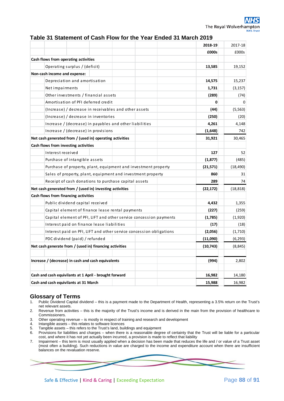#### **Table 31 Statement of Cash Flow for the Year Ended 31 March 2019**

|                                                                     | 2018-19   | 2017-18   |
|---------------------------------------------------------------------|-----------|-----------|
|                                                                     | £000s     | £000s     |
| Cash flows from operating activities                                |           |           |
| Operating surplus / (deficit)                                       | 13,585    | 19,152    |
| Non-cash income and expense:                                        |           |           |
| Depreciation and amortisation                                       | 14,575    | 15,237    |
| Net impairments                                                     | 1,731     | (3, 157)  |
| Other investments / financial assets                                | (289)     | (74)      |
| Amortisation of PFI deferred credit                                 | 0         | 0         |
| (Increase) / decrease in receivables and other assets               | (44)      | (5, 563)  |
| (Increase) / decrease in inventories                                | (250)     | (20)      |
| Increase / (decrease) in payables and other liabilities             | 4,261     | 4,148     |
| Increase / (decrease) in provisions                                 | (1,648)   | 742       |
| Net cash generated from / (used in) operating activities            | 31,921    | 30,465    |
| Cash flows from investing activities                                |           |           |
| Interest received                                                   | 127       | 52        |
| Purchase of intangible assets                                       | (1, 877)  | (485)     |
| Purchase of property, plant, equipment and investment property      | (21,571)  | (18, 490) |
| Sales of property, plant, equipment and investment property         | 860       | 31        |
| Receipt of cash donations to purchase capital assets                | 289       | 74        |
| Net cash generated from / (used in) investing activities            | (22, 172) | (18, 818) |
| Cash flows from financing activities                                |           |           |
| Public dividend capital received                                    | 4,432     | 1,355     |
| Capital element of finance lease rental payments                    | (227)     | (259)     |
| Capital element of PFI, LIFT and other service concession payments  | (1,785)   | (1,920)   |
| Interest paid on finance lease liabilities                          | (17)      | (18)      |
| Interest paid on PFI, LIFT and other service concession obligations | (2,056)   | (1,710)   |
| PDC dividend (paid) / refunded                                      | (11,090)  | (6, 293)  |
| Net cash generate from / (used in) financing activities             | (10, 743) | (8, 845)  |
|                                                                     |           |           |
| Increase / (decrease) in cash and cash equivalents                  | (994)     | 2,802     |
|                                                                     |           |           |
| Cash and cash equivilants at 1 April - brought forward              | 16,982    | 14,180    |
| Cash and cash equivilants at 31 March                               | 15,988    | 16,982    |

# **Glossary of Terms**<br>1. Public Dividend Capital of

- 1. Public Dividend Capital dividend this is a payment made to the Department of Health, representing a 3.5% return on the Trust's net relevant assets.
- 2. Revenue from activities this is the majority of the Trust's income and is derived in the main from the provision of healthcare to Commissioners.
- 3. Other operating revenue is mostly in respect of training and research and development
- 4. Intangible assets this relates to software licences
- 5. Tangible assets this refers to the Trust's land, buildings and equipment
- 6. Provisions for liabilities and charges when there is a reasonable degree of certainty that the Trust will be liable for a particular cost, and where it has not yet actually been incurred, a provision is made to reflect that liability
- 7. Impairment this term is most usually applied when a decision has been made that reduces the life and / or value of a Trust asset (most often a building). Such reductions in value are charged to the income and expenditure account when there are insufficient balances on the revaluation reserve.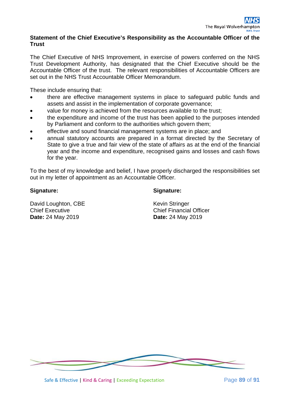## **Statement of the Chief Executive's Responsibility as the Accountable Officer of the Trust**

The Chief Executive of NHS Improvement, in exercise of powers conferred on the NHS Trust Development Authority, has designated that the Chief Executive should be the Accountable Officer of the trust. The relevant responsibilities of Accountable Officers are set out in the NHS Trust Accountable Officer Memorandum.

These include ensuring that:

- there are effective management systems in place to safeguard public funds and assets and assist in the implementation of corporate governance;
- value for money is achieved from the resources available to the trust;
- the expenditure and income of the trust has been applied to the purposes intended by Parliament and conform to the authorities which govern them;
- effective and sound financial management systems are in place; and
- annual statutory accounts are prepared in a format directed by the Secretary of State to give a true and fair view of the state of affairs as at the end of the financial year and the income and expenditure, recognised gains and losses and cash flows for the year.

To the best of my knowledge and belief, I have properly discharged the responsibilities set out in my letter of appointment as an Accountable Officer.

## **Signature:**

## **Signature:**

David Loughton, CBE Chief Executive **Date:** 24 May 2019

Kevin Stringer Chief Financial Officer **Date:** 24 May 2019

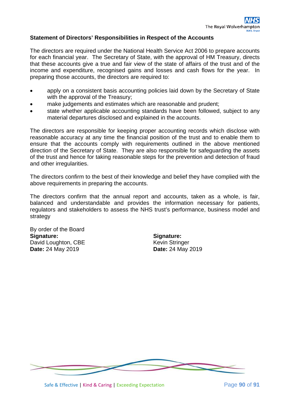## **Statement of Directors' Responsibilities in Respect of the Accounts**

The directors are required under the National Health Service Act 2006 to prepare accounts for each financial year. The Secretary of State, with the approval of HM Treasury, directs that these accounts give a true and fair view of the state of affairs of the trust and of the income and expenditure, recognised gains and losses and cash flows for the year. In preparing those accounts, the directors are required to:

- apply on a consistent basis accounting policies laid down by the Secretary of State with the approval of the Treasury;
- make judgements and estimates which are reasonable and prudent;
- state whether applicable accounting standards have been followed, subject to any material departures disclosed and explained in the accounts.

The directors are responsible for keeping proper accounting records which disclose with reasonable accuracy at any time the financial position of the trust and to enable them to ensure that the accounts comply with requirements outlined in the above mentioned direction of the Secretary of State. They are also responsible for safeguarding the assets of the trust and hence for taking reasonable steps for the prevention and detection of fraud and other irregularities.

The directors confirm to the best of their knowledge and belief they have complied with the above requirements in preparing the accounts.

The directors confirm that the annual report and accounts, taken as a whole, is fair, balanced and understandable and provides the information necessary for patients, regulators and stakeholders to assess the NHS trust's performance, business model and strategy

By order of the Board **Signature:** David Loughton, CBE **Date:** 24 May 2019

**Signature:** Kevin Stringer **Date:** 24 May 2019